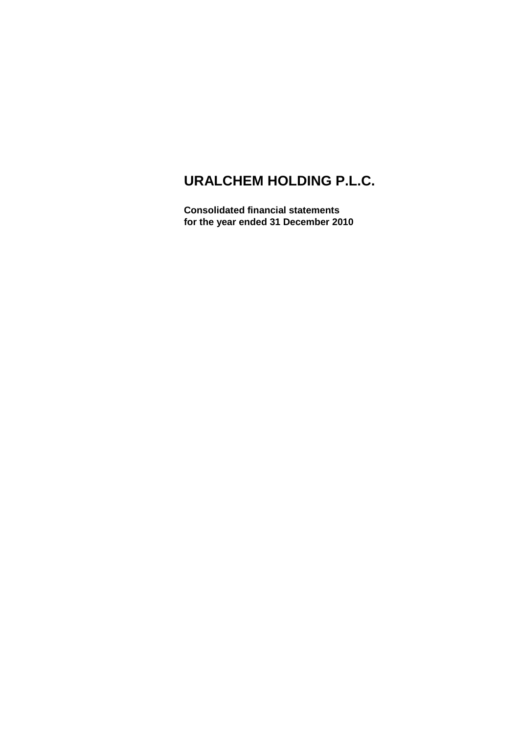**Consolidated financial statements for the year ended 31 December 2010**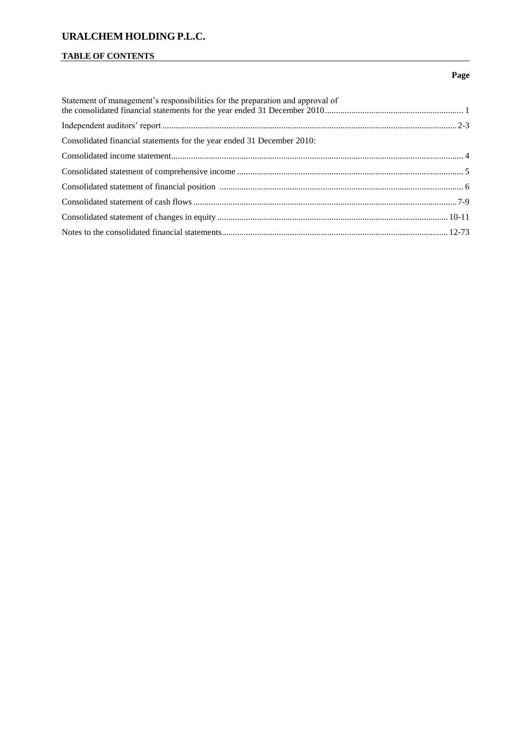## **TABLE OF CONTENTS**

## **Page**

| Statement of management's responsibilities for the preparation and approval of |  |
|--------------------------------------------------------------------------------|--|
|                                                                                |  |
| Consolidated financial statements for the year ended 31 December 2010:         |  |
|                                                                                |  |
|                                                                                |  |
|                                                                                |  |
|                                                                                |  |
|                                                                                |  |
|                                                                                |  |
|                                                                                |  |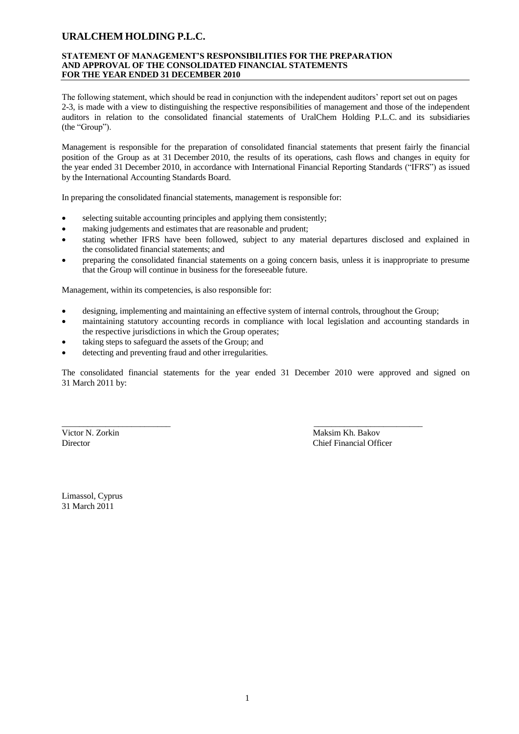#### **STATEMENT OF MANAGEMENT'S RESPONSIBILITIES FOR THE PREPARATION AND APPROVAL OF THE CONSOLIDATED FINANCIAL STATEMENTS FOR THE YEAR ENDED 31 DECEMBER 2010**

The following statement, which should be read in conjunction with the independent auditors' report set out on pages 2-3, is made with a view to distinguishing the respective responsibilities of management and those of the independent auditors in relation to the consolidated financial statements of UralChem Holding P.L.C. and its subsidiaries (the "Group").

Management is responsible for the preparation of consolidated financial statements that present fairly the financial position of the Group as at 31 December 2010, the results of its operations, cash flows and changes in equity for the year ended 31 December 2010, in accordance with International Financial Reporting Standards ("IFRS") as issued by the International Accounting Standards Board.

In preparing the consolidated financial statements, management is responsible for:

- selecting suitable accounting principles and applying them consistently;
- making judgements and estimates that are reasonable and prudent;
- stating whether IFRS have been followed, subject to any material departures disclosed and explained in the consolidated financial statements; and
- preparing the consolidated financial statements on a going concern basis, unless it is inappropriate to presume that the Group will continue in business for the foreseeable future.

Management, within its competencies, is also responsible for:

designing, implementing and maintaining an effective system of internal controls, throughout the Group;

\_\_\_\_\_\_\_\_\_\_\_\_\_\_\_\_\_\_\_\_\_\_\_\_\_ \_\_\_\_\_\_\_\_\_\_\_\_\_\_\_\_\_\_\_\_\_\_\_\_\_

- maintaining statutory accounting records in compliance with local legislation and accounting standards in the respective jurisdictions in which the Group operates;
- taking steps to safeguard the assets of the Group; and
- detecting and preventing fraud and other irregularities.

The consolidated financial statements for the year ended 31 December 2010 were approved and signed on 31 March 2011 by:

Victor N. Zorkin Maksim Kh. Bakov Director Chief Financial Officer

Limassol, Cyprus 31 March 2011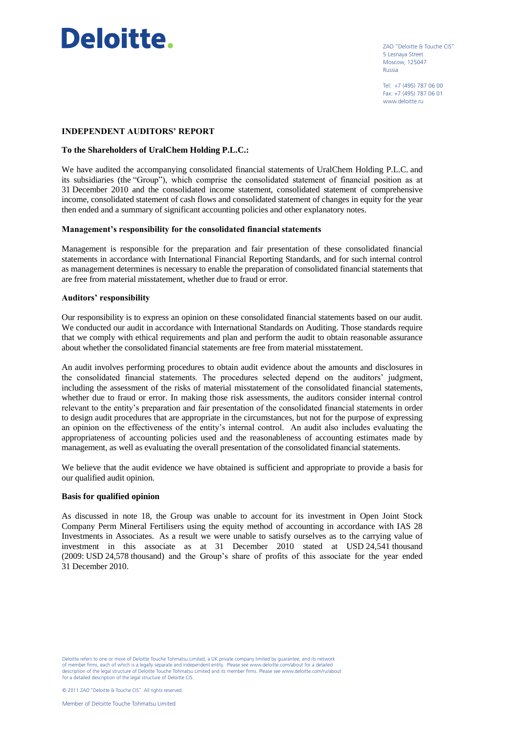# Deloitte.

ZAO "Deloitte & Touche CIS" 5 Lesnaya Street Moscow, 125047 Russia

Tel: +7 (495) 787 06 00 Fax: +7 (495) 787 06 01 www.deloitte.ru

#### **INDEPENDENT AUDITORS' REPORT**

#### **To the Shareholders of UralChem Holding P.L.C.:**

We have audited the accompanying consolidated financial statements of UralChem Holding P.L.C. and its subsidiaries (the "Group"), which comprise the consolidated statement of financial position as at 31 December 2010 and the consolidated income statement, consolidated statement of comprehensive income, consolidated statement of cash flows and consolidated statement of changes in equity for the year then ended and a summary of significant accounting policies and other explanatory notes.

#### **Management's responsibility for the consolidated financial statements**

Management is responsible for the preparation and fair presentation of these consolidated financial statements in accordance with International Financial Reporting Standards, and for such internal control as management determines is necessary to enable the preparation of consolidated financial statements that are free from material misstatement, whether due to fraud or error.

#### **Auditors' responsibility**

Our responsibility is to express an opinion on these consolidated financial statements based on our audit. We conducted our audit in accordance with International Standards on Auditing. Those standards require that we comply with ethical requirements and plan and perform the audit to obtain reasonable assurance about whether the consolidated financial statements are free from material misstatement.

An audit involves performing procedures to obtain audit evidence about the amounts and disclosures in the consolidated financial statements. The procedures selected depend on the auditors' judgment, including the assessment of the risks of material misstatement of the consolidated financial statements, whether due to fraud or error. In making those risk assessments, the auditors consider internal control relevant to the entity's preparation and fair presentation of the consolidated financial statements in order to design audit procedures that are appropriate in the circumstances, but not for the purpose of expressing an opinion on the effectiveness of the entity's internal control. An audit also includes evaluating the appropriateness of accounting policies used and the reasonableness of accounting estimates made by management, as well as evaluating the overall presentation of the consolidated financial statements.

We believe that the audit evidence we have obtained is sufficient and appropriate to provide a basis for our qualified audit opinion.

#### **Basis for qualified opinion**

As discussed in note 18, the Group was unable to account for its investment in Open Joint Stock Company Perm Mineral Fertilisers using the equity method of accounting in accordance with IAS 28 Investments in Associates. As a result we were unable to satisfy ourselves as to the carrying value of investment in this associate as at 31 December 2010 stated at USD 24,541 thousand (2009: USD 24,578 thousand) and the Group's share of profits of this associate for the year ended 31 December 2010.

Deloitte refers to one or more of Deloitte Touche Tohmatsu Limited, a UK private company limited by guarantee, and its network of member firms, each of which is a legally separate and independent entity. Please see www.deloitte.com/about for a detailed description of the legal structure of Deloitte Touche Tohmatsu Limited and its member firms. Please see www.deloitte.com/ru/about for a detailed description of the legal structure of Deloitte CIS.

© 2011 ZAO "Deloitte & Touche CIS". All rights reserved.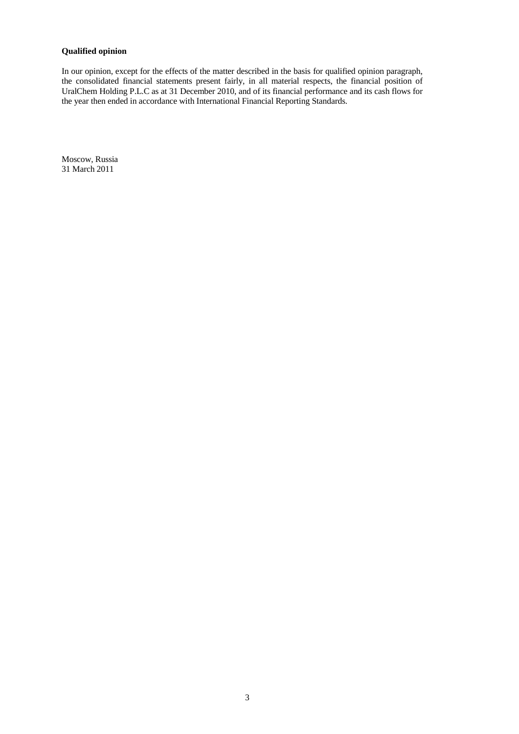#### **Qualified opinion**

In our opinion, except for the effects of the matter described in the basis for qualified opinion paragraph, the consolidated financial statements present fairly, in all material respects, the financial position of UralChem Holding P.L.C as at 31 December 2010, and of its financial performance and its cash flows for the year then ended in accordance with International Financial Reporting Standards.

Moscow, Russia 31 March 2011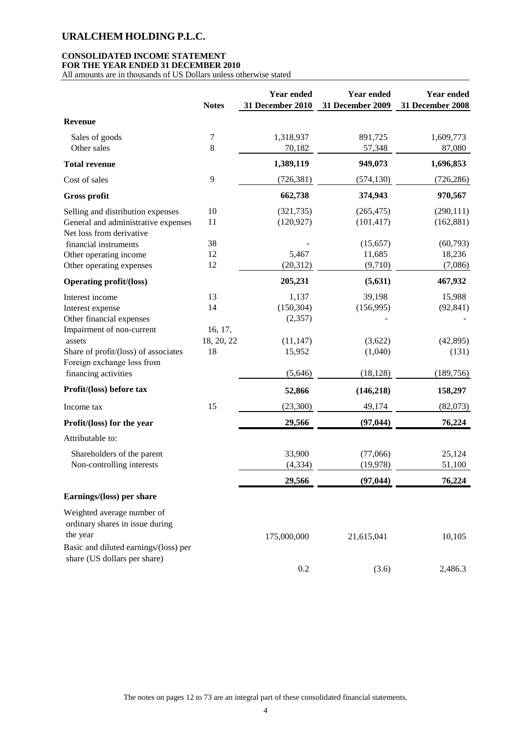## **CONSOLIDATED INCOME STATEMENT**

**FOR THE YEAR ENDED 31 DECEMBER 2010**

All amounts are in thousands of US Dollars unless otherwise stated

|                                                                                                                                                    | <b>Notes</b>                | <b>Year ended</b><br>31 December 2010 | <b>Year ended</b><br>31 December 2009 | <b>Year ended</b><br>31 December 2008 |
|----------------------------------------------------------------------------------------------------------------------------------------------------|-----------------------------|---------------------------------------|---------------------------------------|---------------------------------------|
| <b>Revenue</b>                                                                                                                                     |                             |                                       |                                       |                                       |
| Sales of goods<br>Other sales                                                                                                                      | 7<br>8                      | 1,318,937<br>70,182                   | 891,725<br>57,348                     | 1,609,773<br>87,080                   |
| <b>Total revenue</b>                                                                                                                               |                             | 1,389,119                             | 949,073                               | 1,696,853                             |
| Cost of sales                                                                                                                                      | 9                           | (726, 381)                            | (574, 130)                            | (726, 286)                            |
| <b>Gross profit</b>                                                                                                                                |                             | 662,738                               | 374,943                               | 970,567                               |
| Selling and distribution expenses<br>General and administrative expenses<br>Net loss from derivative                                               | 10<br>11                    | (321, 735)<br>(120, 927)              | (265, 475)<br>(101, 417)              | (290, 111)<br>(162, 881)              |
| financial instruments<br>Other operating income<br>Other operating expenses                                                                        | 38<br>12<br>12              | 5,467<br>(20, 312)                    | (15, 657)<br>11,685<br>(9,710)        | (60, 793)<br>18,236<br>(7,086)        |
| <b>Operating profit/(loss)</b>                                                                                                                     |                             | 205,231                               | (5, 631)                              | 467,932                               |
| Interest income<br>Interest expense<br>Other financial expenses                                                                                    | 13<br>14                    | 1,137<br>(150, 304)<br>(2,357)        | 39,198<br>(156,995)                   | 15,988<br>(92, 841)                   |
| Impairment of non-current<br>assets<br>Share of profit/(loss) of associates<br>Foreign exchange loss from<br>financing activities                  | 16, 17,<br>18, 20, 22<br>18 | (11, 147)<br>15,952<br>(5,646)        | (3,622)<br>(1,040)<br>(18, 128)       | (42, 895)<br>(131)<br>(189, 756)      |
| Profit/(loss) before tax                                                                                                                           |                             | 52,866                                | (146,218)                             | 158,297                               |
| Income tax                                                                                                                                         | 15                          | (23,300)                              | 49,174                                | (82,073)                              |
| Profit/(loss) for the year                                                                                                                         |                             | 29,566                                | (97, 044)                             | 76,224                                |
| Attributable to:                                                                                                                                   |                             |                                       |                                       |                                       |
| Shareholders of the parent<br>Non-controlling interests                                                                                            |                             | 33,900<br>(4, 334)                    | (77,066)<br>(19, 978)                 | 25,124<br>51,100                      |
|                                                                                                                                                    |                             | 29,566                                | (97, 044)                             | 76,224                                |
| Earnings/(loss) per share                                                                                                                          |                             |                                       |                                       |                                       |
| Weighted average number of<br>ordinary shares in issue during<br>the year<br>Basic and diluted earnings/(loss) per<br>share (US dollars per share) |                             | 175,000,000                           | 21,615,041                            | 10,105                                |
|                                                                                                                                                    |                             | 0.2                                   | (3.6)                                 | 2,486.3                               |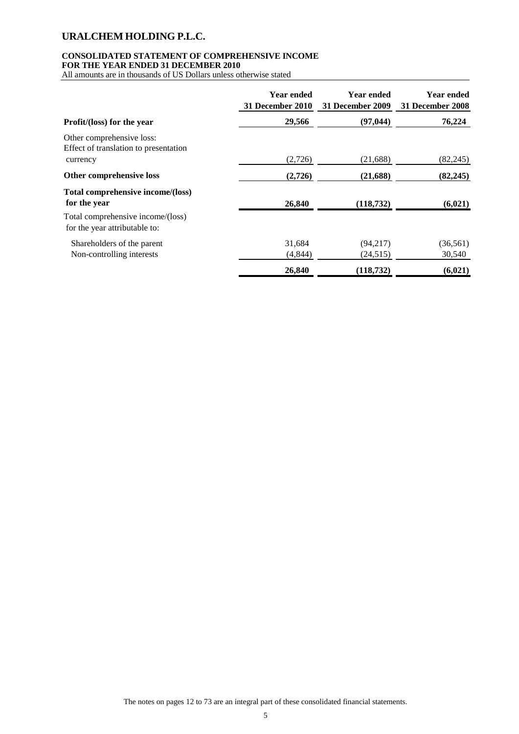## **CONSOLIDATED STATEMENT OF COMPREHENSIVE INCOME**

**FOR THE YEAR ENDED 31 DECEMBER 2010**

All amounts are in thousands of US Dollars unless otherwise stated

|                                                                    | Year ended<br>31 December 2010 | <b>Year ended</b><br>31 December 2009 | <b>Year ended</b><br>31 December 2008 |
|--------------------------------------------------------------------|--------------------------------|---------------------------------------|---------------------------------------|
| Profit/(loss) for the year                                         | 29,566                         | (97, 044)                             | 76,224                                |
| Other comprehensive loss:<br>Effect of translation to presentation |                                |                                       |                                       |
| currency                                                           | (2,726)                        | (21, 688)                             | (82, 245)                             |
| <b>Other comprehensive loss</b>                                    | (2,726)                        | (21, 688)                             | (82, 245)                             |
| Total comprehensive income/(loss)<br>for the year                  | 26,840                         | (118, 732)                            | (6,021)                               |
| Total comprehensive income/(loss)<br>for the year attributable to: |                                |                                       |                                       |
| Shareholders of the parent                                         | 31,684                         | (94,217)                              | (36, 561)                             |
| Non-controlling interests                                          | (4,844)                        | (24, 515)                             | 30,540                                |
|                                                                    | 26,840                         | (118, 732)                            | (6,021)                               |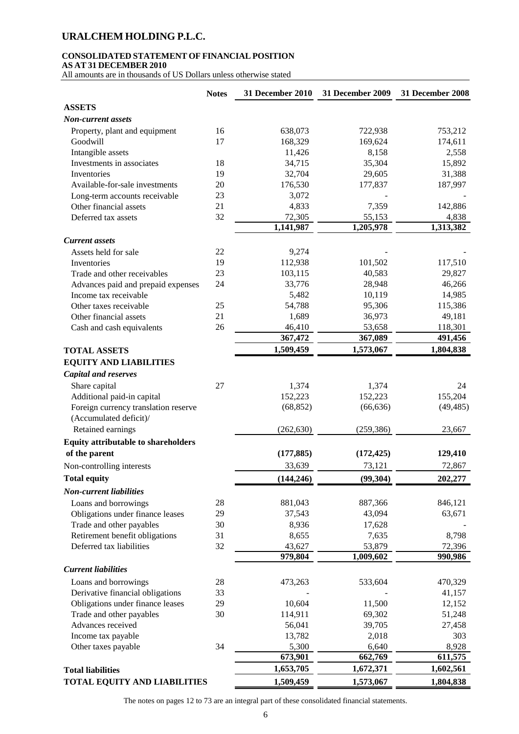#### **CONSOLIDATED STATEMENT OF FINANCIAL POSITION**

#### **AS AT 31 DECEMBER 2010**

All amounts are in thousands of US Dollars unless otherwise stated

|                                            | <b>Notes</b> | 31 December 2010 | 31 December 2009 | 31 December 2008 |
|--------------------------------------------|--------------|------------------|------------------|------------------|
| <b>ASSETS</b>                              |              |                  |                  |                  |
| <b>Non-current assets</b>                  |              |                  |                  |                  |
| Property, plant and equipment              | 16           | 638,073          | 722,938          | 753,212          |
| Goodwill                                   | 17           | 168,329          | 169,624          | 174,611          |
| Intangible assets                          |              | 11,426           | 8,158            | 2,558            |
| Investments in associates                  | 18           | 34,715           | 35,304           | 15,892           |
| Inventories                                | 19           | 32,704           | 29,605           | 31,388           |
| Available-for-sale investments             | 20           | 176,530          | 177,837          | 187,997          |
| Long-term accounts receivable              | 23           | 3,072            |                  |                  |
| Other financial assets                     | 21           | 4,833            | 7,359            | 142,886          |
| Deferred tax assets                        | 32           | 72,305           | 55,153           | 4,838            |
|                                            |              | 1,141,987        | 1,205,978        | 1,313,382        |
| <b>Current</b> assets                      |              |                  |                  |                  |
| Assets held for sale                       | 22           | 9,274            |                  |                  |
| Inventories                                | 19           | 112,938          | 101,502          | 117,510          |
| Trade and other receivables                | 23           | 103,115          | 40,583           | 29,827           |
| Advances paid and prepaid expenses         | 24           | 33,776           | 28,948           | 46,266           |
| Income tax receivable                      |              | 5,482            | 10,119           | 14,985           |
| Other taxes receivable                     | 25           | 54,788           | 95,306           | 115,386          |
| Other financial assets                     | 21           | 1,689            | 36,973           | 49,181           |
| Cash and cash equivalents                  | 26           | 46,410           | 53,658           | 118,301          |
|                                            |              | 367,472          | 367,089          | 491,456          |
| <b>TOTAL ASSETS</b>                        |              | 1,509,459        | 1,573,067        | 1,804,838        |
| <b>EQUITY AND LIABILITIES</b>              |              |                  |                  |                  |
| <b>Capital and reserves</b>                |              |                  |                  |                  |
| Share capital                              | 27           | 1,374            | 1,374            | 24               |
| Additional paid-in capital                 |              | 152,223          | 152,223          | 155,204          |
| Foreign currency translation reserve       |              | (68, 852)        | (66, 636)        | (49, 485)        |
| (Accumulated deficit)/                     |              |                  |                  |                  |
| Retained earnings                          |              | (262, 630)       | (259, 386)       | 23,667           |
| <b>Equity attributable to shareholders</b> |              |                  |                  |                  |
| of the parent                              |              | (177, 885)       | (172, 425)       | 129,410          |
| Non-controlling interests                  |              | 33,639           | 73,121           | 72,867           |
| <b>Total equity</b>                        |              | (144, 246)       | (99, 304)        | 202,277          |
| <b>Non-current liabilities</b>             |              |                  |                  |                  |
| Loans and borrowings                       | 28           | 881,043          | 887,366          | 846,121          |
| Obligations under finance leases           | 29           | 37,543           | 43,094           | 63,671           |
| Trade and other payables                   | 30           | 8,936            | 17,628           |                  |
| Retirement benefit obligations             | 31           | 8,655            | 7,635            | 8,798            |
| Deferred tax liabilities                   | 32           | 43,627           | 53,879           | 72,396           |
|                                            |              | 979,804          | 1,009,602        | 990,986          |
| <b>Current liabilities</b>                 |              |                  |                  |                  |
| Loans and borrowings                       | 28           | 473,263          | 533,604          | 470,329          |
| Derivative financial obligations           | 33           |                  |                  | 41,157           |
| Obligations under finance leases           | 29           | 10,604           | 11,500           | 12,152           |
| Trade and other payables                   | 30           | 114,911          | 69,302           | 51,248           |
| Advances received                          |              | 56,041           | 39,705           | 27,458           |
| Income tax payable                         |              | 13,782           | 2,018            | 303              |
| Other taxes payable                        | 34           | 5,300            | 6,640            | 8,928            |
|                                            |              | 673,901          | 662,769          | 611,575          |
| <b>Total liabilities</b>                   |              | 1,653,705        | 1,672,371        | 1,602,561        |
| <b>TOTAL EQUITY AND LIABILITIES</b>        |              | 1,509,459        | 1,573,067        | 1,804,838        |
|                                            |              |                  |                  |                  |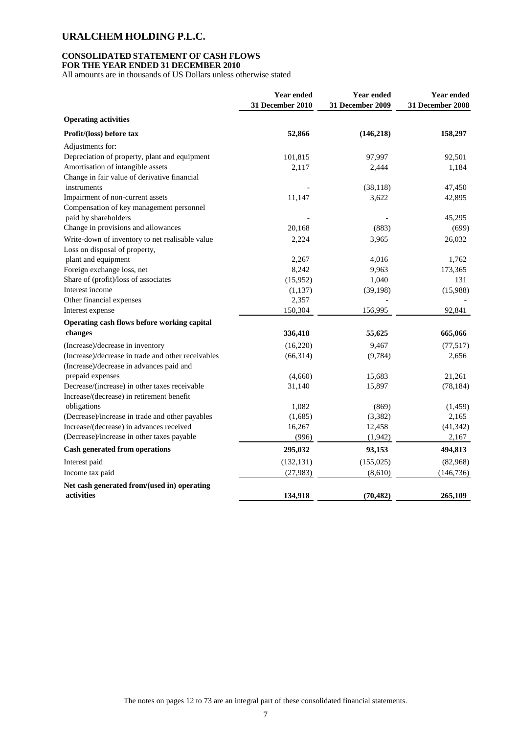## **CONSOLIDATED STATEMENT OF CASH FLOWS**

**FOR THE YEAR ENDED 31 DECEMBER 2010**

All amounts are in thousands of US Dollars unless otherwise stated

|                                                    | <b>Year ended</b><br>31 December 2010 | Year ended<br>31 December 2009 | <b>Year ended</b><br>31 December 2008 |
|----------------------------------------------------|---------------------------------------|--------------------------------|---------------------------------------|
| <b>Operating activities</b>                        |                                       |                                |                                       |
| Profit/(loss) before tax                           | 52,866                                | (146,218)                      | 158,297                               |
| Adjustments for:                                   |                                       |                                |                                       |
| Depreciation of property, plant and equipment      | 101,815                               | 97,997                         | 92,501                                |
| Amortisation of intangible assets                  | 2,117                                 | 2,444                          | 1,184                                 |
| Change in fair value of derivative financial       |                                       |                                |                                       |
| instruments                                        |                                       | (38, 118)                      | 47,450                                |
| Impairment of non-current assets                   | 11,147                                | 3,622                          | 42,895                                |
| Compensation of key management personnel           |                                       |                                |                                       |
| paid by shareholders                               |                                       |                                | 45,295                                |
| Change in provisions and allowances                | 20,168                                | (883)                          | (699)                                 |
| Write-down of inventory to net realisable value    | 2,224                                 | 3,965                          | 26,032                                |
| Loss on disposal of property,                      |                                       |                                |                                       |
| plant and equipment                                | 2,267                                 | 4,016                          | 1,762                                 |
| Foreign exchange loss, net                         | 8,242                                 | 9,963                          | 173,365                               |
| Share of (profit)/loss of associates               | (15,952)                              | 1,040                          | 131                                   |
| Interest income                                    | (1, 137)                              | (39, 198)                      | (15,988)                              |
| Other financial expenses                           | 2,357                                 |                                |                                       |
| Interest expense                                   | 150,304                               | 156,995                        | 92,841                                |
| Operating cash flows before working capital        |                                       |                                |                                       |
| changes                                            | 336,418                               | 55,625                         | 665,066                               |
| (Increase)/decrease in inventory                   | (16,220)                              | 9,467                          | (77, 517)                             |
| (Increase)/decrease in trade and other receivables | (66, 314)                             | (9, 784)                       | 2,656                                 |
| (Increase)/decrease in advances paid and           |                                       |                                |                                       |
| prepaid expenses                                   | (4,660)                               | 15,683                         | 21,261                                |
| Decrease/(increase) in other taxes receivable      | 31,140                                | 15,897                         | (78, 184)                             |
| Increase/(decrease) in retirement benefit          |                                       |                                |                                       |
| obligations                                        | 1,082                                 | (869)                          | (1,459)                               |
| (Decrease)/increase in trade and other payables    | (1,685)                               | (3,382)                        | 2,165                                 |
| Increase/(decrease) in advances received           | 16,267                                | 12,458                         | (41, 342)                             |
| (Decrease)/increase in other taxes payable         | (996)                                 | (1,942)                        | 2,167                                 |
| <b>Cash generated from operations</b>              | 295,032                               | 93,153                         | 494,813                               |
| Interest paid                                      | (132, 131)                            | (155, 025)                     | (82,968)                              |
| Income tax paid                                    | (27, 983)                             | (8,610)                        | (146, 736)                            |
| Net cash generated from/(used in) operating        |                                       |                                |                                       |
| activities                                         | 134,918                               | (70, 482)                      | 265,109                               |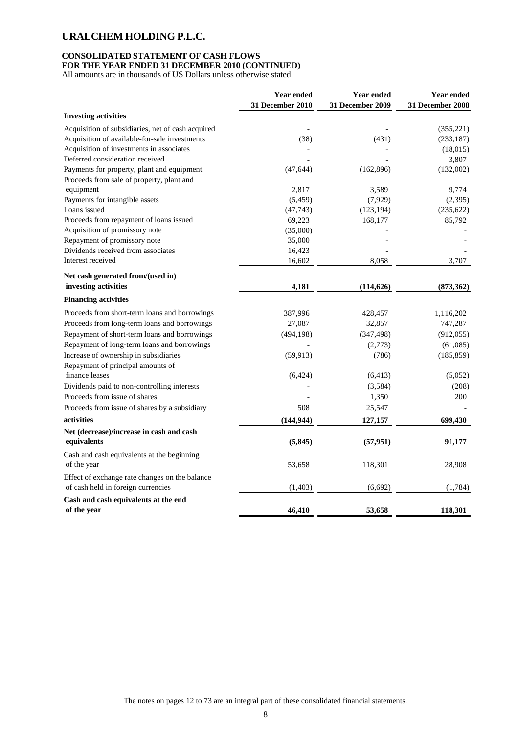## **CONSOLIDATED STATEMENT OF CASH FLOWS**

**FOR THE YEAR ENDED 31 DECEMBER 2010 (CONTINUED)** All amounts are in thousands of US Dollars unless otherwise stated

 **Year ended 31 December 2010 Year ended 31 December 2009 Year ended 31 December 2008 Investing activities** Acquisition of subsidiaries, net of cash acquired  $\qquad$  - (355,221) Acquisition of available-for-sale investments (38) (431) (233,187) Acquisition of investments in associates and the set of the set of the set of the set of the set of the set of the set of the set of the set of the set of the set of the set of the set of the set of the set of the set of t Deferred consideration received  $\overline{3.807}$ Payments for property, plant and equipment (47,644) (162,896) (132,002) Proceeds from sale of property, plant and equipment 2,817 3,589 9,774 Payments for intangible assets (5,459) (7,929) (2,395) Loans issued (47,743) (123,194) (235,622) Proceeds from repayment of loans issued 69,223 168,177 85,792  $Acquisition of promissory note$   $(35,000)$ Repayment of promissory note 35,000 Dividends received from associates 16,423 Interest received 16,602 8,058 3,707 **Net cash generated from/(used in) investing activities 4,181 (114,626) (873,362) (873,362) Financing activities** Proceeds from short-term loans and borrowings 387,996 428,457 1,116,202 Proceeds from long-term loans and borrowings 27,087 32,857 747,287 Repayment of short-term loans and borrowings (494,198) (347,498) (912,055) Repayment of long-term loans and borrowings and the state of the state of the state of the state (61,085) (61,085) Increase of ownership in subsidiaries (59,913) (786) (185,859) Repayment of principal amounts of finance leases (6,424) (6,413) (5,052) Dividends paid to non-controlling interests (208) (208) (208) Proceeds from issue of shares  $1,350$  200 Proceeds from issue of shares by a subsidiary **1998** 508 25,547 **activities (144,944) 127,157 699,430 Net (decrease)/increase in cash and cash equivalents (5,845) (57,951) 91,177** Cash and cash equivalents at the beginning of the year 53,658 118,301 28,908 Effect of exchange rate changes on the balance of cash held in foreign currencies (1,403) (6,692) (1,784) **Cash and cash equivalents at the end of the year 46,410 53,658 118,301**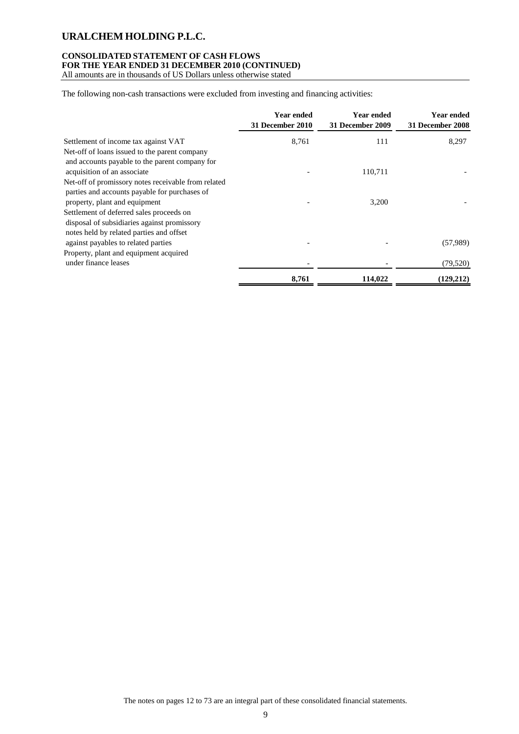#### **CONSOLIDATED STATEMENT OF CASH FLOWS FOR THE YEAR ENDED 31 DECEMBER 2010 (CONTINUED)**

All amounts are in thousands of US Dollars unless otherwise stated

The following non-cash transactions were excluded from investing and financing activities:

|                                                                                                                                     | <b>Year ended</b><br>31 December 2010 | <b>Year ended</b><br>31 December 2009 | <b>Year ended</b><br>31 December 2008 |
|-------------------------------------------------------------------------------------------------------------------------------------|---------------------------------------|---------------------------------------|---------------------------------------|
| Settlement of income tax against VAT                                                                                                | 8,761                                 | 111                                   | 8,297                                 |
| Net-off of loans issued to the parent company<br>and accounts payable to the parent company for                                     |                                       |                                       |                                       |
| acquisition of an associate                                                                                                         |                                       | 110,711                               |                                       |
| Net-off of promissory notes receivable from related<br>parties and accounts payable for purchases of                                |                                       |                                       |                                       |
| property, plant and equipment                                                                                                       |                                       | 3,200                                 |                                       |
| Settlement of deferred sales proceeds on<br>disposal of subsidiaries against promissory<br>notes held by related parties and offset |                                       |                                       |                                       |
| against payables to related parties                                                                                                 |                                       |                                       | (57,989)                              |
| Property, plant and equipment acquired<br>under finance leases                                                                      |                                       |                                       | (79, 520)                             |
|                                                                                                                                     | 8,761                                 | 114,022                               | (129, 212)                            |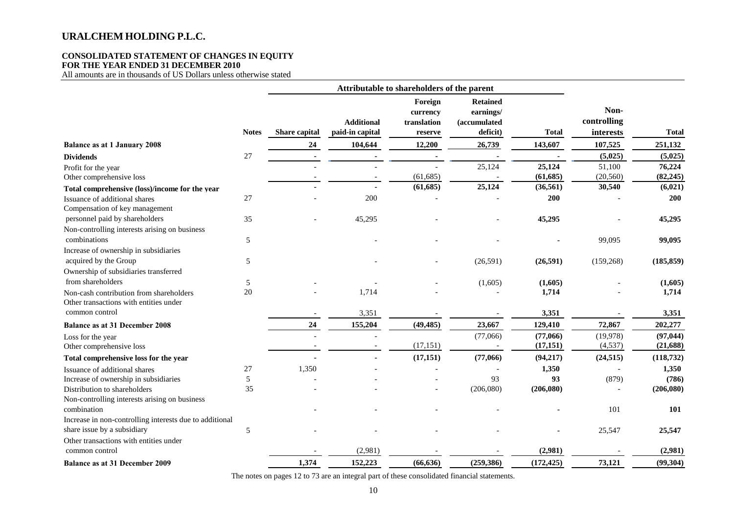#### **CONSOLIDATED STATEMENT OF CHANGES IN EQUITY FOR THE YEAR ENDED 31 DECEMBER 2010**

All amounts are in thousands of US Dollars unless otherwise stated

|                                                                                   |              | Attributable to shareholders of the parent |                                      |                                               |                                                                  |              |                                  |              |
|-----------------------------------------------------------------------------------|--------------|--------------------------------------------|--------------------------------------|-----------------------------------------------|------------------------------------------------------------------|--------------|----------------------------------|--------------|
|                                                                                   | <b>Notes</b> | Share capital                              | <b>Additional</b><br>paid-in capital | Foreign<br>currency<br>translation<br>reserve | <b>Retained</b><br>earnings/<br><i>(accumulated)</i><br>deficit) | <b>Total</b> | Non-<br>controlling<br>interests | <b>Total</b> |
| <b>Balance as at 1 January 2008</b>                                               |              | 24                                         | 104,644                              | 12,200                                        | 26,739                                                           | 143,607      | 107,525                          | 251,132      |
| <b>Dividends</b>                                                                  | 27           |                                            |                                      |                                               |                                                                  |              | (5,025)                          | (5,025)      |
| Profit for the year                                                               |              |                                            |                                      |                                               | 25,124                                                           | 25,124       | 51,100                           | 76,224       |
| Other comprehensive loss                                                          |              |                                            |                                      | (61, 685)                                     |                                                                  | (61, 685)    | (20, 560)                        | (82, 245)    |
| Total comprehensive (loss)/income for the year                                    |              |                                            |                                      | (61, 685)                                     | 25,124                                                           | (36, 561)    | 30,540                           | (6,021)      |
| Issuance of additional shares<br>Compensation of key management                   | 27           |                                            | 200                                  |                                               |                                                                  | 200          |                                  | 200          |
| personnel paid by shareholders                                                    | 35           |                                            | 45,295                               |                                               |                                                                  | 45,295       |                                  | 45,295       |
| Non-controlling interests arising on business<br>combinations                     | $\sqrt{5}$   |                                            |                                      |                                               |                                                                  |              | 99,095                           | 99,095       |
| Increase of ownership in subsidiaries                                             |              |                                            |                                      |                                               |                                                                  |              |                                  |              |
| acquired by the Group                                                             | 5            |                                            |                                      |                                               | (26,591)                                                         | (26, 591)    | (159, 268)                       | (185, 859)   |
| Ownership of subsidiaries transferred                                             |              |                                            |                                      |                                               |                                                                  |              |                                  |              |
| from shareholders                                                                 | 5            |                                            |                                      |                                               | (1,605)                                                          | (1,605)      |                                  | (1,605)      |
| Non-cash contribution from shareholders<br>Other transactions with entities under | 20           |                                            | 1,714                                |                                               |                                                                  | 1,714        |                                  | 1,714        |
| common control                                                                    |              |                                            | 3,351                                |                                               |                                                                  | 3,351        |                                  | 3,351        |
| <b>Balance as at 31 December 2008</b>                                             |              | 24                                         | 155,204                              | (49, 485)                                     | 23,667                                                           | 129,410      | 72,867                           | 202,277      |
| Loss for the year                                                                 |              |                                            |                                      |                                               | (77,066)                                                         | (77,066)     | (19,978)                         | (97, 044)    |
| Other comprehensive loss                                                          |              |                                            |                                      | (17, 151)                                     |                                                                  | (17, 151)    | (4, 537)                         | (21, 688)    |
| Total comprehensive loss for the year                                             |              |                                            |                                      | (17, 151)                                     | (77,066)                                                         | (94, 217)    | (24, 515)                        | (118, 732)   |
| Issuance of additional shares                                                     | 27           | 1,350                                      |                                      |                                               |                                                                  | 1,350        |                                  | 1,350        |
| Increase of ownership in subsidiaries                                             | 5            |                                            |                                      |                                               | 93                                                               | 93           | (879)                            | (786)        |
| Distribution to shareholders                                                      | 35           |                                            |                                      |                                               | (206, 080)                                                       | (206, 080)   |                                  | (206, 080)   |
| Non-controlling interests arising on business<br>combination                      |              |                                            |                                      |                                               |                                                                  |              | 101                              | <b>101</b>   |
| Increase in non-controlling interests due to additional                           |              |                                            |                                      |                                               |                                                                  |              |                                  |              |
| share issue by a subsidiary                                                       | 5            |                                            |                                      |                                               |                                                                  |              | 25,547                           | 25,547       |
| Other transactions with entities under                                            |              |                                            |                                      |                                               |                                                                  |              |                                  |              |
| common control                                                                    |              |                                            | (2,981)                              |                                               |                                                                  | (2,981)      |                                  | (2,981)      |
| <b>Balance as at 31 December 2009</b>                                             |              | 1,374                                      | 152,223                              | (66, 636)                                     | (259, 386)                                                       | (172, 425)   | 73,121                           | (99, 304)    |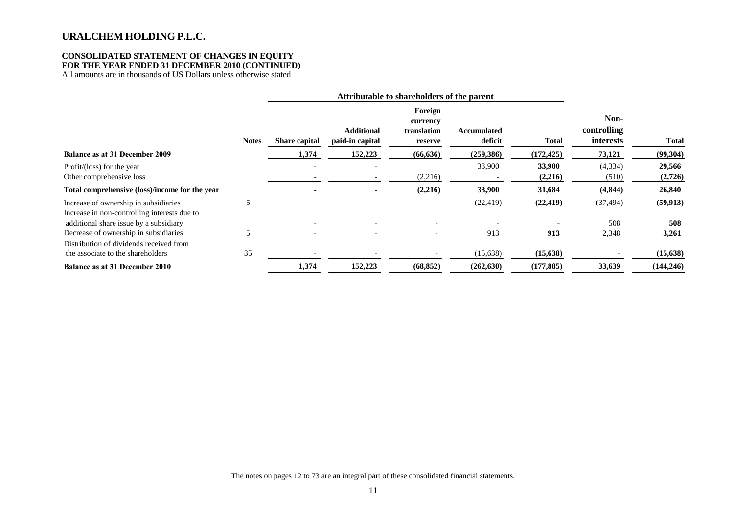#### **CONSOLIDATED STATEMENT OF CHANGES IN EQUITY FOR THE YEAR ENDED 31 DECEMBER 2010 (CONTINUED)**

All amounts are in thousands of US Dollars unless otherwise stated

|                                                                                       |              | Attributable to shareholders of the parent |                                      |                                               |                        |                   |                                  |                   |
|---------------------------------------------------------------------------------------|--------------|--------------------------------------------|--------------------------------------|-----------------------------------------------|------------------------|-------------------|----------------------------------|-------------------|
|                                                                                       | <b>Notes</b> | <b>Share capital</b>                       | <b>Additional</b><br>paid-in capital | Foreign<br>currency<br>translation<br>reserve | Accumulated<br>deficit | <b>Total</b>      | Non-<br>controlling<br>interests | <b>Total</b>      |
| <b>Balance as at 31 December 2009</b>                                                 |              | 1,374                                      | 152,223                              | (66, 636)                                     | (259, 386)             | (172, 425)        | 73,121                           | (99, 304)         |
| Profit/(loss) for the year<br>Other comprehensive loss                                |              | $\overline{a}$                             |                                      | (2,216)                                       | 33,900                 | 33,900<br>(2,216) | (4, 334)<br>(510)                | 29,566<br>(2,726) |
| Total comprehensive (loss)/income for the year                                        |              | $\blacksquare$                             |                                      | (2,216)                                       | 33,900                 | 31,684            | (4, 844)                         | 26,840            |
| Increase of ownership in subsidiaries<br>Increase in non-controlling interests due to | 5            | $\overline{\phantom{0}}$                   |                                      | $\overline{\phantom{0}}$                      | (22, 419)              | (22, 419)         | (37, 494)                        | (59, 913)         |
| additional share issue by a subsidiary                                                |              | $\overline{\phantom{0}}$                   |                                      |                                               |                        |                   | 508                              | 508               |
| Decrease of ownership in subsidiaries<br>Distribution of dividends received from      | 5            | $\overline{\phantom{0}}$                   |                                      |                                               | 913                    | 913               | 2,348                            | 3,261             |
| the associate to the shareholders                                                     | 35           |                                            |                                      |                                               | (15, 638)              | (15, 638)         |                                  | (15, 638)         |
| <b>Balance as at 31 December 2010</b>                                                 |              | 1,374                                      | 152,223                              | (68, 852)                                     | (262, 630)             | (177, 885)        | 33,639                           | (144, 246)        |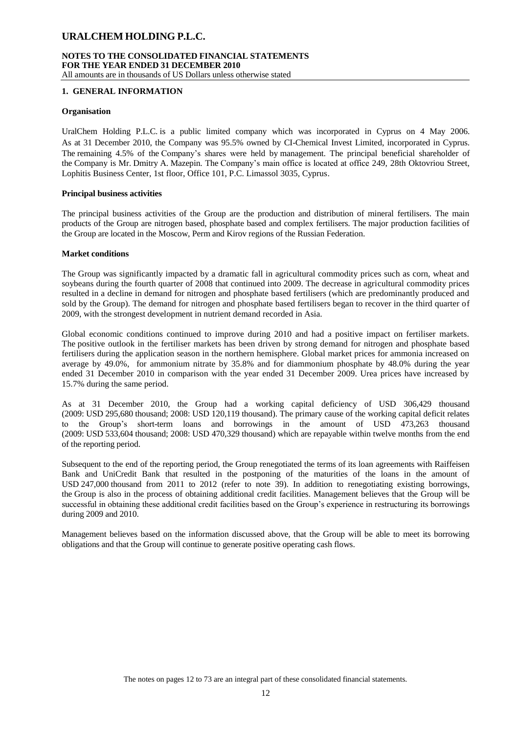#### **NOTES TO THE CONSOLIDATED FINANCIAL STATEMENTS FOR THE YEAR ENDED 31 DECEMBER 2010** All amounts are in thousands of US Dollars unless otherwise stated

#### **1. GENERAL INFORMATION**

#### **Organisation**

UralChem Holding P.L.C. is a public limited company which was incorporated in Cyprus on 4 May 2006. As at 31 December 2010, the Company was 95.5% owned by CI-Chemical Invest Limited, incorporated in Cyprus. The remaining 4.5% of the Company's shares were held by management. The principal beneficial shareholder of the Company is Mr. Dmitry A. Mazepin. The Company's main office is located at office 249, 28th Oktovriou Street, Lophitis Business Center, 1st floor, Office 101, P.C. Limassol 3035, Cyprus.

#### **Principal business activities**

The principal business activities of the Group are the production and distribution of mineral fertilisers. The main products of the Group are nitrogen based, phosphate based and complex fertilisers. The major production facilities of the Group are located in the Moscow, Perm and Kirov regions of the Russian Federation.

#### **Market conditions**

The Group was significantly impacted by a dramatic fall in agricultural commodity prices such as corn, wheat and soybeans during the fourth quarter of 2008 that continued into 2009. The decrease in agricultural commodity prices resulted in a decline in demand for nitrogen and phosphate based fertilisers (which are predominantly produced and sold by the Group). The demand for nitrogen and phosphate based fertilisers began to recover in the third quarter of 2009, with the strongest development in nutrient demand recorded in Asia.

Global economic conditions continued to improve during 2010 and had a positive impact on fertiliser markets. The positive outlook in the fertiliser markets has been driven by strong demand for nitrogen and phosphate based fertilisers during the application season in the northern hemisphere. Global market prices for ammonia increased on average by 49.0%, for ammonium nitrate by 35.8% and for diammonium phosphate by 48.0% during the year ended 31 December 2010 in comparison with the year ended 31 December 2009. Urea prices have increased by 15.7% during the same period.

As at 31 December 2010, the Group had a working capital deficiency of USD 306,429 thousand (2009: USD 295,680 thousand; 2008: USD 120,119 thousand). The primary cause of the working capital deficit relates to the Group's short-term loans and borrowings in the amount of USD 473,263 thousand (2009: USD 533,604 thousand; 2008: USD 470,329 thousand) which are repayable within twelve months from the end of the reporting period.

Subsequent to the end of the reporting period, the Group renegotiated the terms of its loan agreements with Raiffeisen Bank and UniCredit Bank that resulted in the postponing of the maturities of the loans in the amount of USD 247,000 thousand from 2011 to 2012 (refer to note 39). In addition to renegotiating existing borrowings, the Group is also in the process of obtaining additional credit facilities. Management believes that the Group will be successful in obtaining these additional credit facilities based on the Group's experience in restructuring its borrowings during 2009 and 2010.

Management believes based on the information discussed above, that the Group will be able to meet its borrowing obligations and that the Group will continue to generate positive operating cash flows.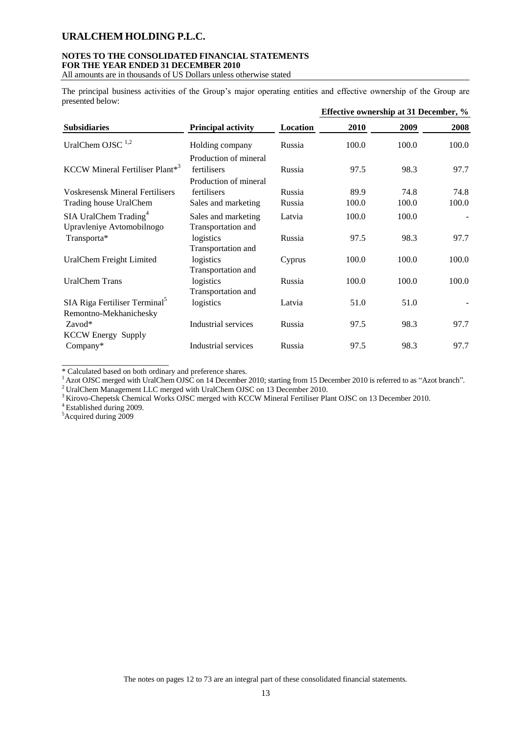#### **NOTES TO THE CONSOLIDATED FINANCIAL STATEMENTS FOR THE YEAR ENDED 31 DECEMBER 2010** All amounts are in thousands of US Dollars unless otherwise stated

The principal business activities of the Group's major operating entities and effective ownership of the Group are presented below:

|                                                    |                           |          |       | Effective ownership at 31 December, % |       |
|----------------------------------------------------|---------------------------|----------|-------|---------------------------------------|-------|
| <b>Subsidiaries</b>                                | <b>Principal activity</b> | Location | 2010  | 2009                                  | 2008  |
| UralChem OJSC <sup>1,2</sup>                       | Holding company           | Russia   | 100.0 | 100.0                                 | 100.0 |
|                                                    | Production of mineral     |          |       |                                       |       |
| <b>KCCW</b> Mineral Fertiliser Plant* <sup>3</sup> | fertilisers               | Russia   | 97.5  | 98.3                                  | 97.7  |
|                                                    | Production of mineral     |          |       |                                       |       |
| <b>Voskresensk Mineral Fertilisers</b>             | fertilisers               | Russia   | 89.9  | 74.8                                  | 74.8  |
| Trading house UralChem                             | Sales and marketing       | Russia   | 100.0 | 100.0                                 | 100.0 |
| SIA UralChem Trading <sup>4</sup>                  | Sales and marketing       | Latvia   | 100.0 | 100.0                                 |       |
| Upravleniye Avtomobilnogo                          | Transportation and        |          |       |                                       |       |
| Transporta*                                        | logistics                 | Russia   | 97.5  | 98.3                                  | 97.7  |
|                                                    | Transportation and        |          |       |                                       |       |
| UralChem Freight Limited                           | logistics                 | Cyprus   | 100.0 | 100.0                                 | 100.0 |
|                                                    | Transportation and        |          |       |                                       |       |
| <b>UralChem Trans</b>                              | logistics                 | Russia   | 100.0 | 100.0                                 | 100.0 |
|                                                    | Transportation and        |          |       |                                       |       |
| SIA Riga Fertiliser Terminal <sup>5</sup>          | logistics                 | Latvia   | 51.0  | 51.0                                  |       |
| Remontno-Mekhanichesky                             |                           |          |       |                                       |       |
| $Zavod*$                                           | Industrial services       | Russia   | 97.5  | 98.3                                  | 97.7  |
| <b>KCCW Energy Supply</b>                          |                           |          |       |                                       |       |
| Company*                                           | Industrial services       | Russia   | 97.5  | 98.3                                  | 97.7  |

\* Calculated based on both ordinary and preference shares.

<sup>1</sup> Azot OJSC merged with UralChem OJSC on 14 December 2010; starting from 15 December 2010 is referred to as "Azot branch".

<sup>2</sup> UralChem Management LLC merged with UralChem OJSC on 13 December 2010.

<sup>3</sup> Kirovo-Chepetsk Chemical Works OJSC merged with KCCW Mineral Fertiliser Plant OJSC on 13 December 2010.

<sup>4</sup> Established during 2009.

\_\_\_\_\_\_\_\_\_\_\_\_\_\_\_\_\_\_\_\_\_\_\_\_\_

<sup>5</sup>Acquired during 2009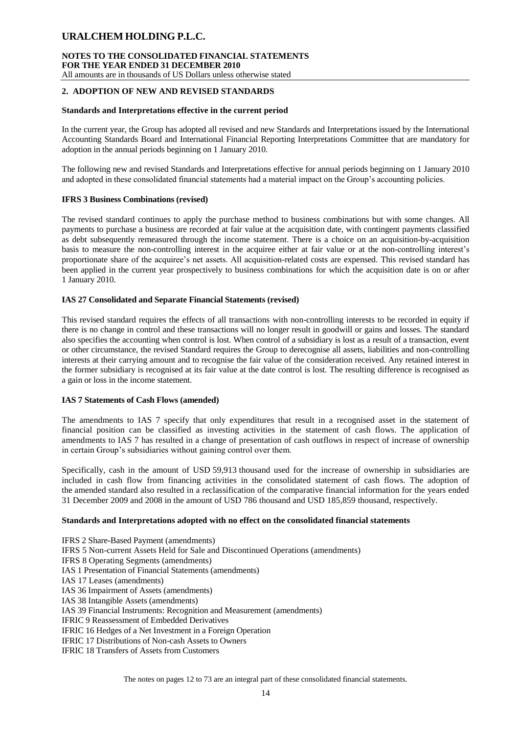#### **NOTES TO THE CONSOLIDATED FINANCIAL STATEMENTS FOR THE YEAR ENDED 31 DECEMBER 2010** All amounts are in thousands of US Dollars unless otherwise stated

#### **2. ADOPTION OF NEW AND REVISED STANDARDS**

#### **Standards and Interpretations effective in the current period**

In the current year, the Group has adopted all revised and new Standards and Interpretations issued by the International Accounting Standards Board and International Financial Reporting Interpretations Committee that are mandatory for adoption in the annual periods beginning on 1 January 2010.

The following new and revised Standards and Interpretations effective for annual periods beginning on 1 January 2010 and adopted in these consolidated financial statements had a material impact on the Group's accounting policies.

#### **IFRS 3 Business Combinations (revised)**

The revised standard continues to apply the purchase method to business combinations but with some changes. All payments to purchase a business are recorded at fair value at the acquisition date, with contingent payments classified as debt subsequently remeasured through the income statement. There is a choice on an acquisition-by-acquisition basis to measure the non-controlling interest in the acquiree either at fair value or at the non-controlling interest's proportionate share of the acquiree's net assets. All acquisition-related costs are expensed. This revised standard has been applied in the current year prospectively to business combinations for which the acquisition date is on or after 1 January 2010.

#### **IAS 27 Consolidated and Separate Financial Statements (revised)**

This revised standard requires the effects of all transactions with non-controlling interests to be recorded in equity if there is no change in control and these transactions will no longer result in goodwill or gains and losses. The standard also specifies the accounting when control is lost. When control of a subsidiary is lost as a result of a transaction, event or other circumstance, the revised Standard requires the Group to derecognise all assets, liabilities and non-controlling interests at their carrying amount and to recognise the fair value of the consideration received. Any retained interest in the former subsidiary is recognised at its fair value at the date control is lost. The resulting difference is recognised as a gain or loss in the income statement.

#### **IAS 7 Statements of Cash Flows (amended)**

The amendments to IAS 7 specify that only expenditures that result in a recognised asset in the statement of financial position can be classified as investing activities in the statement of cash flows. The application of amendments to IAS 7 has resulted in a change of presentation of cash outflows in respect of increase of ownership in certain Group's subsidiaries without gaining control over them.

Specifically, cash in the amount of USD 59,913 thousand used for the increase of ownership in subsidiaries are included in cash flow from financing activities in the consolidated statement of cash flows. The adoption of the amended standard also resulted in a reclassification of the comparative financial information for the years ended 31 December 2009 and 2008 in the amount of USD 786 thousand and USD 185,859 thousand, respectively.

#### **Standards and Interpretations adopted with no effect on the consolidated financial statements**

IFRS 2 Share-Based Payment (amendments)

IFRS 5 Non-current Assets Held for Sale and Discontinued Operations (amendments)

- IFRS 8 Operating Segments (amendments)
- IAS 1 Presentation of Financial Statements (amendments)
- IAS 17 Leases (amendments)

IAS 36 Impairment of Assets (amendments)

- IAS 38 Intangible Assets (amendments)
- IAS 39 Financial Instruments: Recognition and Measurement (amendments)
- [IFRIC](http://www.iasplus.com/interps/ifric009.htm) 9 Reassessment of Embedded Derivatives
- IFRIC 16 Hedges of a Net Investment in a Foreign Operation
- IFRIC 17 Distributions of Non-cash Assets to Owners

IFRIC 18 Transfers of Assets from Customers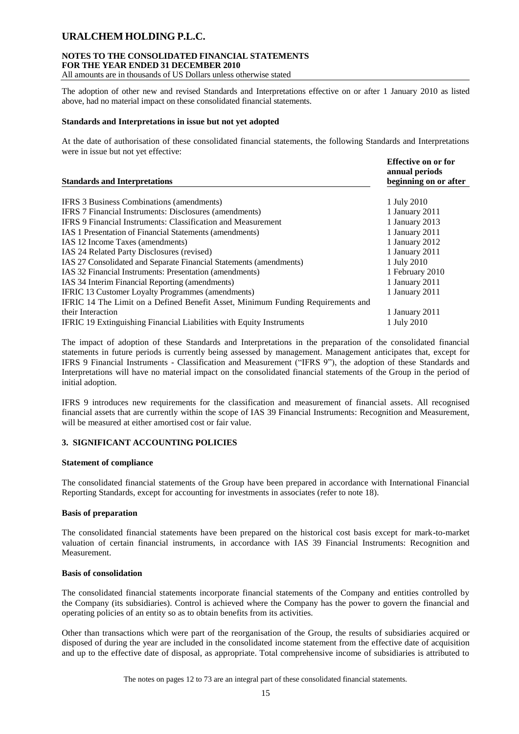#### **NOTES TO THE CONSOLIDATED FINANCIAL STATEMENTS FOR THE YEAR ENDED 31 DECEMBER 2010**

All amounts are in thousands of US Dollars unless otherwise stated

The adoption of other new and revised Standards and Interpretations effective on or after 1 January 2010 as listed above, had no material impact on these consolidated financial statements.

#### **Standards and Interpretations in issue but not yet adopted**

At the date of authorisation of these consolidated financial statements, the following Standards and Interpretations were in issue but not yet effective:  $E$ Figgs  $\theta$ 

| <b>Standards and Interpretations</b>                                            | Effective on or for<br>annual periods<br>beginning on or after |
|---------------------------------------------------------------------------------|----------------------------------------------------------------|
|                                                                                 |                                                                |
| IFRS 3 Business Combinations (amendments)                                       | 1 July 2010                                                    |
| IFRS 7 Financial Instruments: Disclosures (amendments)                          | 1 January 2011                                                 |
| <b>IFRS 9 Financial Instruments: Classification and Measurement</b>             | 1 January 2013                                                 |
| IAS 1 Presentation of Financial Statements (amendments)                         | 1 January 2011                                                 |
| IAS 12 Income Taxes (amendments)                                                | 1 January 2012                                                 |
| IAS 24 Related Party Disclosures (revised)                                      | 1 January 2011                                                 |
| IAS 27 Consolidated and Separate Financial Statements (amendments)              | 1 July 2010                                                    |
| IAS 32 Financial Instruments: Presentation (amendments)                         | 1 February 2010                                                |
| IAS 34 Interim Financial Reporting (amendments)                                 | 1 January 2011                                                 |
| IFRIC 13 Customer Loyalty Programmes (amendments)                               | 1 January 2011                                                 |
| IFRIC 14 The Limit on a Defined Benefit Asset, Minimum Funding Requirements and |                                                                |
| their Interaction                                                               | 1 January 2011                                                 |
| <b>IFRIC 19 Extinguishing Financial Liabilities with Equity Instruments</b>     | 1 July 2010                                                    |

The impact of adoption of these Standards and Interpretations in the preparation of the consolidated financial statements in future periods is currently being assessed by management. Management anticipates that, except for IFRS 9 Financial Instruments - Classification and Measurement ("IFRS 9"), the adoption of these Standards and Interpretations will have no material impact on the consolidated financial statements of the Group in the period of initial adoption.

IFRS 9 introduces new requirements for the classification and measurement of financial assets. All recognised financial assets that are currently within the scope of IAS 39 Financial Instruments: Recognition and Measurement, will be measured at either amortised cost or fair value.

#### **3. SIGNIFICANT ACCOUNTING POLICIES**

#### **Statement of compliance**

The consolidated financial statements of the Group have been prepared in accordance with International Financial Reporting Standards, except for accounting for investments in associates (refer to note 18).

#### **Basis of preparation**

The consolidated financial statements have been prepared on the historical cost basis except for mark-to-market valuation of certain financial instruments, in accordance with IAS 39 Financial Instruments: Recognition and Measurement.

#### **Basis of consolidation**

The consolidated financial statements incorporate financial statements of the Company and entities controlled by the Company (its subsidiaries). Control is achieved where the Company has the power to govern the financial and operating policies of an entity so as to obtain benefits from its activities.

Other than transactions which were part of the reorganisation of the Group, the results of subsidiaries acquired or disposed of during the year are included in the consolidated income statement from the effective date of acquisition and up to the effective date of disposal, as appropriate. Total comprehensive income of subsidiaries is attributed to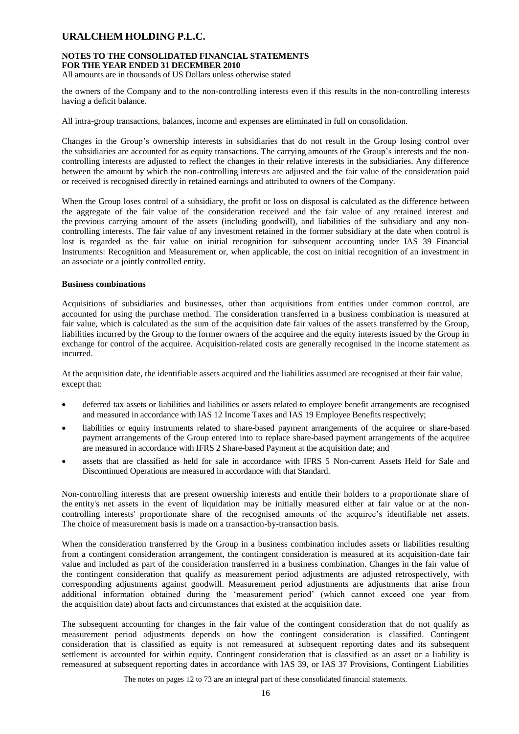## **NOTES TO THE CONSOLIDATED FINANCIAL STATEMENTS FOR THE YEAR ENDED 31 DECEMBER 2010**

All amounts are in thousands of US Dollars unless otherwise stated

the owners of the Company and to the non-controlling interests even if this results in the non-controlling interests having a deficit balance.

All intra-group transactions, balances, income and expenses are eliminated in full on consolidation.

Changes in the Group's ownership interests in subsidiaries that do not result in the Group losing control over the subsidiaries are accounted for as equity transactions. The carrying amounts of the Group's interests and the noncontrolling interests are adjusted to reflect the changes in their relative interests in the subsidiaries. Any difference between the amount by which the non-controlling interests are adjusted and the fair value of the consideration paid or received is recognised directly in retained earnings and attributed to owners of the Company.

When the Group loses control of a subsidiary, the profit or loss on disposal is calculated as the difference between the aggregate of the fair value of the consideration received and the fair value of any retained interest and the previous carrying amount of the assets (including goodwill), and liabilities of the subsidiary and any noncontrolling interests. The fair value of any investment retained in the former subsidiary at the date when control is lost is regarded as the fair value on initial recognition for subsequent accounting under IAS 39 Financial Instruments: Recognition and Measurement or, when applicable, the cost on initial recognition of an investment in an associate or a jointly controlled entity.

#### **Business combinations**

Acquisitions of subsidiaries and businesses, other than acquisitions from entities under common control, are accounted for using the purchase method. The consideration transferred in a business combination is measured at fair value, which is calculated as the sum of the acquisition date fair values of the assets transferred by the Group, liabilities incurred by the Group to the former owners of the acquiree and the equity interests issued by the Group in exchange for control of the acquiree. Acquisition-related costs are generally recognised in the income statement as incurred.

At the acquisition date, the identifiable assets acquired and the liabilities assumed are recognised at their fair value, except that:

- deferred tax assets or liabilities and liabilities or assets related to employee benefit arrangements are recognised and measured in accordance with IAS 12 Income Taxes and IAS 19 Employee Benefits respectively;
- liabilities or equity instruments related to share-based payment arrangements of the acquiree or share-based payment arrangements of the Group entered into to replace share-based payment arrangements of the acquiree are measured in accordance with IFRS 2 Share-based Payment at the acquisition date; and
- assets that are classified as held for sale in accordance with IFRS 5 Non-current Assets Held for Sale and Discontinued Operations are measured in accordance with that Standard.

Non-controlling interests that are present ownership interests and entitle their holders to a proportionate share of the entity's net assets in the event of liquidation may be initially measured either at fair value or at the noncontrolling interests' proportionate share of the recognised amounts of the acquiree's identifiable net assets. The choice of measurement basis is made on a transaction-by-transaction basis.

When the consideration transferred by the Group in a business combination includes assets or liabilities resulting from a contingent consideration arrangement, the contingent consideration is measured at its acquisition-date fair value and included as part of the consideration transferred in a business combination. Changes in the fair value of the contingent consideration that qualify as measurement period adjustments are adjusted retrospectively, with corresponding adjustments against goodwill. Measurement period adjustments are adjustments that arise from additional information obtained during the 'measurement period' (which cannot exceed one year from the acquisition date) about facts and circumstances that existed at the acquisition date.

The subsequent accounting for changes in the fair value of the contingent consideration that do not qualify as measurement period adjustments depends on how the contingent consideration is classified. Contingent consideration that is classified as equity is not remeasured at subsequent reporting dates and its subsequent settlement is accounted for within equity. Contingent consideration that is classified as an asset or a liability is remeasured at subsequent reporting dates in accordance with IAS 39, or IAS 37 Provisions, Contingent Liabilities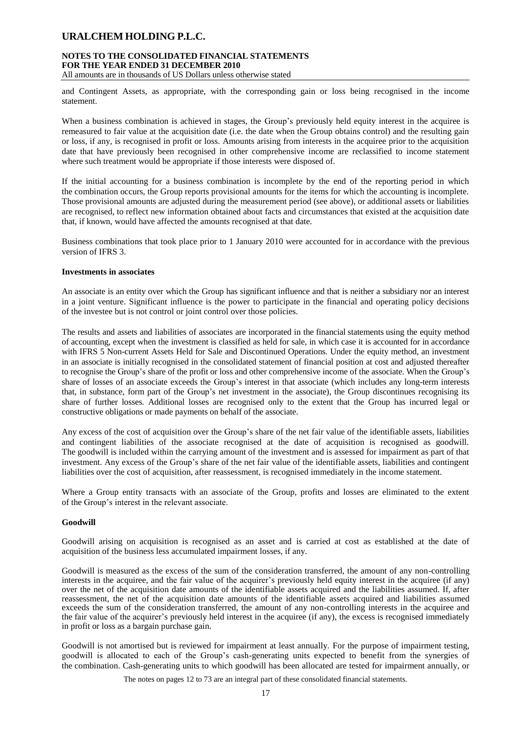#### **NOTES TO THE CONSOLIDATED FINANCIAL STATEMENTS FOR THE YEAR ENDED 31 DECEMBER 2010** All amounts are in thousands of US Dollars unless otherwise stated

and Contingent Assets, as appropriate, with the corresponding gain or loss being recognised in the income statement.

When a business combination is achieved in stages, the Group's previously held equity interest in the acquiree is remeasured to fair value at the acquisition date (i.e. the date when the Group obtains control) and the resulting gain or loss, if any, is recognised in profit or loss. Amounts arising from interests in the acquiree prior to the acquisition date that have previously been recognised in other comprehensive income are reclassified to income statement where such treatment would be appropriate if those interests were disposed of.

If the initial accounting for a business combination is incomplete by the end of the reporting period in which the combination occurs, the Group reports provisional amounts for the items for which the accounting is incomplete. Those provisional amounts are adjusted during the measurement period (see above), or additional assets or liabilities are recognised, to reflect new information obtained about facts and circumstances that existed at the acquisition date that, if known, would have affected the amounts recognised at that date.

Business combinations that took place prior to 1 January 2010 were accounted for in accordance with the previous version of IFRS 3.

#### **Investments in associates**

An associate is an entity over which the Group has significant influence and that is neither a subsidiary nor an interest in a joint venture. Significant influence is the power to participate in the financial and operating policy decisions of the investee but is not control or joint control over those policies.

The results and assets and liabilities of associates are incorporated in the financial statements using the equity method of accounting, except when the investment is classified as held for sale, in which case it is accounted for in accordance with IFRS 5 Non-current Assets Held for Sale and Discontinued Operations. Under the equity method, an investment in an associate is initially recognised in the consolidated statement of financial position at cost and adjusted thereafter to recognise the Group's share of the profit or loss and other comprehensive income of the associate. When the Group's share of losses of an associate exceeds the Group's interest in that associate (which includes any long-term interests that, in substance, form part of the Group's net investment in the associate), the Group discontinues recognising its share of further losses. Additional losses are recognised only to the extent that the Group has incurred legal or constructive obligations or made payments on behalf of the associate.

Any excess of the cost of acquisition over the Group's share of the net fair value of the identifiable assets, liabilities and contingent liabilities of the associate recognised at the date of acquisition is recognised as goodwill. The goodwill is included within the carrying amount of the investment and is assessed for impairment as part of that investment. Any excess of the Group's share of the net fair value of the identifiable assets, liabilities and contingent liabilities over the cost of acquisition, after reassessment, is recognised immediately in the income statement.

Where a Group entity transacts with an associate of the Group, profits and losses are eliminated to the extent of the Group's interest in the relevant associate.

#### **Goodwill**

Goodwill arising on acquisition is recognised as an asset and is carried at cost as established at the date of acquisition of the business less accumulated impairment losses, if any.

Goodwill is measured as the excess of the sum of the consideration transferred, the amount of any non-controlling interests in the acquiree, and the fair value of the acquirer's previously held equity interest in the acquiree (if any) over the net of the acquisition date amounts of the identifiable assets acquired and the liabilities assumed. If, after reassessment, the net of the acquisition date amounts of the identifiable assets acquired and liabilities assumed exceeds the sum of the consideration transferred, the amount of any non-controlling interests in the acquiree and the fair value of the acquirer's previously held interest in the acquiree (if any), the excess is recognised immediately in profit or loss as a bargain purchase gain.

Goodwill is not amortised but is reviewed for impairment at least annually. For the purpose of impairment testing, goodwill is allocated to each of the Group's cash-generating units expected to benefit from the synergies of the combination. Cash-generating units to which goodwill has been allocated are tested for impairment annually, or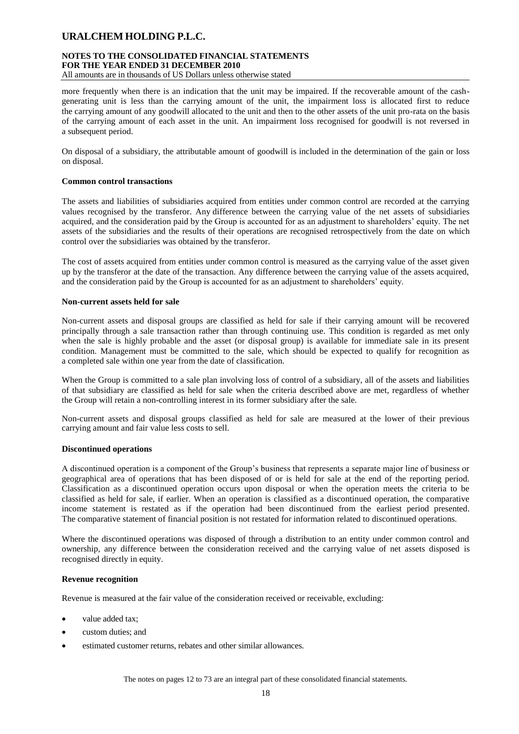#### **NOTES TO THE CONSOLIDATED FINANCIAL STATEMENTS FOR THE YEAR ENDED 31 DECEMBER 2010** All amounts are in thousands of US Dollars unless otherwise stated

more frequently when there is an indication that the unit may be impaired. If the recoverable amount of the cashgenerating unit is less than the carrying amount of the unit, the impairment loss is allocated first to reduce the carrying amount of any goodwill allocated to the unit and then to the other assets of the unit pro-rata on the basis of the carrying amount of each asset in the unit. An impairment loss recognised for goodwill is not reversed in a subsequent period.

On disposal of a subsidiary, the attributable amount of goodwill is included in the determination of the gain or loss on disposal.

#### **Common control transactions**

The assets and liabilities of subsidiaries acquired from entities under common control are recorded at the carrying values recognised by the transferor. Any difference between the carrying value of the net assets of subsidiaries acquired, and the consideration paid by the Group is accounted for as an adjustment to shareholders' equity. The net assets of the subsidiaries and the results of their operations are recognised retrospectively from the date on which control over the subsidiaries was obtained by the transferor.

The cost of assets acquired from entities under common control is measured as the carrying value of the asset given up by the transferor at the date of the transaction. Any difference between the carrying value of the assets acquired, and the consideration paid by the Group is accounted for as an adjustment to shareholders' equity.

#### **Non-current assets held for sale**

Non-current assets and disposal groups are classified as held for sale if their carrying amount will be recovered principally through a sale transaction rather than through continuing use. This condition is regarded as met only when the sale is highly probable and the asset (or disposal group) is available for immediate sale in its present condition. Management must be committed to the sale, which should be expected to qualify for recognition as a completed sale within one year from the date of classification.

When the Group is committed to a sale plan involving loss of control of a subsidiary, all of the assets and liabilities of that subsidiary are classified as held for sale when the criteria described above are met, regardless of whether the Group will retain a non-controlling interest in its former subsidiary after the sale.

Non-current assets and disposal groups classified as held for sale are measured at the lower of their previous carrying amount and fair value less costs to sell.

#### **Discontinued operations**

A discontinued operation is a component of the Group's business that represents a separate major line of business or geographical area of operations that has been disposed of or is held for sale at the end of the reporting period. Classification as a discontinued operation occurs upon disposal or when the operation meets the criteria to be classified as held for sale, if earlier. When an operation is classified as a discontinued operation, the comparative income statement is restated as if the operation had been discontinued from the earliest period presented. The comparative statement of financial position is not restated for information related to discontinued operations.

Where the discontinued operations was disposed of through a distribution to an entity under common control and ownership, any difference between the consideration received and the carrying value of net assets disposed is recognised directly in equity.

#### **Revenue recognition**

Revenue is measured at the fair value of the consideration received or receivable, excluding:

- value added tax;
- custom duties; and
- estimated customer returns, rebates and other similar allowances.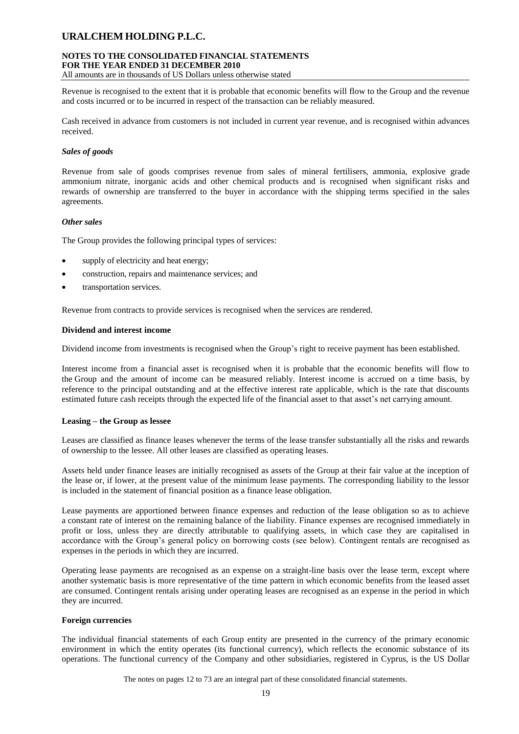#### **NOTES TO THE CONSOLIDATED FINANCIAL STATEMENTS FOR THE YEAR ENDED 31 DECEMBER 2010**

All amounts are in thousands of US Dollars unless otherwise stated

Revenue is recognised to the extent that it is probable that economic benefits will flow to the Group and the revenue and costs incurred or to be incurred in respect of the transaction can be reliably measured.

Cash received in advance from customers is not included in current year revenue, and is recognised within advances received.

#### *Sales of goods*

Revenue from sale of goods comprises revenue from sales of mineral fertilisers, ammonia, explosive grade ammonium nitrate, inorganic acids and other chemical products and is recognised when significant risks and rewards of ownership are transferred to the buyer in accordance with the shipping terms specified in the sales agreements.

#### *Other sales*

The Group provides the following principal types of services:

- supply of electricity and heat energy;
- construction, repairs and maintenance services; and
- transportation services.

Revenue from contracts to provide services is recognised when the services are rendered.

#### **Dividend and interest income**

Dividend income from investments is recognised when the Group's right to receive payment has been established.

Interest income from a financial asset is recognised when it is probable that the economic benefits will flow to the Group and the amount of income can be measured reliably. Interest income is accrued on a time basis, by reference to the principal outstanding and at the effective interest rate applicable, which is the rate that discounts estimated future cash receipts through the expected life of the financial asset to that asset's net carrying amount.

#### **Leasing – the Group as lessee**

Leases are classified as finance leases whenever the terms of the lease transfer substantially all the risks and rewards of ownership to the lessee. All other leases are classified as operating leases.

Assets held under finance leases are initially recognised as assets of the Group at their fair value at the inception of the lease or, if lower, at the present value of the minimum lease payments. The corresponding liability to the lessor is included in the statement of financial position as a finance lease obligation.

Lease payments are apportioned between finance expenses and reduction of the lease obligation so as to achieve a constant rate of interest on the remaining balance of the liability. Finance expenses are recognised immediately in profit or loss, unless they are directly attributable to qualifying assets, in which case they are capitalised in accordance with the Group's general policy on borrowing costs (see below). Contingent rentals are recognised as expenses in the periods in which they are incurred.

Operating lease payments are recognised as an expense on a straight-line basis over the lease term, except where another systematic basis is more representative of the time pattern in which economic benefits from the leased asset are consumed. Contingent rentals arising under operating leases are recognised as an expense in the period in which they are incurred.

#### **Foreign currencies**

The individual financial statements of each Group entity are presented in the currency of the primary economic environment in which the entity operates (its functional currency), which reflects the economic substance of its operations. The functional currency of the Company and other subsidiaries, registered in Cyprus, is the US Dollar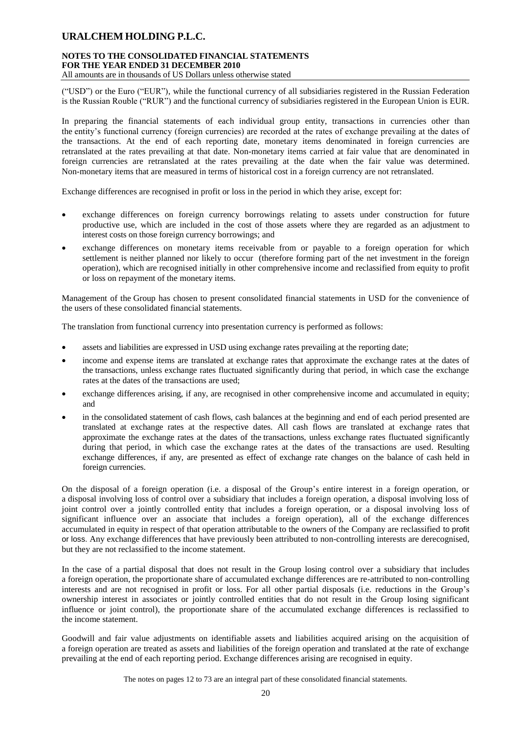#### **NOTES TO THE CONSOLIDATED FINANCIAL STATEMENTS FOR THE YEAR ENDED 31 DECEMBER 2010** All amounts are in thousands of US Dollars unless otherwise stated

("USD") or the Euro ("EUR"), while the functional currency of all subsidiaries registered in the Russian Federation is the Russian Rouble ("RUR") and the functional currency of subsidiaries registered in the European Union is EUR.

In preparing the financial statements of each individual group entity, transactions in currencies other than the entity's functional currency (foreign currencies) are recorded at the rates of exchange prevailing at the dates of the transactions. At the end of each reporting date, monetary items denominated in foreign currencies are retranslated at the rates prevailing at that date. Non-monetary items carried at fair value that are denominated in foreign currencies are retranslated at the rates prevailing at the date when the fair value was determined. Non-monetary items that are measured in terms of historical cost in a foreign currency are not retranslated.

Exchange differences are recognised in profit or loss in the period in which they arise, except for:

- exchange differences on foreign currency borrowings relating to assets under construction for future productive use, which are included in the cost of those assets where they are regarded as an adjustment to interest costs on those foreign currency borrowings; and
- exchange differences on monetary items receivable from or payable to a foreign operation for which settlement is neither planned nor likely to occur (therefore forming part of the net investment in the foreign operation), which are recognised initially in other comprehensive income and reclassified from equity to profit or loss on repayment of the monetary items.

Management of the Group has chosen to present consolidated financial statements in USD for the convenience of the users of these consolidated financial statements.

The translation from functional currency into presentation currency is performed as follows:

- assets and liabilities are expressed in USD using exchange rates prevailing at the reporting date;
- income and expense items are translated at exchange rates that approximate the exchange rates at the dates of the transactions, unless exchange rates fluctuated significantly during that period, in which case the exchange rates at the dates of the transactions are used;
- exchange differences arising, if any, are recognised in other comprehensive income and accumulated in equity; and
- in the consolidated statement of cash flows, cash balances at the beginning and end of each period presented are translated at exchange rates at the respective dates. All cash flows are translated at exchange rates that approximate the exchange rates at the dates of the transactions, unless exchange rates fluctuated significantly during that period, in which case the exchange rates at the dates of the transactions are used. Resulting exchange differences, if any, are presented as effect of exchange rate changes on the balance of cash held in foreign currencies.

On the disposal of a foreign operation (i.e. a disposal of the Group's entire interest in a foreign operation, or a disposal involving loss of control over a subsidiary that includes a foreign operation, a disposal involving loss of joint control over a jointly controlled entity that includes a foreign operation, or a disposal involving loss of significant influence over an associate that includes a foreign operation), all of the exchange differences accumulated in equity in respect of that operation attributable to the owners of the Company are reclassified to profit or loss. Any exchange differences that have previously been attributed to non-controlling interests are derecognised, but they are not reclassified to the income statement.

In the case of a partial disposal that does not result in the Group losing control over a subsidiary that includes a foreign operation, the proportionate share of accumulated exchange differences are re-attributed to non-controlling interests and are not recognised in profit or loss. For all other partial disposals (i.e. reductions in the Group's ownership interest in associates or jointly controlled entities that do not result in the Group losing significant influence or joint control), the proportionate share of the accumulated exchange differences is reclassified to the income statement.

Goodwill and fair value adjustments on identifiable assets and liabilities acquired arising on the acquisition of a foreign operation are treated as assets and liabilities of the foreign operation and translated at the rate of exchange prevailing at the end of each reporting period. Exchange differences arising are recognised in equity.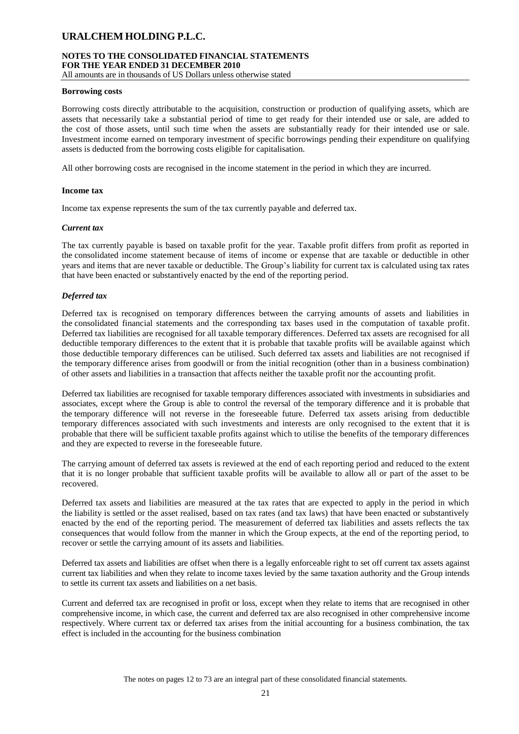## **NOTES TO THE CONSOLIDATED FINANCIAL STATEMENTS FOR THE YEAR ENDED 31 DECEMBER 2010**

All amounts are in thousands of US Dollars unless otherwise stated

#### **Borrowing costs**

Borrowing costs directly attributable to the acquisition, construction or production of qualifying assets, which are assets that necessarily take a substantial period of time to get ready for their intended use or sale, are added to the cost of those assets, until such time when the assets are substantially ready for their intended use or sale. Investment income earned on temporary investment of specific borrowings pending their expenditure on qualifying assets is deducted from the borrowing costs eligible for capitalisation.

All other borrowing costs are recognised in the income statement in the period in which they are incurred.

#### **Income tax**

Income tax expense represents the sum of the tax currently payable and deferred tax.

#### *Current tax*

The tax currently payable is based on taxable profit for the year. Taxable profit differs from profit as reported in the consolidated income statement because of items of income or expense that are taxable or deductible in other years and items that are never taxable or deductible. The Group's liability for current tax is calculated using tax rates that have been enacted or substantively enacted by the end of the reporting period.

#### *Deferred tax*

Deferred tax is recognised on temporary differences between the carrying amounts of assets and liabilities in the consolidated financial statements and the corresponding tax bases used in the computation of taxable profit. Deferred tax liabilities are recognised for all taxable temporary differences. Deferred tax assets are recognised for all deductible temporary differences to the extent that it is probable that taxable profits will be available against which those deductible temporary differences can be utilised. Such deferred tax assets and liabilities are not recognised if the temporary difference arises from goodwill or from the initial recognition (other than in a business combination) of other assets and liabilities in a transaction that affects neither the taxable profit nor the accounting profit.

Deferred tax liabilities are recognised for taxable temporary differences associated with investments in subsidiaries and associates, except where the Group is able to control the reversal of the temporary difference and it is probable that the temporary difference will not reverse in the foreseeable future. Deferred tax assets arising from deductible temporary differences associated with such investments and interests are only recognised to the extent that it is probable that there will be sufficient taxable profits against which to utilise the benefits of the temporary differences and they are expected to reverse in the foreseeable future.

The carrying amount of deferred tax assets is reviewed at the end of each reporting period and reduced to the extent that it is no longer probable that sufficient taxable profits will be available to allow all or part of the asset to be recovered.

Deferred tax assets and liabilities are measured at the tax rates that are expected to apply in the period in which the liability is settled or the asset realised, based on tax rates (and tax laws) that have been enacted or substantively enacted by the end of the reporting period. The measurement of deferred tax liabilities and assets reflects the tax consequences that would follow from the manner in which the Group expects, at the end of the reporting period, to recover or settle the carrying amount of its assets and liabilities.

Deferred tax assets and liabilities are offset when there is a legally enforceable right to set off current tax assets against current tax liabilities and when they relate to income taxes levied by the same taxation authority and the Group intends to settle its current tax assets and liabilities on a net basis.

Current and deferred tax are recognised in profit or loss, except when they relate to items that are recognised in other comprehensive income, in which case, the current and deferred tax are also recognised in other comprehensive income respectively. Where current tax or deferred tax arises from the initial accounting for a business combination, the tax effect is included in the accounting for the business combination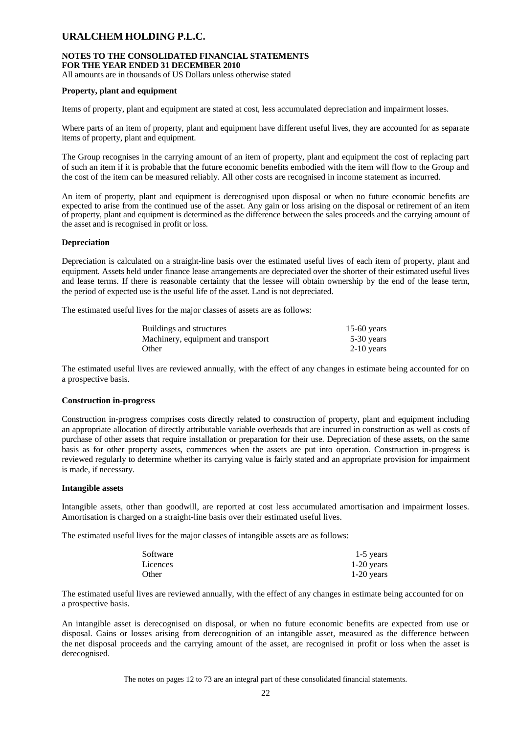## **NOTES TO THE CONSOLIDATED FINANCIAL STATEMENTS FOR THE YEAR ENDED 31 DECEMBER 2010**

All amounts are in thousands of US Dollars unless otherwise stated

#### **Property, plant and equipment**

Items of property, plant and equipment are stated at cost, less accumulated depreciation and impairment losses.

Where parts of an item of property, plant and equipment have different useful lives, they are accounted for as separate items of property, plant and equipment.

The Group recognises in the carrying amount of an item of property, plant and equipment the cost of replacing part of such an item if it is probable that the future economic benefits embodied with the item will flow to the Group and the cost of the item can be measured reliably. All other costs are recognised in income statement as incurred.

An item of property, plant and equipment is derecognised upon disposal or when no future economic benefits are expected to arise from the continued use of the asset. Any gain or loss arising on the disposal or retirement of an item of property, plant and equipment is determined as the difference between the sales proceeds and the carrying amount of the asset and is recognised in profit or loss.

#### **Depreciation**

Depreciation is calculated on a straight-line basis over the estimated useful lives of each item of property, plant and equipment. Assets held under finance lease arrangements are depreciated over the shorter of their estimated useful lives and lease terms. If there is reasonable certainty that the lessee will obtain ownership by the end of the lease term, the period of expected use is the useful life of the asset. Land is not depreciated.

The estimated useful lives for the major classes of assets are as follows:

| Buildings and structures           | 15-60 years  |
|------------------------------------|--------------|
| Machinery, equipment and transport | $5-30$ years |
| Other                              | $2-10$ years |

The estimated useful lives are reviewed annually, with the effect of any changes in estimate being accounted for on a prospective basis.

#### **Construction in-progress**

Construction in-progress comprises costs directly related to construction of property, plant and equipment including an appropriate allocation of directly attributable variable overheads that are incurred in construction as well as costs of purchase of other assets that require installation or preparation for their use. Depreciation of these assets, on the same basis as for other property assets, commences when the assets are put into operation. Construction in-progress is reviewed regularly to determine whether its carrying value is fairly stated and an appropriate provision for impairment is made, if necessary.

#### **Intangible assets**

Intangible assets, other than goodwill, are reported at cost less accumulated amortisation and impairment losses. Amortisation is charged on a straight-line basis over their estimated useful lives.

The estimated useful lives for the major classes of intangible assets are as follows:

| Software | $1-5$ years  |
|----------|--------------|
| Licences | $1-20$ years |
| Other    | $1-20$ years |

The estimated useful lives are reviewed annually, with the effect of any changes in estimate being accounted for on a prospective basis.

An intangible asset is derecognised on disposal, or when no future economic benefits are expected from use or disposal. Gains or losses arising from derecognition of an intangible asset, measured as the difference between the net disposal proceeds and the carrying amount of the asset, are recognised in profit or loss when the asset is derecognised.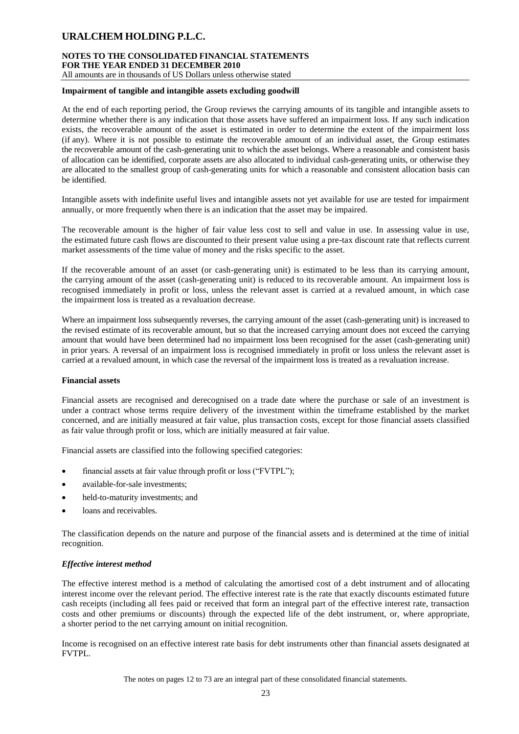## **NOTES TO THE CONSOLIDATED FINANCIAL STATEMENTS FOR THE YEAR ENDED 31 DECEMBER 2010**

All amounts are in thousands of US Dollars unless otherwise stated

#### **Impairment of tangible and intangible assets excluding goodwill**

At the end of each reporting period, the Group reviews the carrying amounts of its tangible and intangible assets to determine whether there is any indication that those assets have suffered an impairment loss. If any such indication exists, the recoverable amount of the asset is estimated in order to determine the extent of the impairment loss (if any). Where it is not possible to estimate the recoverable amount of an individual asset, the Group estimates the recoverable amount of the cash-generating unit to which the asset belongs. Where a reasonable and consistent basis of allocation can be identified, corporate assets are also allocated to individual cash-generating units, or otherwise they are allocated to the smallest group of cash-generating units for which a reasonable and consistent allocation basis can be identified.

Intangible assets with indefinite useful lives and intangible assets not yet available for use are tested for impairment annually, or more frequently when there is an indication that the asset may be impaired.

The recoverable amount is the higher of fair value less cost to sell and value in use. In assessing value in use, the estimated future cash flows are discounted to their present value using a pre-tax discount rate that reflects current market assessments of the time value of money and the risks specific to the asset.

If the recoverable amount of an asset (or cash-generating unit) is estimated to be less than its carrying amount, the carrying amount of the asset (cash-generating unit) is reduced to its recoverable amount. An impairment loss is recognised immediately in profit or loss, unless the relevant asset is carried at a revalued amount, in which case the impairment loss is treated as a revaluation decrease.

Where an impairment loss subsequently reverses, the carrying amount of the asset (cash-generating unit) is increased to the revised estimate of its recoverable amount, but so that the increased carrying amount does not exceed the carrying amount that would have been determined had no impairment loss been recognised for the asset (cash-generating unit) in prior years. A reversal of an impairment loss is recognised immediately in profit or loss unless the relevant asset is carried at a revalued amount, in which case the reversal of the impairment loss is treated as a revaluation increase.

#### **Financial assets**

Financial assets are recognised and derecognised on a trade date where the purchase or sale of an investment is under a contract whose terms require delivery of the investment within the timeframe established by the market concerned, and are initially measured at fair value, plus transaction costs, except for those financial assets classified as fair value through profit or loss, which are initially measured at fair value.

Financial assets are classified into the following specified categories:

- financial assets at fair value through profit or loss ("FVTPL");
- available-for-sale investments;
- held-to-maturity investments; and
- loans and receivables.

The classification depends on the nature and purpose of the financial assets and is determined at the time of initial recognition.

#### *Effective interest method*

The effective interest method is a method of calculating the amortised cost of a debt instrument and of allocating interest income over the relevant period. The effective interest rate is the rate that exactly discounts estimated future cash receipts (including all fees paid or received that form an integral part of the effective interest rate, transaction costs and other premiums or discounts) through the expected life of the debt instrument, or, where appropriate, a shorter period to the net carrying amount on initial recognition.

Income is recognised on an effective interest rate basis for debt instruments other than financial assets designated at FVTPL.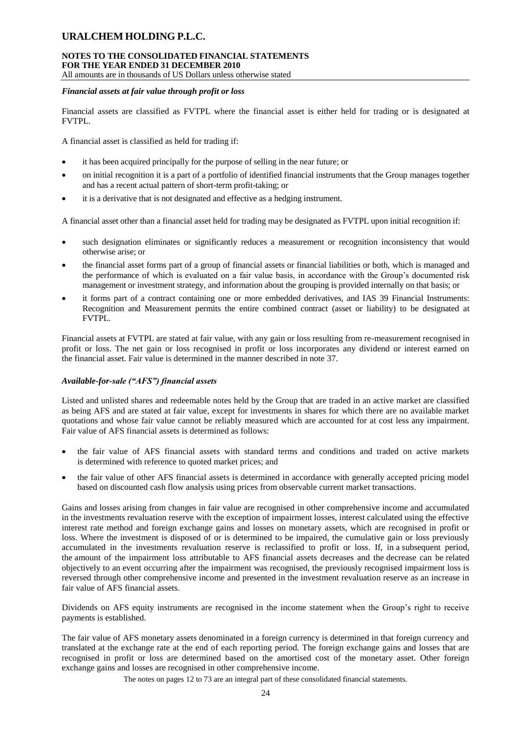## **NOTES TO THE CONSOLIDATED FINANCIAL STATEMENTS FOR THE YEAR ENDED 31 DECEMBER 2010**

All amounts are in thousands of US Dollars unless otherwise stated

#### *Financial assets at fair value through profit or loss*

Financial assets are classified as FVTPL where the financial asset is either held for trading or is designated at FVTPL.

A financial asset is classified as held for trading if:

- it has been acquired principally for the purpose of selling in the near future; or
- on initial recognition it is a part of a portfolio of identified financial instruments that the Group manages together and has a recent actual pattern of short-term profit-taking; or
- it is a derivative that is not designated and effective as a hedging instrument.

A financial asset other than a financial asset held for trading may be designated as FVTPL upon initial recognition if:

- such designation eliminates or significantly reduces a measurement or recognition inconsistency that would otherwise arise; or
- the financial asset forms part of a group of financial assets or financial liabilities or both, which is managed and the performance of which is evaluated on a fair value basis, in accordance with the Group's documented risk management or investment strategy, and information about the grouping is provided internally on that basis; or
- it forms part of a contract containing one or more embedded derivatives, and IAS 39 Financial Instruments: Recognition and Measurement permits the entire combined contract (asset or liability) to be designated at FVTPL.

Financial assets at FVTPL are stated at fair value, with any gain or loss resulting from re-measurement recognised in profit or loss. The net gain or loss recognised in profit or loss incorporates any dividend or interest earned on the financial asset. Fair value is determined in the manner described in note 37.

#### *Available-for-sale ("AFS") financial assets*

Listed and unlisted shares and redeemable notes held by the Group that are traded in an active market are classified as being AFS and are stated at fair value, except for investments in shares for which there are no available market quotations and whose fair value cannot be reliably measured which are accounted for at cost less any impairment. Fair value of AFS financial assets is determined as follows:

- the fair value of AFS financial assets with standard terms and conditions and traded on active markets is determined with reference to quoted market prices; and
- the fair value of other AFS financial assets is determined in accordance with generally accepted pricing model based on discounted cash flow analysis using prices from observable current market transactions.

Gains and losses arising from changes in fair value are recognised in other comprehensive income and accumulated in the investments revaluation reserve with the exception of impairment losses, interest calculated using the effective interest rate method and foreign exchange gains and losses on monetary assets, which are recognised in profit or loss. Where the investment is disposed of or is determined to be impaired, the cumulative gain or loss previously accumulated in the investments revaluation reserve is reclassified to profit or loss. If, in a subsequent period, the amount of the impairment loss attributable to AFS financial assets decreases and the decrease can be related objectively to an event occurring after the impairment was recognised, the previously recognised impairment loss is reversed through other comprehensive income and presented in the investment revaluation reserve as an increase in fair value of AFS financial assets.

Dividends on AFS equity instruments are recognised in the income statement when the Group's right to receive payments is established.

The fair value of AFS monetary assets denominated in a foreign currency is determined in that foreign currency and translated at the exchange rate at the end of each reporting period. The foreign exchange gains and losses that are recognised in profit or loss are determined based on the amortised cost of the monetary asset. Other foreign exchange gains and losses are recognised in other comprehensive income.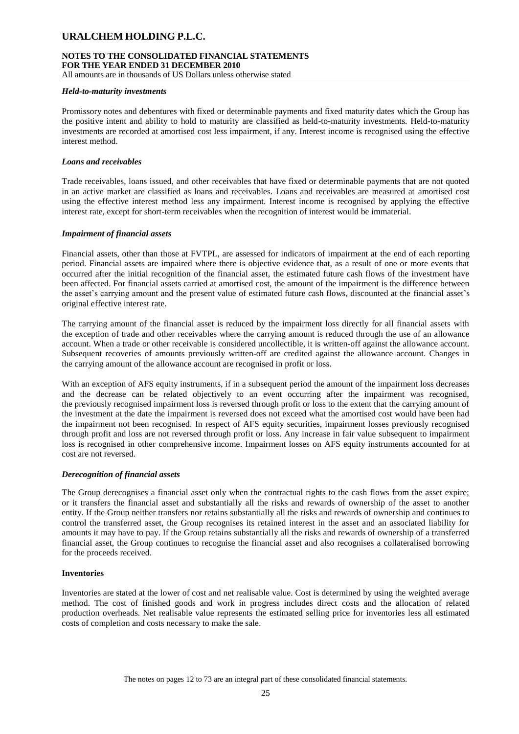## **NOTES TO THE CONSOLIDATED FINANCIAL STATEMENTS FOR THE YEAR ENDED 31 DECEMBER 2010**

All amounts are in thousands of US Dollars unless otherwise stated

#### *Held-to-maturity investments*

Promissory notes and debentures with fixed or determinable payments and fixed maturity dates which the Group has the positive intent and ability to hold to maturity are classified as held-to-maturity investments. Held-to-maturity investments are recorded at amortised cost less impairment, if any. Interest income is recognised using the effective interest method.

#### *Loans and receivables*

Trade receivables, loans issued, and other receivables that have fixed or determinable payments that are not quoted in an active market are classified as loans and receivables. Loans and receivables are measured at amortised cost using the effective interest method less any impairment. Interest income is recognised by applying the effective interest rate, except for short-term receivables when the recognition of interest would be immaterial.

#### *Impairment of financial assets*

Financial assets, other than those at FVTPL, are assessed for indicators of impairment at the end of each reporting period. Financial assets are impaired where there is objective evidence that, as a result of one or more events that occurred after the initial recognition of the financial asset, the estimated future cash flows of the investment have been affected. For financial assets carried at amortised cost, the amount of the impairment is the difference between the asset's carrying amount and the present value of estimated future cash flows, discounted at the financial asset's original effective interest rate.

The carrying amount of the financial asset is reduced by the impairment loss directly for all financial assets with the exception of trade and other receivables where the carrying amount is reduced through the use of an allowance account. When a trade or other receivable is considered uncollectible, it is written-off against the allowance account. Subsequent recoveries of amounts previously written-off are credited against the allowance account. Changes in the carrying amount of the allowance account are recognised in profit or loss.

With an exception of AFS equity instruments, if in a subsequent period the amount of the impairment loss decreases and the decrease can be related objectively to an event occurring after the impairment was recognised, the previously recognised impairment loss is reversed through profit or loss to the extent that the carrying amount of the investment at the date the impairment is reversed does not exceed what the amortised cost would have been had the impairment not been recognised. In respect of AFS equity securities, impairment losses previously recognised through profit and loss are not reversed through profit or loss. Any increase in fair value subsequent to impairment loss is recognised in other comprehensive income. Impairment losses on AFS equity instruments accounted for at cost are not reversed.

#### *Derecognition of financial assets*

The Group derecognises a financial asset only when the contractual rights to the cash flows from the asset expire; or it transfers the financial asset and substantially all the risks and rewards of ownership of the asset to another entity. If the Group neither transfers nor retains substantially all the risks and rewards of ownership and continues to control the transferred asset, the Group recognises its retained interest in the asset and an associated liability for amounts it may have to pay. If the Group retains substantially all the risks and rewards of ownership of a transferred financial asset, the Group continues to recognise the financial asset and also recognises a collateralised borrowing for the proceeds received.

#### **Inventories**

Inventories are stated at the lower of cost and net realisable value. Cost is determined by using the weighted average method. The cost of finished goods and work in progress includes direct costs and the allocation of related production overheads. Net realisable value represents the estimated selling price for inventories less all estimated costs of completion and costs necessary to make the sale.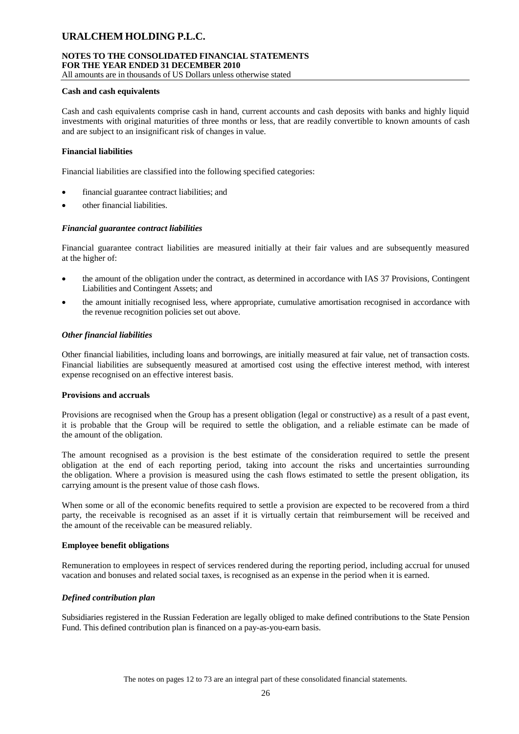## **NOTES TO THE CONSOLIDATED FINANCIAL STATEMENTS FOR THE YEAR ENDED 31 DECEMBER 2010**

All amounts are in thousands of US Dollars unless otherwise stated

#### **Cash and cash equivalents**

Cash and cash equivalents comprise cash in hand, current accounts and cash deposits with banks and highly liquid investments with original maturities of three months or less, that are readily convertible to known amounts of cash and are subject to an insignificant risk of changes in value.

#### **Financial liabilities**

Financial liabilities are classified into the following specified categories:

- financial guarantee contract liabilities; and
- other financial liabilities.

#### *Financial guarantee contract liabilities*

Financial guarantee contract liabilities are measured initially at their fair values and are subsequently measured at the higher of:

- the amount of the obligation under the contract, as determined in accordance with IAS 37 Provisions, Contingent Liabilities and Contingent Assets; and
- the amount initially recognised less, where appropriate, cumulative amortisation recognised in accordance with the revenue recognition policies set out above.

#### *Other financial liabilities*

Other financial liabilities, including loans and borrowings, are initially measured at fair value, net of transaction costs. Financial liabilities are subsequently measured at amortised cost using the effective interest method, with interest expense recognised on an effective interest basis.

#### **Provisions and accruals**

Provisions are recognised when the Group has a present obligation (legal or constructive) as a result of a past event, it is probable that the Group will be required to settle the obligation, and a reliable estimate can be made of the amount of the obligation.

The amount recognised as a provision is the best estimate of the consideration required to settle the present obligation at the end of each reporting period, taking into account the risks and uncertainties surrounding the obligation. Where a provision is measured using the cash flows estimated to settle the present obligation, its carrying amount is the present value of those cash flows.

When some or all of the economic benefits required to settle a provision are expected to be recovered from a third party, the receivable is recognised as an asset if it is virtually certain that reimbursement will be received and the amount of the receivable can be measured reliably.

#### **Employee benefit obligations**

Remuneration to employees in respect of services rendered during the reporting period, including accrual for unused vacation and bonuses and related social taxes, is recognised as an expense in the period when it is earned.

#### *Defined contribution plan*

Subsidiaries registered in the Russian Federation are legally obliged to make defined contributions to the State Pension Fund. This defined contribution plan is financed on a pay-as-you-earn basis.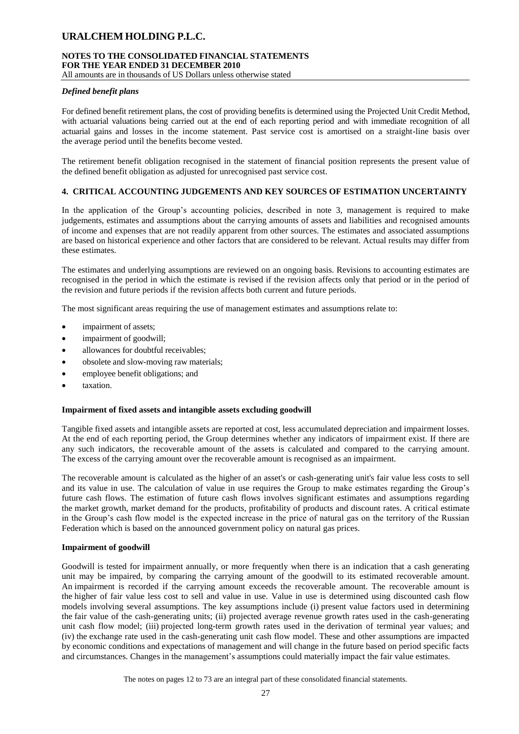## **NOTES TO THE CONSOLIDATED FINANCIAL STATEMENTS FOR THE YEAR ENDED 31 DECEMBER 2010**

All amounts are in thousands of US Dollars unless otherwise stated

#### *Defined benefit plans*

For defined benefit retirement plans, the cost of providing benefits is determined using the Projected Unit Credit Method, with actuarial valuations being carried out at the end of each reporting period and with immediate recognition of all actuarial gains and losses in the income statement. Past service cost is amortised on a straight-line basis over the average period until the benefits become vested.

The retirement benefit obligation recognised in the statement of financial position represents the present value of the defined benefit obligation as adjusted for unrecognised past service cost.

#### **4. CRITICAL ACCOUNTING JUDGEMENTS AND KEY SOURCES OF ESTIMATION UNCERTAINTY**

In the application of the Group's accounting policies, described in note 3, management is required to make judgements, estimates and assumptions about the carrying amounts of assets and liabilities and recognised amounts of income and expenses that are not readily apparent from other sources. The estimates and associated assumptions are based on historical experience and other factors that are considered to be relevant. Actual results may differ from these estimates.

The estimates and underlying assumptions are reviewed on an ongoing basis. Revisions to accounting estimates are recognised in the period in which the estimate is revised if the revision affects only that period or in the period of the revision and future periods if the revision affects both current and future periods.

The most significant areas requiring the use of management estimates and assumptions relate to:

- impairment of assets;
- impairment of goodwill;
- allowances for doubtful receivables;
- obsolete and slow-moving raw materials;
- employee benefit obligations; and
- taxation.

#### **Impairment of fixed assets and intangible assets excluding goodwill**

Tangible fixed assets and intangible assets are reported at cost, less accumulated depreciation and impairment losses. At the end of each reporting period, the Group determines whether any indicators of impairment exist. If there are any such indicators, the recoverable amount of the assets is calculated and compared to the carrying amount. The excess of the carrying amount over the recoverable amount is recognised as an impairment.

The recoverable amount is calculated as the higher of an asset's or cash-generating unit's fair value less costs to sell and its value in use. The calculation of value in use requires the Group to make estimates regarding the Group's future cash flows. The estimation of future cash flows involves significant estimates and assumptions regarding the market growth, market demand for the products, profitability of products and discount rates. A critical estimate in the Group's cash flow model is the expected increase in the price of natural gas on the territory of the Russian Federation which is based on the announced government policy on natural gas prices.

#### **Impairment of goodwill**

Goodwill is tested for impairment annually, or more frequently when there is an indication that a cash generating unit may be impaired, by comparing the carrying amount of the goodwill to its estimated recoverable amount. An impairment is recorded if the carrying amount exceeds the recoverable amount. The recoverable amount is the higher of fair value less cost to sell and value in use. Value in use is determined using discounted cash flow models involving several assumptions. The key assumptions include (i) present value factors used in determining the fair value of the cash-generating units; (ii) projected average revenue growth rates used in the cash-generating unit cash flow model; (iii) projected long-term growth rates used in the derivation of terminal year values; and (iv) the exchange rate used in the cash-generating unit cash flow model. These and other assumptions are impacted by economic conditions and expectations of management and will change in the future based on period specific facts and circumstances. Changes in the management's assumptions could materially impact the fair value estimates.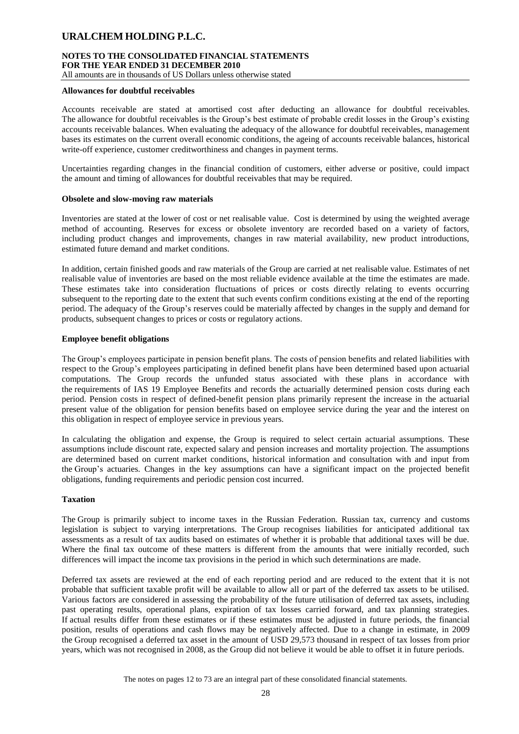## **NOTES TO THE CONSOLIDATED FINANCIAL STATEMENTS FOR THE YEAR ENDED 31 DECEMBER 2010**

All amounts are in thousands of US Dollars unless otherwise stated

#### **Allowances for doubtful receivables**

Accounts receivable are stated at amortised cost after deducting an allowance for doubtful receivables. The allowance for doubtful receivables is the Group's best estimate of probable credit losses in the Group's existing accounts receivable balances. When evaluating the adequacy of the allowance for doubtful receivables, management bases its estimates on the current overall economic conditions, the ageing of accounts receivable balances, historical write-off experience, customer creditworthiness and changes in payment terms.

Uncertainties regarding changes in the financial condition of customers, either adverse or positive, could impact the amount and timing of allowances for doubtful receivables that may be required.

#### **Obsolete and slow-moving raw materials**

Inventories are stated at the lower of cost or net realisable value. Cost is determined by using the weighted average method of accounting. Reserves for excess or obsolete inventory are recorded based on a variety of factors, including product changes and improvements, changes in raw material availability, new product introductions, estimated future demand and market conditions.

In addition, certain finished goods and raw materials of the Group are carried at net realisable value. Estimates of net realisable value of inventories are based on the most reliable evidence available at the time the estimates are made. These estimates take into consideration fluctuations of prices or costs directly relating to events occurring subsequent to the reporting date to the extent that such events confirm conditions existing at the end of the reporting period. The adequacy of the Group's reserves could be materially affected by changes in the supply and demand for products, subsequent changes to prices or costs or regulatory actions.

#### **Employee benefit obligations**

The Group's employees participate in pension benefit plans. The costs of pension benefits and related liabilities with respect to the Group's employees participating in defined benefit plans have been determined based upon actuarial computations. The Group records the unfunded status associated with these plans in accordance with the requirements of IAS 19 Employee Benefits and records the actuarially determined pension costs during each period. Pension costs in respect of defined-benefit pension plans primarily represent the increase in the actuarial present value of the obligation for pension benefits based on employee service during the year and the interest on this obligation in respect of employee service in previous years.

In calculating the obligation and expense, the Group is required to select certain actuarial assumptions. These assumptions include discount rate, expected salary and pension increases and mortality projection. The assumptions are determined based on current market conditions, historical information and consultation with and input from the Group's actuaries. Changes in the key assumptions can have a significant impact on the projected benefit obligations, funding requirements and periodic pension cost incurred.

#### **Taxation**

The Group is primarily subject to income taxes in the Russian Federation. Russian tax, currency and customs legislation is subject to varying interpretations. The Group recognises liabilities for anticipated additional tax assessments as a result of tax audits based on estimates of whether it is probable that additional taxes will be due. Where the final tax outcome of these matters is different from the amounts that were initially recorded, such differences will impact the income tax provisions in the period in which such determinations are made.

Deferred tax assets are reviewed at the end of each reporting period and are reduced to the extent that it is not probable that sufficient taxable profit will be available to allow all or part of the deferred tax assets to be utilised. Various factors are considered in assessing the probability of the future utilisation of deferred tax assets, including past operating results, operational plans, expiration of tax losses carried forward, and tax planning strategies. If actual results differ from these estimates or if these estimates must be adjusted in future periods, the financial position, results of operations and cash flows may be negatively affected. Due to a change in estimate, in 2009 the Group recognised a deferred tax asset in the amount of USD 29,573 thousand in respect of tax losses from prior years, which was not recognised in 2008, as the Group did not believe it would be able to offset it in future periods.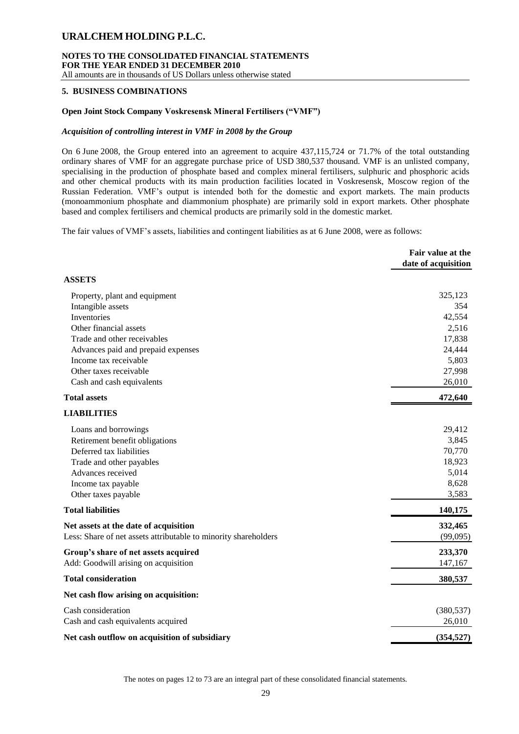#### **NOTES TO THE CONSOLIDATED FINANCIAL STATEMENTS FOR THE YEAR ENDED 31 DECEMBER 2010** All amounts are in thousands of US Dollars unless otherwise stated

#### **5. BUSINESS COMBINATIONS**

#### **Open Joint Stock Company Voskresensk Mineral Fertilisers ("VMF")**

#### *Acquisition of controlling interest in VMF in 2008 by the Group*

On 6 June 2008, the Group entered into an agreement to acquire 437,115,724 or 71.7% of the total outstanding ordinary shares of VMF for an aggregate purchase price of USD 380,537 thousand. VMF is an unlisted company, specialising in the production of phosphate based and complex mineral fertilisers, sulphuric and phosphoric acids and other chemical products with its main production facilities located in Voskresensk, Moscow region of the Russian Federation. VMF's output is intended both for the domestic and export markets. The main products (monoammonium phosphate and diammonium phosphate) are primarily sold in export markets. Other phosphate based and complex fertilisers and chemical products are primarily sold in the domestic market.

The fair values of VMF's assets, liabilities and contingent liabilities as at 6 June 2008, were as follows:

|                                                                 | Fair value at the<br>date of acquisition |
|-----------------------------------------------------------------|------------------------------------------|
| <b>ASSETS</b>                                                   |                                          |
| Property, plant and equipment                                   | 325,123                                  |
| Intangible assets                                               | 354                                      |
| Inventories                                                     | 42,554                                   |
| Other financial assets                                          | 2,516                                    |
| Trade and other receivables                                     | 17,838                                   |
| Advances paid and prepaid expenses                              | 24,444                                   |
| Income tax receivable                                           | 5,803                                    |
| Other taxes receivable                                          | 27,998                                   |
| Cash and cash equivalents                                       | 26,010                                   |
| <b>Total assets</b>                                             | 472,640                                  |
| <b>LIABILITIES</b>                                              |                                          |
| Loans and borrowings                                            | 29,412                                   |
| Retirement benefit obligations                                  | 3,845                                    |
| Deferred tax liabilities                                        | 70,770                                   |
| Trade and other payables                                        | 18,923                                   |
| Advances received                                               | 5,014                                    |
| Income tax payable                                              | 8,628                                    |
| Other taxes payable                                             | 3,583                                    |
| <b>Total liabilities</b>                                        | 140,175                                  |
| Net assets at the date of acquisition                           | 332,465                                  |
| Less: Share of net assets attributable to minority shareholders | (99,095)                                 |
| Group's share of net assets acquired                            | 233,370                                  |
| Add: Goodwill arising on acquisition                            | 147,167                                  |
| <b>Total consideration</b>                                      | 380,537                                  |
| Net cash flow arising on acquisition:                           |                                          |
| Cash consideration                                              | (380, 537)                               |
| Cash and cash equivalents acquired                              | 26,010                                   |
| Net cash outflow on acquisition of subsidiary                   | (354, 527)                               |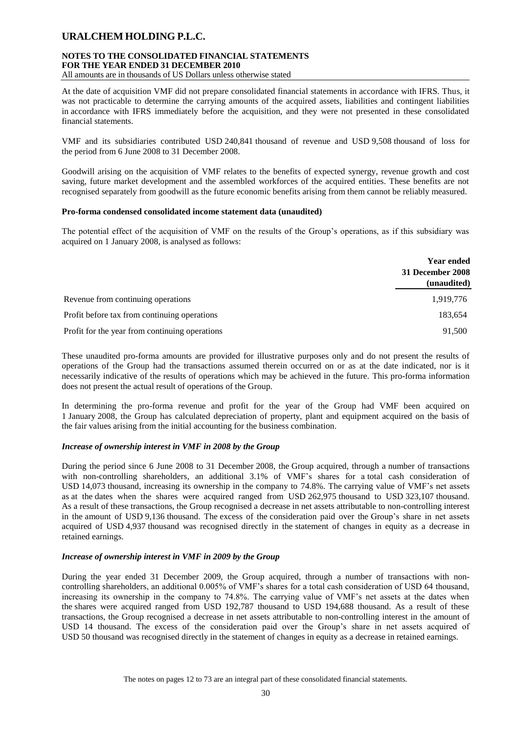## **NOTES TO THE CONSOLIDATED FINANCIAL STATEMENTS FOR THE YEAR ENDED 31 DECEMBER 2010**

All amounts are in thousands of US Dollars unless otherwise stated

At the date of acquisition VMF did not prepare consolidated financial statements in accordance with IFRS. Thus, it was not practicable to determine the carrying amounts of the acquired assets, liabilities and contingent liabilities in accordance with IFRS immediately before the acquisition, and they were not presented in these consolidated financial statements.

VMF and its subsidiaries contributed USD 240,841 thousand of revenue and USD 9,508 thousand of loss for the period from 6 June 2008 to 31 December 2008.

Goodwill arising on the acquisition of VMF relates to the benefits of expected synergy, revenue growth and cost saving, future market development and the assembled workforces of the acquired entities. These benefits are not recognised separately from goodwill as the future economic benefits arising from them cannot be reliably measured.

#### **Pro-forma condensed consolidated income statement data (unaudited)**

The potential effect of the acquisition of VMF on the results of the Group's operations, as if this subsidiary was acquired on 1 January 2008, is analysed as follows:

|                                                | <b>Year ended</b>               |
|------------------------------------------------|---------------------------------|
|                                                | 31 December 2008<br>(unaudited) |
| Revenue from continuing operations             | 1.919.776                       |
| Profit before tax from continuing operations   | 183,654                         |
| Profit for the year from continuing operations | 91.500                          |

These unaudited pro-forma amounts are provided for illustrative purposes only and do not present the results of operations of the Group had the transactions assumed therein occurred on or as at the date indicated, nor is it necessarily indicative of the results of operations which may be achieved in the future. This pro-forma information does not present the actual result of operations of the Group.

In determining the pro-forma revenue and profit for the year of the Group had VMF been acquired on 1 January 2008, the Group has calculated depreciation of property, plant and equipment acquired on the basis of the fair values arising from the initial accounting for the business combination.

#### *Increase of ownership interest in VMF in 2008 by the Group*

During the period since 6 June 2008 to 31 December 2008, the Group acquired, through a number of transactions with non-controlling shareholders, an additional 3.1% of VMF's shares for a total cash consideration of USD 14,073 thousand, increasing its ownership in the company to 74.8%. The carrying value of VMF's net assets as at the dates when the shares were acquired ranged from USD 262,975 thousand to USD 323,107 thousand. As a result of these transactions, the Group recognised a decrease in net assets attributable to non-controlling interest in the amount of USD 9,136 thousand. The excess of the consideration paid over the Group's share in net assets acquired of USD 4,937 thousand was recognised directly in the statement of changes in equity as a decrease in retained earnings.

#### *Increase of ownership interest in VMF in 2009 by the Group*

During the year ended 31 December 2009, the Group acquired, through a number of transactions with noncontrolling shareholders, an additional 0.005% of VMF's shares for a total cash consideration of USD 64 thousand, increasing its ownership in the company to 74.8%. The carrying value of VMF's net assets at the dates when the shares were acquired ranged from USD 192,787 thousand to USD 194,688 thousand. As a result of these transactions, the Group recognised a decrease in net assets attributable to non-controlling interest in the amount of USD 14 thousand. The excess of the consideration paid over the Group's share in net assets acquired of USD 50 thousand was recognised directly in the statement of changes in equity as a decrease in retained earnings.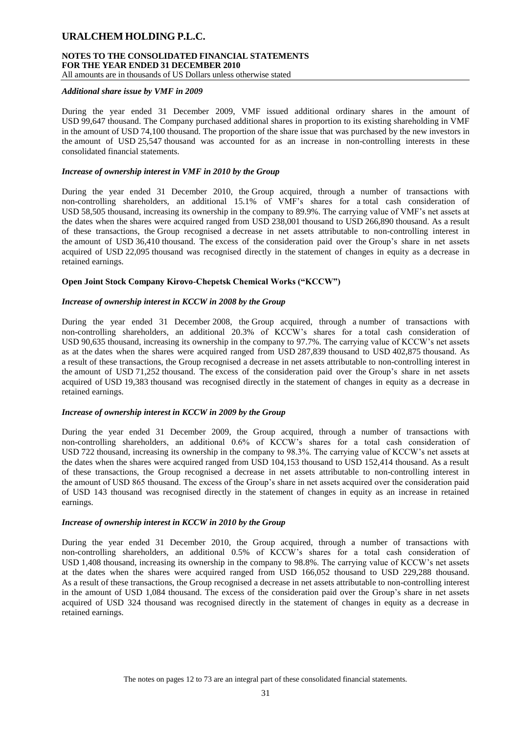## **NOTES TO THE CONSOLIDATED FINANCIAL STATEMENTS FOR THE YEAR ENDED 31 DECEMBER 2010**

All amounts are in thousands of US Dollars unless otherwise stated

#### *Additional share issue by VMF in 2009*

During the year ended 31 December 2009, VMF issued additional ordinary shares in the amount of USD 99,647 thousand. The Company purchased additional shares in proportion to its existing shareholding in VMF in the amount of USD 74,100 thousand. The proportion of the share issue that was purchased by the new investors in the amount of USD 25,547 thousand was accounted for as an increase in non-controlling interests in these consolidated financial statements.

#### *Increase of ownership interest in VMF in 2010 by the Group*

During the year ended 31 December 2010, the Group acquired, through a number of transactions with non-controlling shareholders, an additional 15.1% of VMF's shares for a total cash consideration of USD 58,505 thousand, increasing its ownership in the company to 89.9%. The carrying value of VMF's net assets at the dates when the shares were acquired ranged from USD 238,001 thousand to USD 266,890 thousand. As a result of these transactions, the Group recognised a decrease in net assets attributable to non-controlling interest in the amount of USD 36,410 thousand. The excess of the consideration paid over the Group's share in net assets acquired of USD 22,095 thousand was recognised directly in the statement of changes in equity as a decrease in retained earnings.

#### **Open Joint Stock Company Kirovo-Chepetsk Chemical Works ("KCCW")**

#### *Increase of ownership interest in KCCW in 2008 by the Group*

During the year ended 31 December 2008, the Group acquired, through a number of transactions with non-controlling shareholders, an additional 20.3% of KCCW's shares for a total cash consideration of USD 90,635 thousand, increasing its ownership in the company to 97.7%. The carrying value of KCCW's net assets as at the dates when the shares were acquired ranged from USD 287,839 thousand to USD 402,875 thousand. As a result of these transactions, the Group recognised a decrease in net assets attributable to non-controlling interest in the amount of USD 71,252 thousand. The excess of the consideration paid over the Group's share in net assets acquired of USD 19,383 thousand was recognised directly in the statement of changes in equity as a decrease in retained earnings.

#### *Increase of ownership interest in KCCW in 2009 by the Group*

During the year ended 31 December 2009, the Group acquired, through a number of transactions with non-controlling shareholders, an additional 0.6% of KCCW's shares for a total cash consideration of USD 722 thousand, increasing its ownership in the company to 98.3%. The carrying value of KCCW's net assets at the dates when the shares were acquired ranged from USD 104,153 thousand to USD 152,414 thousand. As a result of these transactions, the Group recognised a decrease in net assets attributable to non-controlling interest in the amount of USD 865 thousand. The excess of the Group's share in net assets acquired over the consideration paid of USD 143 thousand was recognised directly in the statement of changes in equity as an increase in retained earnings.

#### *Increase of ownership interest in KCCW in 2010 by the Group*

During the year ended 31 December 2010, the Group acquired, through a number of transactions with non-controlling shareholders, an additional 0.5% of KCCW's shares for a total cash consideration of USD 1,408 thousand, increasing its ownership in the company to 98.8%. The carrying value of KCCW's net assets at the dates when the shares were acquired ranged from USD 166,052 thousand to USD 229,288 thousand. As a result of these transactions, the Group recognised a decrease in net assets attributable to non-controlling interest in the amount of USD 1,084 thousand. The excess of the consideration paid over the Group's share in net assets acquired of USD 324 thousand was recognised directly in the statement of changes in equity as a decrease in retained earnings.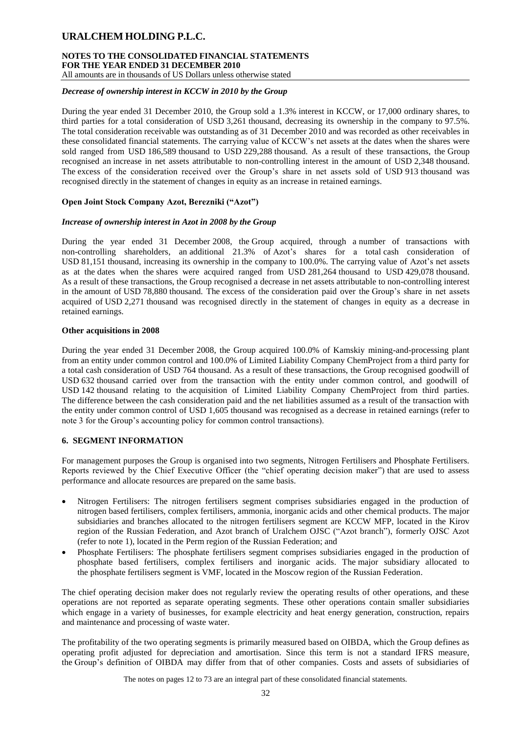#### **NOTES TO THE CONSOLIDATED FINANCIAL STATEMENTS FOR THE YEAR ENDED 31 DECEMBER 2010** All amounts are in thousands of US Dollars unless otherwise stated

#### *Decrease of ownership interest in KCCW in 2010 by the Group*

During the year ended 31 December 2010, the Group sold a 1.3% interest in KCCW, or 17,000 ordinary shares, to third parties for a total consideration of USD 3,261 thousand, decreasing its ownership in the company to 97.5%. The total consideration receivable was outstanding as of 31 December 2010 and was recorded as other receivables in these consolidated financial statements. The carrying value of KCCW's net assets at the dates when the shares were sold ranged from USD 186,589 thousand to USD 229,288 thousand. As a result of these transactions, the Group recognised an increase in net assets attributable to non-controlling interest in the amount of USD 2,348 thousand. The excess of the consideration received over the Group's share in net assets sold of USD 913 thousand was recognised directly in the statement of changes in equity as an increase in retained earnings.

#### **Open Joint Stock Company Azot, Berezniki ("Azot")**

#### *Increase of ownership interest in Azot in 2008 by the Group*

During the year ended 31 December 2008, the Group acquired, through a number of transactions with non-controlling shareholders, an additional 21.3% of Azot's shares for a total cash consideration of USD 81,151 thousand, increasing its ownership in the company to 100.0%. The carrying value of Azot's net assets as at the dates when the shares were acquired ranged from USD 281,264 thousand to USD 429,078 thousand. As a result of these transactions, the Group recognised a decrease in net assets attributable to non-controlling interest in the amount of USD 78,880 thousand. The excess of the consideration paid over the Group's share in net assets acquired of USD 2,271 thousand was recognised directly in the statement of changes in equity as a decrease in retained earnings.

#### **Other acquisitions in 2008**

During the year ended 31 December 2008, the Group acquired 100.0% of Kamskiy mining-and-processing plant from an entity under common control and 100.0% of Limited Liability Company ChemProject from a third party for a total cash consideration of USD 764 thousand. As a result of these transactions, the Group recognised goodwill of USD 632 thousand carried over from the transaction with the entity under common control, and goodwill of USD 142 thousand relating to the acquisition of Limited Liability Company ChemProject from third parties. The difference between the cash consideration paid and the net liabilities assumed as a result of the transaction with the entity under common control of USD 1,605 thousand was recognised as a decrease in retained earnings (refer to note 3 for the Group's accounting policy for common control transactions).

#### **6. SEGMENT INFORMATION**

For management purposes the Group is organised into two segments, Nitrogen Fertilisers and Phosphate Fertilisers. Reports reviewed by the Chief Executive Officer (the "chief operating decision maker") that are used to assess performance and allocate resources are prepared on the same basis.

- Nitrogen Fertilisers: The nitrogen fertilisers segment comprises subsidiaries engaged in the production of nitrogen based fertilisers, complex fertilisers, ammonia, inorganic acids and other chemical products. The major subsidiaries and branches allocated to the nitrogen fertilisers segment are KCCW MFP, located in the Kirov region of the Russian Federation, and Azot branch of Uralchem OJSC ("Azot branch"), formerly OJSC Azot (refer to note 1), located in the Perm region of the Russian Federation; and
- Phosphate Fertilisers: The phosphate fertilisers segment comprises subsidiaries engaged in the production of phosphate based fertilisers, complex fertilisers and inorganic acids. The major subsidiary allocated to the phosphate fertilisers segment is VMF, located in the Moscow region of the Russian Federation.

The chief operating decision maker does not regularly review the operating results of other operations, and these operations are not reported as separate operating segments. These other operations contain smaller subsidiaries which engage in a variety of businesses, for example electricity and heat energy generation, construction, repairs and maintenance and processing of waste water.

The profitability of the two operating segments is primarily measured based on OIBDA, which the Group defines as operating profit adjusted for depreciation and amortisation. Since this term is not a standard IFRS measure, the Group's definition of OIBDA may differ from that of other companies. Costs and assets of subsidiaries of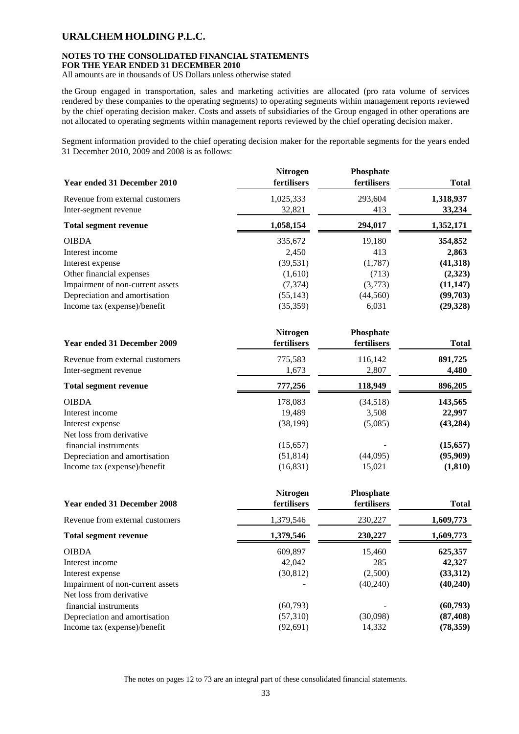#### **NOTES TO THE CONSOLIDATED FINANCIAL STATEMENTS FOR THE YEAR ENDED 31 DECEMBER 2010**

All amounts are in thousands of US Dollars unless otherwise stated

the Group engaged in transportation, sales and marketing activities are allocated (pro rata volume of services rendered by these companies to the operating segments) to operating segments within management reports reviewed by the chief operating decision maker. Costs and assets of subsidiaries of the Group engaged in other operations are not allocated to operating segments within management reports reviewed by the chief operating decision maker.

Segment information provided to the chief operating decision maker for the reportable segments for the years ended 31 December 2010, 2009 and 2008 is as follows:

| <b>Year ended 31 December 2010</b>                       | <b>Nitrogen</b><br>fertilisers | Phosphate<br>fertilisers | <b>Total</b>        |
|----------------------------------------------------------|--------------------------------|--------------------------|---------------------|
| Revenue from external customers<br>Inter-segment revenue | 1,025,333<br>32,821            | 293,604<br>413           | 1,318,937<br>33,234 |
| <b>Total segment revenue</b>                             | 1,058,154                      | 294,017                  | 1,352,171           |
| <b>OIBDA</b>                                             | 335,672                        | 19,180                   | 354,852             |
| Interest income                                          | 2.450                          | 413                      | 2,863               |
| Interest expense                                         | (39, 531)                      | (1,787)                  | (41,318)            |
| Other financial expenses                                 | (1,610)                        | (713)                    | (2,323)             |
| Impairment of non-current assets                         | (7,374)                        | (3,773)                  | (11, 147)           |
| Depreciation and amortisation                            | (55, 143)                      | (44, 560)                | (99,703)            |
| Income tax (expense)/benefit                             | (35, 359)                      | 6,031                    | (29, 328)           |

| <b>Year ended 31 December 2009</b>                       | <b>Nitrogen</b><br>fertilisers | Phosphate<br>fertilisers | <b>Total</b>     |
|----------------------------------------------------------|--------------------------------|--------------------------|------------------|
| Revenue from external customers<br>Inter-segment revenue | 775,583<br>1,673               | 116,142<br>2,807         | 891,725<br>4,480 |
| <b>Total segment revenue</b>                             | 777,256                        | 118,949                  | 896,205          |
| <b>OIBDA</b>                                             | 178,083                        | (34,518)                 | 143,565          |
| Interest income                                          | 19,489                         | 3,508                    | 22,997           |
| Interest expense                                         | (38, 199)                      | (5,085)                  | (43, 284)        |
| Net loss from derivative                                 |                                |                          |                  |
| financial instruments                                    | (15,657)                       |                          | (15,657)         |
| Depreciation and amortisation                            | (51, 814)                      | (44,095)                 | (95,909)         |
| Income tax (expense)/benefit                             | (16, 831)                      | 15,021                   | (1,810)          |

| <b>Year ended 31 December 2008</b> | <b>Nitrogen</b><br>fertilisers | Phosphate<br>fertilisers | <b>Total</b> |
|------------------------------------|--------------------------------|--------------------------|--------------|
| Revenue from external customers    | 1,379,546                      | 230,227                  | 1,609,773    |
| <b>Total segment revenue</b>       | 1,379,546                      | 230,227                  | 1,609,773    |
| <b>OIBDA</b>                       | 609.897                        | 15,460                   | 625,357      |
| Interest income                    | 42,042                         | 285                      | 42,327       |
| Interest expense                   | (30, 812)                      | (2,500)                  | (33,312)     |
| Impairment of non-current assets   |                                | (40,240)                 | (40,240)     |
| Net loss from derivative.          |                                |                          |              |
| financial instruments              | (60, 793)                      |                          | (60, 793)    |
| Depreciation and amortisation      | (57,310)                       | (30,098)                 | (87, 408)    |
| Income tax (expense)/benefit       | (92, 691)                      | 14,332                   | (78, 359)    |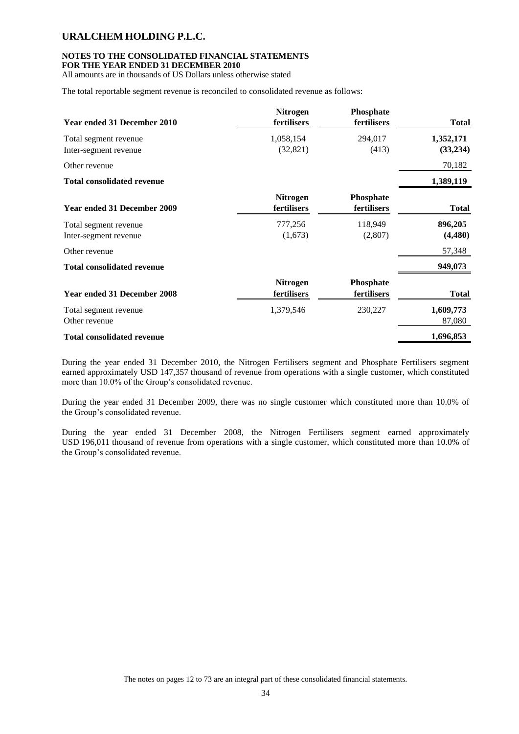#### **NOTES TO THE CONSOLIDATED FINANCIAL STATEMENTS FOR THE YEAR ENDED 31 DECEMBER 2010**

All amounts are in thousands of US Dollars unless otherwise stated

The total reportable segment revenue is reconciled to consolidated revenue as follows:

| Year ended 31 December 2010        | <b>Nitrogen</b><br>fertilisers | Phosphate<br>fertilisers | <b>Total</b> |
|------------------------------------|--------------------------------|--------------------------|--------------|
| Total segment revenue              | 1,058,154                      | 294,017                  | 1,352,171    |
| Inter-segment revenue              | (32, 821)                      | (413)                    | (33, 234)    |
| Other revenue                      |                                |                          | 70,182       |
| <b>Total consolidated revenue</b>  |                                |                          | 1,389,119    |
| <b>Year ended 31 December 2009</b> | <b>Nitrogen</b><br>fertilisers | Phosphate<br>fertilisers | <b>Total</b> |
| Total segment revenue              | 777,256                        | 118,949                  | 896,205      |
| Inter-segment revenue              | (1,673)                        | (2,807)                  | (4,480)      |
| Other revenue                      |                                |                          | 57,348       |
| <b>Total consolidated revenue</b>  |                                |                          | 949,073      |
|                                    | <b>Nitrogen</b>                | Phosphate                |              |
| Year ended 31 December 2008        | fertilisers                    | fertilisers              | <b>Total</b> |
| Total segment revenue              | 1,379,546                      | 230,227                  | 1,609,773    |
| Other revenue                      |                                |                          | 87,080       |
| <b>Total consolidated revenue</b>  |                                |                          | 1,696,853    |

During the year ended 31 December 2010, the Nitrogen Fertilisers segment and Phosphate Fertilisers segment earned approximately USD 147,357 thousand of revenue from operations with a single customer, which constituted more than 10.0% of the Group's consolidated revenue.

During the year ended 31 December 2009, there was no single customer which constituted more than 10.0% of the Group's consolidated revenue.

During the year ended 31 December 2008, the Nitrogen Fertilisers segment earned approximately USD 196,011 thousand of revenue from operations with a single customer, which constituted more than 10.0% of the Group's consolidated revenue.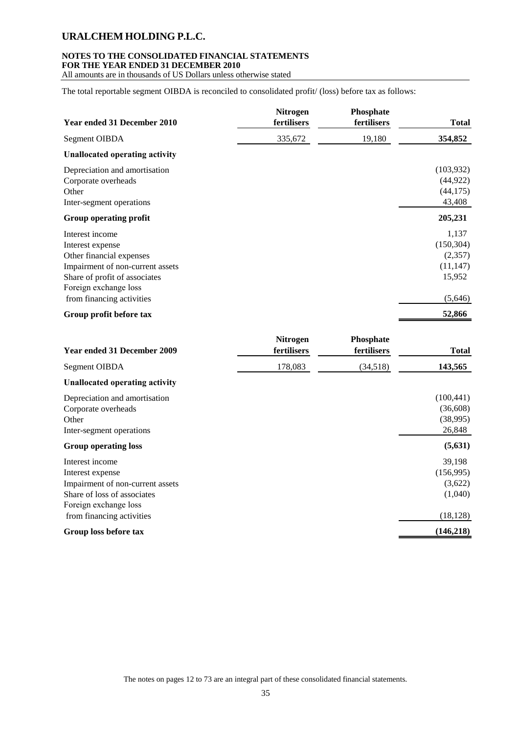# **NOTES TO THE CONSOLIDATED FINANCIAL STATEMENTS**

**FOR THE YEAR ENDED 31 DECEMBER 2010**

All amounts are in thousands of US Dollars unless otherwise stated

The total reportable segment OIBDA is reconciled to consolidated profit/ (loss) before tax as follows:

| Year ended 31 December 2010                                                                                                                                                                | <b>Nitrogen</b><br>fertilisers | Phosphate<br>fertilisers | Total                                                            |
|--------------------------------------------------------------------------------------------------------------------------------------------------------------------------------------------|--------------------------------|--------------------------|------------------------------------------------------------------|
| Segment OIBDA                                                                                                                                                                              | 335,672                        | 19,180                   | 354,852                                                          |
| <b>Unallocated operating activity</b>                                                                                                                                                      |                                |                          |                                                                  |
| Depreciation and amortisation<br>Corporate overheads<br>Other<br>Inter-segment operations                                                                                                  |                                |                          | (103, 932)<br>(44, 922)<br>(44, 175)<br>43,408                   |
| Group operating profit                                                                                                                                                                     |                                |                          | 205,231                                                          |
| Interest income<br>Interest expense<br>Other financial expenses<br>Impairment of non-current assets<br>Share of profit of associates<br>Foreign exchange loss<br>from financing activities |                                |                          | 1,137<br>(150, 304)<br>(2,357)<br>(11, 147)<br>15,952<br>(5,646) |
| Group profit before tax                                                                                                                                                                    |                                |                          | 52,866                                                           |
| <b>Year ended 31 December 2009</b>                                                                                                                                                         | <b>Nitrogen</b><br>fertilisers | Phosphate<br>fertilisers | <b>Total</b>                                                     |
| Segment OIBDA                                                                                                                                                                              | 178,083                        | (34,518)                 | 143,565                                                          |
| <b>Unallocated operating activity</b>                                                                                                                                                      |                                |                          |                                                                  |
| Depreciation and amortisation<br>Corporate overheads<br>Other<br>Inter-segment operations                                                                                                  |                                |                          | (100, 441)<br>(36,608)<br>(38,995)<br>26,848                     |
| <b>Group operating loss</b>                                                                                                                                                                |                                |                          | (5,631)                                                          |
| Interest income<br>Interest expense<br>Impairment of non-current assets<br>Share of loss of associates<br>Foreign exchange loss                                                            |                                |                          | 39,198<br>(156,995)<br>(3,622)<br>(1,040)                        |
| from financing activities                                                                                                                                                                  |                                |                          | (18, 128)                                                        |
| Group loss before tax                                                                                                                                                                      |                                |                          | (146, 218)                                                       |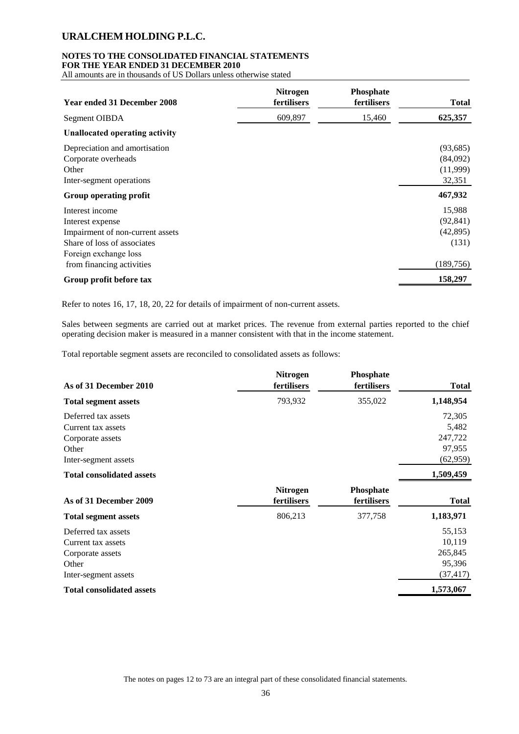#### **NOTES TO THE CONSOLIDATED FINANCIAL STATEMENTS FOR THE YEAR ENDED 31 DECEMBER 2010**

All amounts are in thousands of US Dollars unless otherwise stated

| <b>Year ended 31 December 2008</b>                                                                                                                           | <b>Nitrogen</b><br>fertilisers | Phosphate<br>fertilisers | <b>Total</b>                                           |
|--------------------------------------------------------------------------------------------------------------------------------------------------------------|--------------------------------|--------------------------|--------------------------------------------------------|
| Segment OIBDA                                                                                                                                                | 609,897                        | 15,460                   | 625,357                                                |
| <b>Unallocated operating activity</b>                                                                                                                        |                                |                          |                                                        |
| Depreciation and amortisation<br>Corporate overheads<br>Other<br>Inter-segment operations                                                                    |                                |                          | (93,685)<br>(84,092)<br>(11,999)<br>32,351             |
| Group operating profit                                                                                                                                       |                                |                          | 467,932                                                |
| Interest income<br>Interest expense<br>Impairment of non-current assets<br>Share of loss of associates<br>Foreign exchange loss<br>from financing activities |                                |                          | 15,988<br>(92, 841)<br>(42,895)<br>(131)<br>(189, 756) |
| Group profit before tax                                                                                                                                      |                                |                          | 158,297                                                |

Refer to notes 16, 17, 18, 20, 22 for details of impairment of non-current assets.

Sales between segments are carried out at market prices. The revenue from external parties reported to the chief operating decision maker is measured in a manner consistent with that in the income statement.

Total reportable segment assets are reconciled to consolidated assets as follows:

| As of 31 December 2010           | <b>Nitrogen</b><br>fertilisers | Phosphate<br>fertilisers | <b>Total</b> |
|----------------------------------|--------------------------------|--------------------------|--------------|
| <b>Total segment assets</b>      | 793,932                        | 355,022                  | 1,148,954    |
| Deferred tax assets              |                                |                          | 72,305       |
| Current tax assets               |                                |                          | 5,482        |
| Corporate assets                 |                                |                          | 247,722      |
| Other                            |                                |                          | 97,955       |
| Inter-segment assets             |                                |                          | (62,959)     |
| <b>Total consolidated assets</b> |                                |                          | 1,509,459    |
| As of 31 December 2009           | <b>Nitrogen</b><br>fertilisers | Phosphate<br>fertilisers | <b>Total</b> |
| <b>Total segment assets</b>      | 806,213                        | 377,758                  | 1,183,971    |
| Deferred tax assets              |                                |                          | 55,153       |
| Current tax assets               |                                |                          | 10,119       |
| Corporate assets                 |                                |                          | 265,845      |
| Other                            |                                |                          | 95,396       |
| Inter-segment assets             |                                |                          | (37, 417)    |
| <b>Total consolidated assets</b> |                                |                          | 1,573,067    |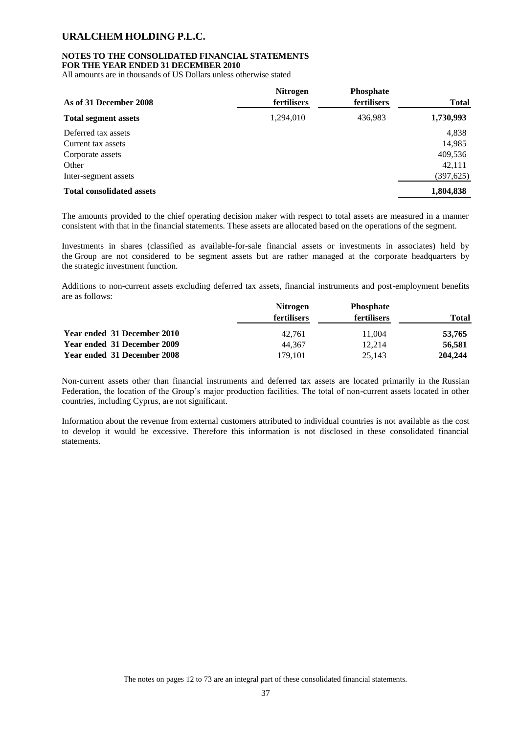#### **NOTES TO THE CONSOLIDATED FINANCIAL STATEMENTS FOR THE YEAR ENDED 31 DECEMBER 2010**

All amounts are in thousands of US Dollars unless otherwise stated

| As of 31 December 2008           | <b>Nitrogen</b><br>fertilisers | <b>Phosphate</b><br>fertilisers | <b>Total</b> |
|----------------------------------|--------------------------------|---------------------------------|--------------|
| <b>Total segment assets</b>      | 1,294,010                      | 436,983                         | 1,730,993    |
| Deferred tax assets              |                                |                                 | 4,838        |
| Current tax assets               |                                |                                 | 14,985       |
| Corporate assets                 |                                |                                 | 409,536      |
| Other                            |                                |                                 | 42,111       |
| Inter-segment assets             |                                |                                 | (397, 625)   |
| <b>Total consolidated assets</b> |                                |                                 | 1,804,838    |

The amounts provided to the chief operating decision maker with respect to total assets are measured in a manner consistent with that in the financial statements. These assets are allocated based on the operations of the segment.

Investments in shares (classified as available-for-sale financial assets or investments in associates) held by the Group are not considered to be segment assets but are rather managed at the corporate headquarters by the strategic investment function.

Additions to non-current assets excluding deferred tax assets, financial instruments and post-employment benefits are as follows:

|                             | <b>Nitrogen</b> | <b>Phosphate</b> |              |
|-----------------------------|-----------------|------------------|--------------|
|                             | fertilisers     | fertilisers      | <b>Total</b> |
| Year ended 31 December 2010 | 42.761          | 11,004           | 53,765       |
| Year ended 31 December 2009 | 44.367          | 12.214           | 56,581       |
| Year ended 31 December 2008 | 179.101         | 25.143           | 204,244      |

Non-current assets other than financial instruments and deferred tax assets are located primarily in the Russian Federation, the location of the Group's major production facilities. The total of non-current assets located in other countries, including Cyprus, are not significant.

Information about the revenue from external customers attributed to individual countries is not available as the cost to develop it would be excessive. Therefore this information is not disclosed in these consolidated financial statements.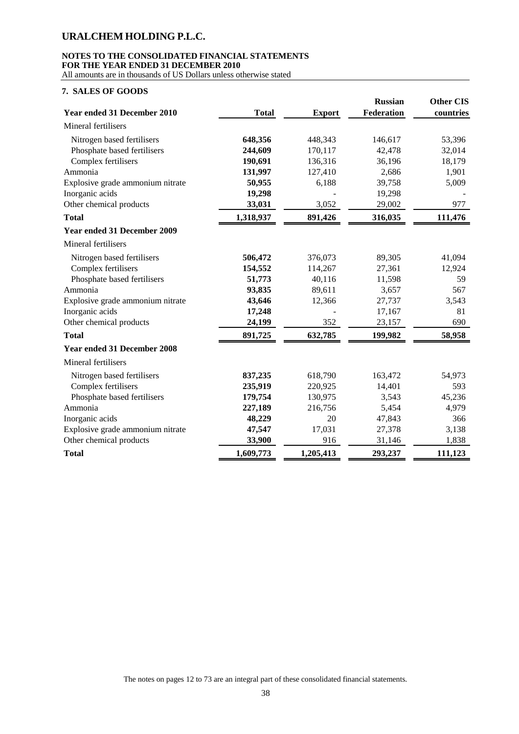### **NOTES TO THE CONSOLIDATED FINANCIAL STATEMENTS FOR THE YEAR ENDED 31 DECEMBER 2010**

All amounts are in thousands of US Dollars unless otherwise stated

### **7. SALES OF GOODS**

|                                    |              |               | <b>Russian</b> | <b>Other CIS</b> |
|------------------------------------|--------------|---------------|----------------|------------------|
| Year ended 31 December 2010        | <b>Total</b> | <b>Export</b> | Federation     | countries        |
| Mineral fertilisers                |              |               |                |                  |
| Nitrogen based fertilisers         | 648,356      | 448,343       | 146,617        | 53,396           |
| Phosphate based fertilisers        | 244,609      | 170,117       | 42,478         | 32,014           |
| Complex fertilisers                | 190,691      | 136,316       | 36,196         | 18,179           |
| Ammonia                            | 131,997      | 127,410       | 2,686          | 1,901            |
| Explosive grade ammonium nitrate   | 50,955       | 6,188         | 39,758         | 5,009            |
| Inorganic acids                    | 19,298       |               | 19,298         |                  |
| Other chemical products            | 33,031       | 3,052         | 29,002         | 977              |
| <b>Total</b>                       | 1,318,937    | 891,426       | 316,035        | 111,476          |
| <b>Year ended 31 December 2009</b> |              |               |                |                  |
| Mineral fertilisers                |              |               |                |                  |
| Nitrogen based fertilisers         | 506,472      | 376,073       | 89,305         | 41,094           |
| Complex fertilisers                | 154,552      | 114,267       | 27,361         | 12,924           |
| Phosphate based fertilisers        | 51,773       | 40,116        | 11,598         | 59               |
| Ammonia                            | 93,835       | 89,611        | 3,657          | 567              |
| Explosive grade ammonium nitrate   | 43,646       | 12,366        | 27,737         | 3,543            |
| Inorganic acids                    | 17,248       |               | 17,167         | 81               |
| Other chemical products            | 24,199       | 352           | 23,157         | 690              |
| <b>Total</b>                       | 891,725      | 632,785       | 199,982        | 58,958           |
| <b>Year ended 31 December 2008</b> |              |               |                |                  |
| Mineral fertilisers                |              |               |                |                  |
| Nitrogen based fertilisers         | 837,235      | 618,790       | 163,472        | 54,973           |
| Complex fertilisers                | 235,919      | 220,925       | 14,401         | 593              |
| Phosphate based fertilisers        | 179,754      | 130,975       | 3,543          | 45,236           |
| Ammonia                            | 227,189      | 216,756       | 5,454          | 4,979            |
| Inorganic acids                    | 48,229       | 20            | 47,843         | 366              |
| Explosive grade ammonium nitrate   | 47,547       | 17,031        | 27,378         | 3,138            |
| Other chemical products            | 33,900       | 916           | 31,146         | 1,838            |
| <b>Total</b>                       | 1,609,773    | 1,205,413     | 293,237        | 111,123          |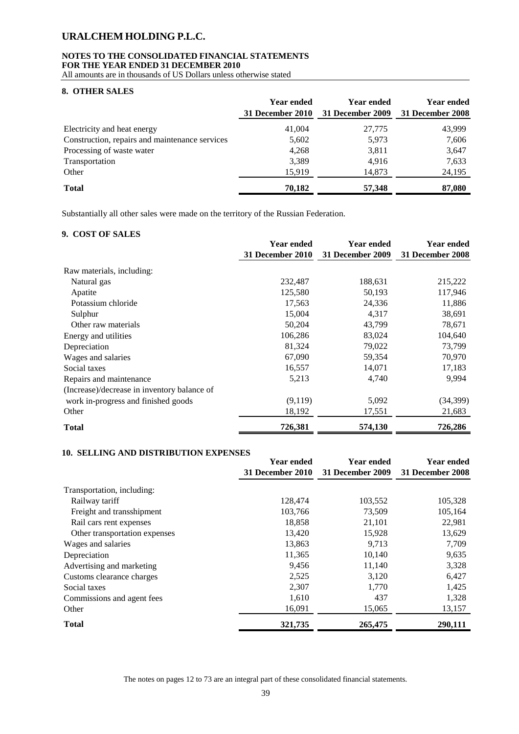### **NOTES TO THE CONSOLIDATED FINANCIAL STATEMENTS FOR THE YEAR ENDED 31 DECEMBER 2010**

All amounts are in thousands of US Dollars unless otherwise stated

### **8. OTHER SALES**

|                                                | <b>Year ended</b><br>31 December 2010 | <b>Year ended</b><br>31 December 2009 | <b>Year ended</b><br>31 December 2008 |
|------------------------------------------------|---------------------------------------|---------------------------------------|---------------------------------------|
| Electricity and heat energy                    | 41,004                                | 27,775                                | 43,999                                |
| Construction, repairs and maintenance services | 5,602                                 | 5,973                                 | 7,606                                 |
| Processing of waste water                      | 4,268                                 | 3,811                                 | 3,647                                 |
| Transportation                                 | 3,389                                 | 4,916                                 | 7,633                                 |
| Other                                          | 15,919                                | 14,873                                | 24,195                                |
| <b>Total</b>                                   | 70,182                                | 57,348                                | 87,080                                |

Substantially all other sales were made on the territory of the Russian Federation.

### **9. COST OF SALES**

|                                             | <b>Year ended</b> | <b>Year ended</b> | <b>Year ended</b> |
|---------------------------------------------|-------------------|-------------------|-------------------|
|                                             | 31 December 2010  | 31 December 2009  | 31 December 2008  |
| Raw materials, including:                   |                   |                   |                   |
| Natural gas                                 | 232,487           | 188,631           | 215,222           |
| Apatite                                     | 125,580           | 50,193            | 117,946           |
| Potassium chloride                          | 17,563            | 24,336            | 11,886            |
| Sulphur                                     | 15,004            | 4,317             | 38,691            |
| Other raw materials                         | 50,204            | 43,799            | 78,671            |
| Energy and utilities                        | 106,286           | 83,024            | 104,640           |
| Depreciation                                | 81,324            | 79,022            | 73,799            |
| Wages and salaries                          | 67,090            | 59,354            | 70,970            |
| Social taxes                                | 16,557            | 14,071            | 17,183            |
| Repairs and maintenance                     | 5,213             | 4,740             | 9,994             |
| (Increase)/decrease in inventory balance of |                   |                   |                   |
| work in-progress and finished goods         | (9,119)           | 5,092             | (34, 399)         |
| Other                                       | 18,192            | 17,551            | 21,683            |
| <b>Total</b>                                | 726,381           | 574,130           | 726,286           |

### **10. SELLING AND DISTRIBUTION EXPENSES**

| Year ended       | <b>Year ended</b> | Year ended       |
|------------------|-------------------|------------------|
| 31 December 2010 | 31 December 2009  | 31 December 2008 |
|                  |                   |                  |
| 128,474          | 103,552           | 105,328          |
| 103,766          | 73,509            | 105,164          |
| 18,858           | 21,101            | 22,981           |
| 13,420           | 15,928            | 13,629           |
| 13,863           | 9,713             | 7,709            |
| 11,365           | 10,140            | 9,635            |
| 9,456            | 11,140            | 3,328            |
| 2,525            | 3,120             | 6,427            |
| 2,307            | 1,770             | 1,425            |
| 1,610            | 437               | 1,328            |
| 16,091           | 15,065            | 13,157           |
| 321,735          | 265,475           | 290,111          |
|                  |                   |                  |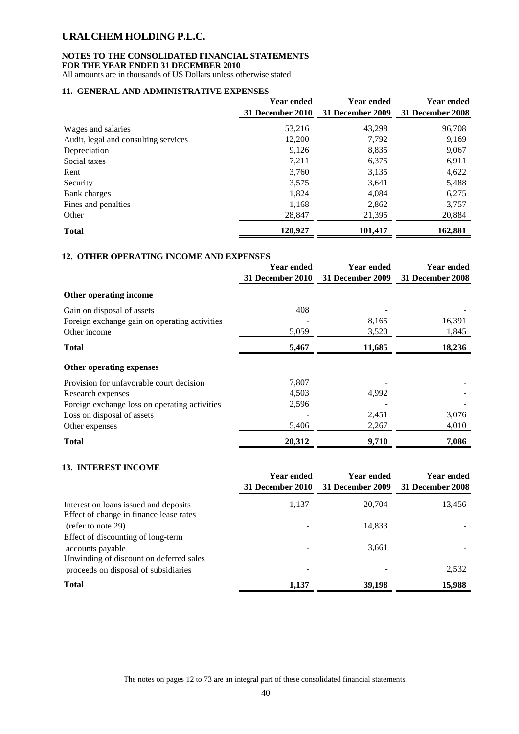### **NOTES TO THE CONSOLIDATED FINANCIAL STATEMENTS FOR THE YEAR ENDED 31 DECEMBER 2010**

All amounts are in thousands of US Dollars unless otherwise stated

### **11. GENERAL AND ADMINISTRATIVE EXPENSES**

|                                      | Year ended       | Year ended       | <b>Year ended</b> |
|--------------------------------------|------------------|------------------|-------------------|
|                                      | 31 December 2010 | 31 December 2009 | 31 December 2008  |
| Wages and salaries                   | 53,216           | 43.298           | 96,708            |
| Audit, legal and consulting services | 12,200           | 7.792            | 9,169             |
| Depreciation                         | 9,126            | 8,835            | 9,067             |
| Social taxes                         | 7,211            | 6,375            | 6,911             |
| Rent                                 | 3,760            | 3,135            | 4,622             |
| Security                             | 3,575            | 3,641            | 5,488             |
| Bank charges                         | 1,824            | 4,084            | 6,275             |
| Fines and penalties                  | 1,168            | 2,862            | 3,757             |
| Other                                | 28,847           | 21,395           | 20,884            |
| <b>Total</b>                         | 120,927          | 101.417          | 162,881           |

### **12. OTHER OPERATING INCOME AND EXPENSES**

|                                               | <b>Year ended</b>       | <b>Year ended</b>       | <b>Year ended</b> |
|-----------------------------------------------|-------------------------|-------------------------|-------------------|
|                                               | <b>31 December 2010</b> | <b>31 December 2009</b> | 31 December 2008  |
| Other operating income                        |                         |                         |                   |
| Gain on disposal of assets                    | 408                     |                         |                   |
| Foreign exchange gain on operating activities |                         | 8,165                   | 16,391            |
| Other income                                  | 5,059                   | 3,520                   | 1,845             |
| <b>Total</b>                                  | 5,467                   | 11,685                  | 18,236            |
| Other operating expenses                      |                         |                         |                   |
| Provision for unfavorable court decision      | 7,807                   |                         |                   |
| Research expenses                             | 4,503                   | 4,992                   |                   |
| Foreign exchange loss on operating activities | 2,596                   |                         |                   |
| Loss on disposal of assets                    |                         | 2,451                   | 3,076             |
| Other expenses                                | 5,406                   | 2,267                   | 4,010             |
| <b>Total</b>                                  | 20,312                  | 9,710                   | 7,086             |

#### **13. INTEREST INCOME**

|                                                                                  | <b>Year ended</b><br>31 December 2010 | <b>Year ended</b><br>31 December 2009 | <b>Year ended</b><br>31 December 2008 |
|----------------------------------------------------------------------------------|---------------------------------------|---------------------------------------|---------------------------------------|
| Interest on loans issued and deposits<br>Effect of change in finance lease rates | 1,137                                 | 20,704                                | 13,456                                |
| (refer to note 29)                                                               |                                       | 14,833                                |                                       |
| Effect of discounting of long-term<br>accounts payable                           |                                       | 3,661                                 |                                       |
| Unwinding of discount on deferred sales<br>proceeds on disposal of subsidiaries  |                                       |                                       | 2,532                                 |
| <b>Total</b>                                                                     | 1,137                                 | 39,198                                | 15,988                                |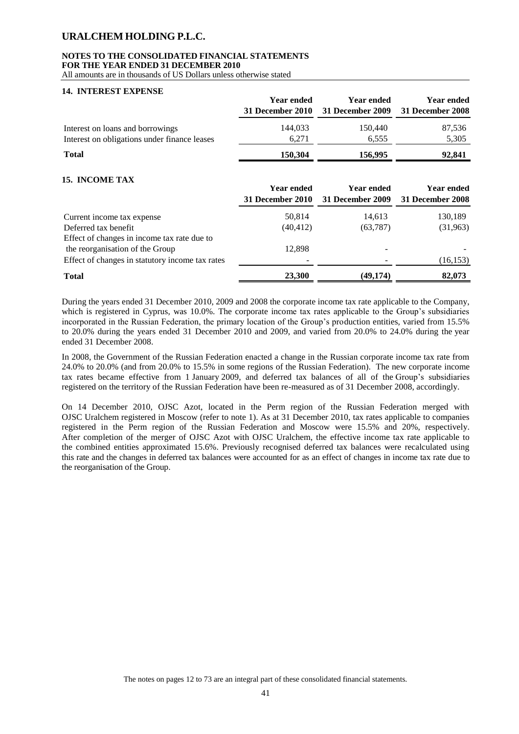#### **NOTES TO THE CONSOLIDATED FINANCIAL STATEMENTS FOR THE YEAR ENDED 31 DECEMBER 2010**

All amounts are in thousands of US Dollars unless otherwise stated

### **14. INTEREST EXPENSE**

|                                                                                  | <b>Year ended</b><br><b>31 December 2010</b> | <b>Year ended</b><br>31 December 2009 31 December 2008 | <b>Year ended</b> |
|----------------------------------------------------------------------------------|----------------------------------------------|--------------------------------------------------------|-------------------|
| Interest on loans and borrowings<br>Interest on obligations under finance leases | 144,033<br>6.271                             | 150.440<br>6.555                                       | 87,536<br>5,305   |
| <b>Total</b>                                                                     | 150,304                                      | 156,995                                                | 92,841            |

### **15. INCOME TAX**

|                                                 | <b>Year ended</b><br>31 December 2010 | <b>Year ended</b><br>31 December 2009 | <b>Year ended</b><br>31 December 2008 |
|-------------------------------------------------|---------------------------------------|---------------------------------------|---------------------------------------|
| Current income tax expense                      | 50,814                                | 14,613                                | 130,189                               |
| Deferred tax benefit                            | (40, 412)                             | (63, 787)                             | (31,963)                              |
| Effect of changes in income tax rate due to     |                                       |                                       |                                       |
| the reorganisation of the Group                 | 12.898                                |                                       |                                       |
| Effect of changes in statutory income tax rates |                                       |                                       | (16, 153)                             |
| <b>Total</b>                                    | 23,300                                | (49,174)                              | 82,073                                |

During the years ended 31 December 2010, 2009 and 2008 the corporate income tax rate applicable to the Company, which is registered in Cyprus, was 10.0%. The corporate income tax rates applicable to the Group's subsidiaries incorporated in the Russian Federation, the primary location of the Group's production entities, varied from 15.5% to 20.0% during the years ended 31 December 2010 and 2009, and varied from 20.0% to 24.0% during the year ended 31 December 2008.

In 2008, the Government of the Russian Federation enacted a change in the Russian corporate income tax rate from 24.0% to 20.0% (and from 20.0% to 15.5% in some regions of the Russian Federation). The new corporate income tax rates became effective from 1 January 2009, and deferred tax balances of all of the Group's subsidiaries registered on the territory of the Russian Federation have been re-measured as of 31 December 2008, accordingly.

On 14 December 2010, OJSC Azot, located in the Perm region of the Russian Federation merged with OJSC Uralchem registered in Moscow (refer to note 1). As at 31 December 2010, tax rates applicable to companies registered in the Perm region of the Russian Federation and Moscow were 15.5% and 20%, respectively. After completion of the merger of OJSC Azot with OJSC Uralchem, the effective income tax rate applicable to the combined entities approximated 15.6%. Previously recognised deferred tax balances were recalculated using this rate and the changes in deferred tax balances were accounted for as an effect of changes in income tax rate due to the reorganisation of the Group.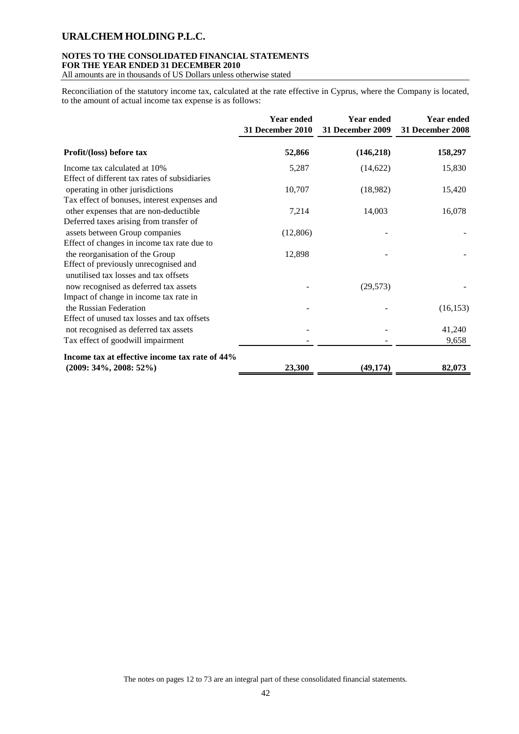### **NOTES TO THE CONSOLIDATED FINANCIAL STATEMENTS FOR THE YEAR ENDED 31 DECEMBER 2010**

All amounts are in thousands of US Dollars unless otherwise stated

Reconciliation of the statutory income tax, calculated at the rate effective in Cyprus, where the Company is located, to the amount of actual income tax expense is as follows:

|                                                                                                                   | <b>Year ended</b><br>31 December 2010 | <b>Year ended</b><br><b>31 December 2009</b> | <b>Year ended</b><br>31 December 2008 |
|-------------------------------------------------------------------------------------------------------------------|---------------------------------------|----------------------------------------------|---------------------------------------|
| Profit/(loss) before tax                                                                                          | 52,866                                | (146,218)                                    | 158,297                               |
| Income tax calculated at 10%<br>Effect of different tax rates of subsidiaries                                     | 5,287                                 | (14, 622)                                    | 15,830                                |
| operating in other jurisdictions<br>Tax effect of bonuses, interest expenses and                                  | 10,707                                | (18,982)                                     | 15,420                                |
| other expenses that are non-deductible<br>Deferred taxes arising from transfer of                                 | 7,214                                 | 14,003                                       | 16,078                                |
| assets between Group companies<br>Effect of changes in income tax rate due to                                     | (12,806)                              |                                              |                                       |
| the reorganisation of the Group<br>Effect of previously unrecognised and<br>unutilised tax losses and tax offsets | 12,898                                |                                              |                                       |
| now recognised as deferred tax assets<br>Impact of change in income tax rate in                                   |                                       | (29, 573)                                    |                                       |
| the Russian Federation<br>Effect of unused tax losses and tax offsets                                             |                                       |                                              | (16, 153)                             |
| not recognised as deferred tax assets<br>Tax effect of goodwill impairment                                        |                                       |                                              | 41,240<br>9,658                       |
| Income tax at effective income tax rate of 44%<br>$(2009: 34\%, 2008: 52\%)$                                      | 23,300                                | (49, 174)                                    | 82,073                                |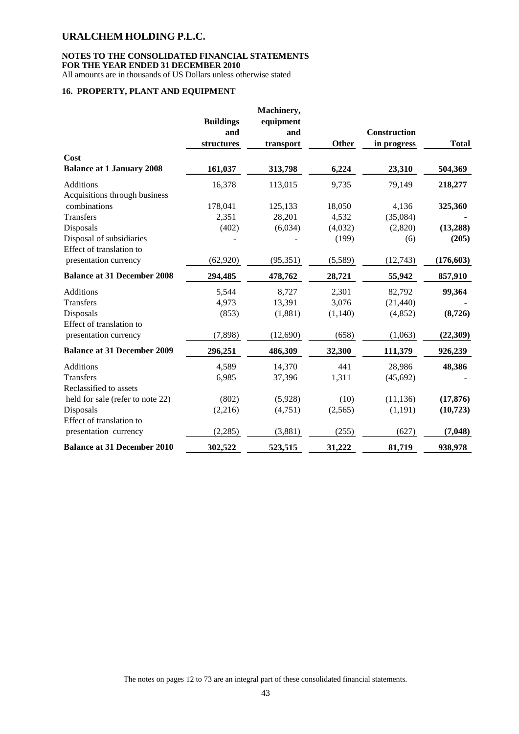# **NOTES TO THE CONSOLIDATED FINANCIAL STATEMENTS FOR THE YEAR ENDED 31 DECEMBER 2010**

All amounts are in thousands of US Dollars unless otherwise stated

### **16. PROPERTY, PLANT AND EQUIPMENT**

|                                    |                  | Machinery, |              |                     |              |
|------------------------------------|------------------|------------|--------------|---------------------|--------------|
|                                    | <b>Buildings</b> | equipment  |              |                     |              |
|                                    | and              | and        |              | <b>Construction</b> |              |
|                                    | structures       | transport  | <b>Other</b> | in progress         | <b>Total</b> |
| Cost                               |                  |            |              |                     |              |
| <b>Balance at 1 January 2008</b>   | 161,037          | 313,798    | 6,224        | 23,310              | 504,369      |
| <b>Additions</b>                   | 16,378           | 113,015    | 9,735        | 79,149              | 218,277      |
| Acquisitions through business      |                  |            |              |                     |              |
| combinations                       | 178,041          | 125,133    | 18,050       | 4,136               | 325,360      |
| <b>Transfers</b>                   | 2,351            | 28,201     | 4,532        | (35,084)            |              |
| Disposals                          | (402)            | (6,034)    | (4,032)      | (2,820)             | (13, 288)    |
| Disposal of subsidiaries           |                  |            | (199)        | (6)                 | (205)        |
| Effect of translation to           |                  |            |              |                     |              |
| presentation currency              | (62, 920)        | (95, 351)  | (5,589)      | (12,743)            | (176, 603)   |
| <b>Balance at 31 December 2008</b> | 294,485          | 478,762    | 28,721       | 55,942              | 857,910      |
| <b>Additions</b>                   | 5,544            | 8,727      | 2,301        | 82,792              | 99,364       |
| <b>Transfers</b>                   | 4,973            | 13,391     | 3,076        | (21, 440)           |              |
| Disposals                          | (853)            | (1,881)    | (1,140)      | (4,852)             | (8,726)      |
| Effect of translation to           |                  |            |              |                     |              |
| presentation currency              | (7, 898)         | (12,690)   | (658)        | (1,063)             | (22,309)     |
| <b>Balance at 31 December 2009</b> | 296,251          | 486,309    | 32,300       | 111,379             | 926,239      |
| <b>Additions</b>                   | 4,589            | 14,370     | 441          | 28.986              | 48,386       |
| <b>Transfers</b>                   | 6,985            | 37,396     | 1,311        | (45,692)            |              |
| Reclassified to assets             |                  |            |              |                     |              |
| held for sale (refer to note 22)   | (802)            | (5,928)    | (10)         | (11, 136)           | (17, 876)    |
| Disposals                          | (2,216)          | (4,751)    | (2,565)      | (1, 191)            | (10, 723)    |
| Effect of translation to           |                  |            |              |                     |              |
| presentation currency              | (2,285)          | (3,881)    | (255)        | (627)               | (7,048)      |
| <b>Balance at 31 December 2010</b> | 302,522          | 523,515    | 31,222       | 81,719              | 938,978      |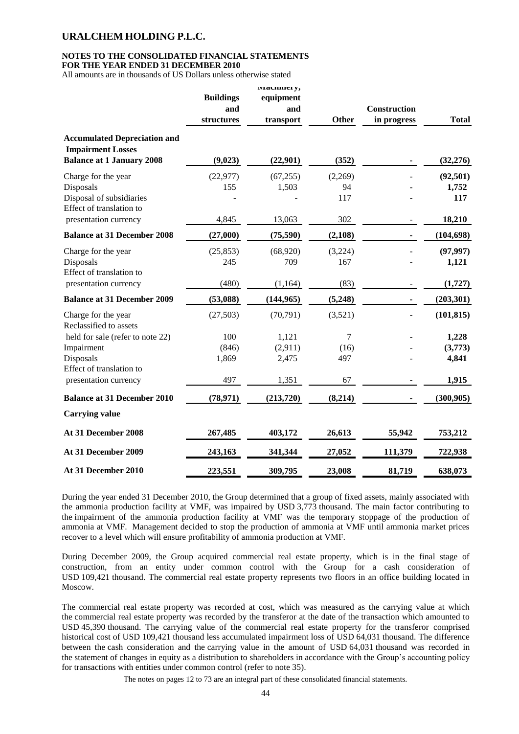#### **NOTES TO THE CONSOLIDATED FINANCIAL STATEMENTS FOR THE YEAR ENDED 31 DECEMBER 2010**

All amounts are in thousands of US Dollars unless otherwise stated

|                                                                                                                   | <b>Buildings</b><br>and<br>structures | гласпитету,<br>equipment<br>and<br>transport | <b>Other</b>                | <b>Construction</b><br>in progress | <b>Total</b>                        |
|-------------------------------------------------------------------------------------------------------------------|---------------------------------------|----------------------------------------------|-----------------------------|------------------------------------|-------------------------------------|
| <b>Accumulated Depreciation and</b><br><b>Impairment Losses</b><br><b>Balance at 1 January 2008</b>               | (9,023)                               | (22,901)                                     | (352)                       |                                    | (32,276)                            |
| Charge for the year<br>Disposals<br>Disposal of subsidiaries<br>Effect of translation to<br>presentation currency | (22, 977)<br>155<br>4,845             | (67, 255)<br>1,503<br>13,063                 | (2,269)<br>94<br>117<br>302 |                                    | (92, 501)<br>1,752<br>117<br>18,210 |
| <b>Balance at 31 December 2008</b>                                                                                | (27,000)                              | (75, 590)                                    | (2,108)                     | ٠                                  | (104, 698)                          |
| Charge for the year<br>Disposals<br>Effect of translation to<br>presentation currency                             | (25, 853)<br>245<br>(480)             | (68,920)<br>709<br>(1,164)                   | (3,224)<br>167<br>(83)      |                                    | (97, 997)<br>1,121<br>(1,727)       |
| <b>Balance at 31 December 2009</b>                                                                                | (53,088)                              | (144, 965)                                   | (5,248)                     |                                    | (203, 301)                          |
| Charge for the year<br>Reclassified to assets                                                                     | (27, 503)                             | (70, 791)                                    | (3,521)                     |                                    | (101, 815)                          |
| held for sale (refer to note 22)<br>Impairment<br>Disposals<br>Effect of translation to<br>presentation currency  | 100<br>(846)<br>1,869<br>497          | 1,121<br>(2,911)<br>2,475<br>1,351           | 7<br>(16)<br>497<br>67      |                                    | 1,228<br>(3,773)<br>4,841<br>1,915  |
| <b>Balance at 31 December 2010</b>                                                                                | (78, 971)                             | (213, 720)                                   | (8,214)                     |                                    | (300, 905)                          |
| <b>Carrying value</b>                                                                                             |                                       |                                              |                             |                                    |                                     |
| At 31 December 2008                                                                                               | 267,485                               | 403,172                                      | 26,613                      | 55,942                             | 753,212                             |
| At 31 December 2009                                                                                               | 243,163                               | 341,344                                      | 27,052                      | 111,379                            | 722,938                             |
| At 31 December 2010                                                                                               | 223,551                               | 309,795                                      | 23,008                      | 81,719                             | 638,073                             |

During the year ended 31 December 2010, the Group determined that a group of fixed assets, mainly associated with the ammonia production facility at VMF, was impaired by USD 3,773 thousand. The main factor contributing to the impairment of the ammonia production facility at VMF was the temporary stoppage of the production of ammonia at VMF. Management decided to stop the production of ammonia at VMF until ammonia market prices recover to a level which will ensure profitability of ammonia production at VMF.

During December 2009, the Group acquired commercial real estate property, which is in the final stage of construction, from an entity under common control with the Group for a cash consideration of USD 109,421 thousand. The commercial real estate property represents two floors in an office building located in Moscow.

The commercial real estate property was recorded at cost, which was measured as the carrying value at which the commercial real estate property was recorded by the transferor at the date of the transaction which amounted to USD 45,390 thousand. The carrying value of the commercial real estate property for the transferor comprised historical cost of USD 109,421 thousand less accumulated impairment loss of USD 64,031 thousand. The difference between the cash consideration and the carrying value in the amount of USD 64,031 thousand was recorded in the statement of changes in equity as a distribution to shareholders in accordance with the Group's accounting policy for transactions with entities under common control (refer to note 35).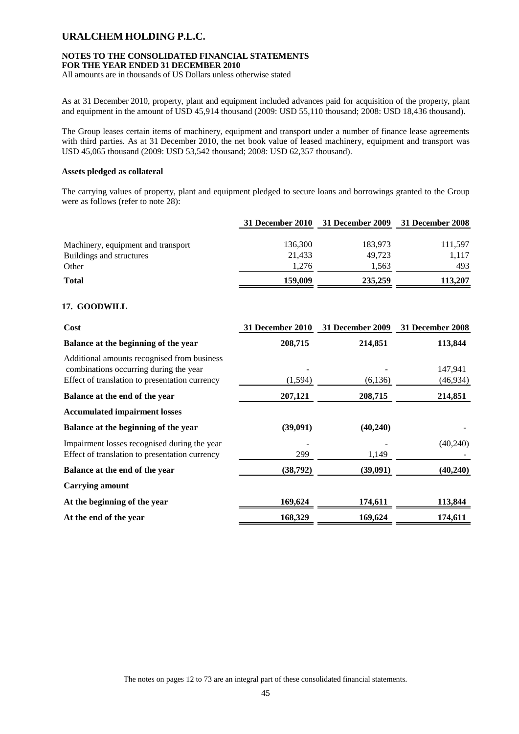# **NOTES TO THE CONSOLIDATED FINANCIAL STATEMENTS FOR THE YEAR ENDED 31 DECEMBER 2010**

All amounts are in thousands of US Dollars unless otherwise stated

As at 31 December 2010, property, plant and equipment included advances paid for acquisition of the property, plant and equipment in the amount of USD 45,914 thousand (2009: USD 55,110 thousand; 2008: USD 18,436 thousand).

The Group leases certain items of machinery, equipment and transport under a number of finance lease agreements with third parties. As at 31 December 2010, the net book value of leased machinery, equipment and transport was USD 45,065 thousand (2009: USD 53,542 thousand; 2008: USD 62,357 thousand).

### **Assets pledged as collateral**

The carrying values of property, plant and equipment pledged to secure loans and borrowings granted to the Group were as follows (refer to note 28):

|                                    | 31 December 2010 | 31 December 2009 31 December 2008 |         |
|------------------------------------|------------------|-----------------------------------|---------|
| Machinery, equipment and transport | 136,300          | 183,973                           | 111,597 |
| Buildings and structures           | 21,433           | 49.723                            | 1.117   |
| Other                              | 1.276            | 1,563                             | 493     |
| <b>Total</b>                       | 159,009          | 235,259                           | 113,207 |

### **17. GOODWILL**

| Cost                                                                                                                                    | <b>31 December 2010</b> | <b>31 December 2009</b> | 31 December 2008     |
|-----------------------------------------------------------------------------------------------------------------------------------------|-------------------------|-------------------------|----------------------|
| Balance at the beginning of the year                                                                                                    | 208,715                 | 214,851                 | 113,844              |
| Additional amounts recognised from business<br>combinations occurring during the year<br>Effect of translation to presentation currency | (1,594)                 | (6, 136)                | 147,941<br>(46, 934) |
| Balance at the end of the year                                                                                                          | 207,121                 | 208,715                 | 214,851              |
| <b>Accumulated impairment losses</b>                                                                                                    |                         |                         |                      |
| Balance at the beginning of the year                                                                                                    | (39,091)                | (40,240)                |                      |
| Impairment losses recognised during the year<br>Effect of translation to presentation currency                                          | 299                     | 1,149                   | (40,240)             |
| Balance at the end of the year                                                                                                          | (38, 792)               | (39,091)                | (40, 240)            |
| <b>Carrying amount</b>                                                                                                                  |                         |                         |                      |
| At the beginning of the year                                                                                                            | 169,624                 | 174,611                 | 113,844              |
| At the end of the year                                                                                                                  | 168,329                 | 169,624                 | 174,611              |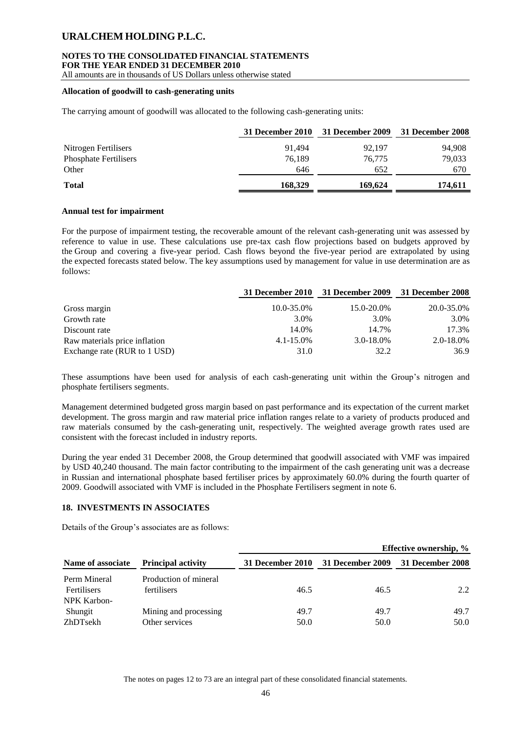# **NOTES TO THE CONSOLIDATED FINANCIAL STATEMENTS**

**FOR THE YEAR ENDED 31 DECEMBER 2010**

All amounts are in thousands of US Dollars unless otherwise stated

### **Allocation of goodwill to cash-generating units**

The carrying amount of goodwill was allocated to the following cash-generating units:

|                              | <b>31 December 2010</b> | 31 December 2009 31 December 2008 |         |
|------------------------------|-------------------------|-----------------------------------|---------|
| Nitrogen Fertilisers         | 91.494                  | 92.197                            | 94,908  |
| <b>Phosphate Fertilisers</b> | 76.189                  | 76.775                            | 79,033  |
| Other                        | 646                     | 652                               | 670     |
| <b>Total</b>                 | 168.329                 | 169.624                           | 174,611 |

#### **Annual test for impairment**

For the purpose of impairment testing, the recoverable amount of the relevant cash-generating unit was assessed by reference to value in use. These calculations use pre-tax cash flow projections based on budgets approved by the Group and covering a five-year period. Cash flows beyond the five-year period are extrapolated by using the expected forecasts stated below. The key assumptions used by management for value in use determination are as follows:

|                               | 31 December 2010 | 31 December 2009 31 December 2008 |            |
|-------------------------------|------------------|-----------------------------------|------------|
| Gross margin                  | 10.0-35.0%       | 15.0-20.0%                        | 20.0-35.0% |
| Growth rate                   | 3.0%             | 3.0%                              | 3.0%       |
| Discount rate                 | 14.0%            | 14.7%                             | 17.3%      |
| Raw materials price inflation | $4.1 - 15.0\%$   | 3.0-18.0%                         | 2.0-18.0%  |
| Exchange rate (RUR to 1 USD)  | 31.0             | 32.2                              | 36.9       |

These assumptions have been used for analysis of each cash-generating unit within the Group's nitrogen and phosphate fertilisers segments.

Management determined budgeted gross margin based on past performance and its expectation of the current market development. The gross margin and raw material price inflation ranges relate to a variety of products produced and raw materials consumed by the cash-generating unit, respectively. The weighted average growth rates used are consistent with the forecast included in industry reports.

During the year ended 31 December 2008, the Group determined that goodwill associated with VMF was impaired by USD 40,240 thousand. The main factor contributing to the impairment of the cash generating unit was a decrease in Russian and international phosphate based fertiliser prices by approximately 60.0% during the fourth quarter of 2009. Goodwill associated with VMF is included in the Phosphate Fertilisers segment in note 6.

### **18. INVESTMENTS IN ASSOCIATES**

Details of the Group's associates are as follows:

|                                                   |                                         | <b>Effective ownership, %</b> |                  |                  |  |
|---------------------------------------------------|-----------------------------------------|-------------------------------|------------------|------------------|--|
| Name of associate                                 | <b>Principal activity</b>               | 31 December 2010              | 31 December 2009 | 31 December 2008 |  |
| Perm Mineral<br>Fertilisers<br><b>NPK Karbon-</b> | Production of mineral<br>fertilisers    | 46.5                          | 46.5             | 2.2              |  |
| Shungit<br>ZhDTsekh                               | Mining and processing<br>Other services | 49.7<br>50.0                  | 49.7<br>50.0     | 49.7<br>50.0     |  |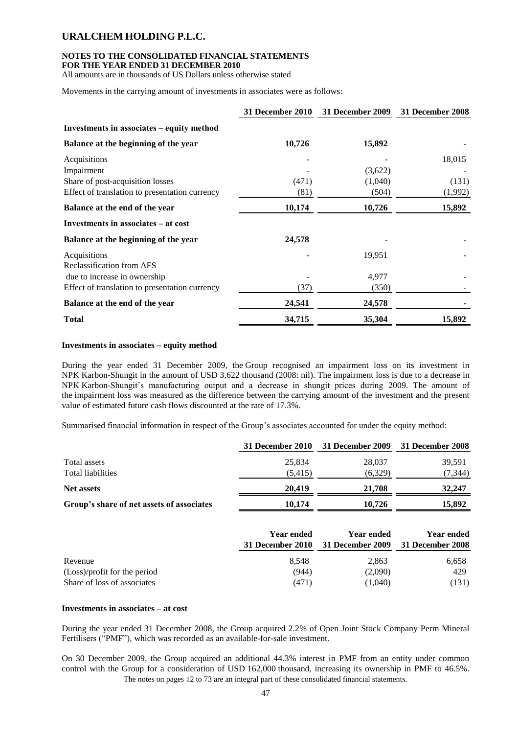#### **NOTES TO THE CONSOLIDATED FINANCIAL STATEMENTS FOR THE YEAR ENDED 31 DECEMBER 2010**

All amounts are in thousands of US Dollars unless otherwise stated

Movements in the carrying amount of investments in associates were as follows:

|                                                | <b>31 December 2010</b> | <b>31 December 2009</b> | 31 December 2008 |
|------------------------------------------------|-------------------------|-------------------------|------------------|
| Investments in associates – equity method      |                         |                         |                  |
| Balance at the beginning of the year           | 10,726                  | 15,892                  |                  |
| Acquisitions                                   |                         |                         | 18,015           |
| Impairment                                     |                         | (3,622)                 |                  |
| Share of post-acquisition losses               | (471)                   | (1,040)                 | (131)            |
| Effect of translation to presentation currency | (81)                    | (504)                   | (1,992)          |
| Balance at the end of the year                 | 10,174                  | 10,726                  | 15,892           |
| Investments in associates – at cost            |                         |                         |                  |
| Balance at the beginning of the year           | 24,578                  |                         |                  |
| Acquisitions                                   |                         | 19,951                  |                  |
| Reclassification from AFS                      |                         |                         |                  |
| due to increase in ownership                   |                         | 4.977                   |                  |
| Effect of translation to presentation currency | (37)                    | (350)                   |                  |
| Balance at the end of the year                 | 24,541                  | 24,578                  |                  |
| <b>Total</b>                                   | 34,715                  | 35,304                  | 15,892           |

#### **Investments in associates – equity method**

During the year ended 31 December 2009, the Group recognised an impairment loss on its investment in NPK Karbon-Shungit in the amount of USD 3,622 thousand (2008: nil). The impairment loss is due to a decrease in NPK Karbon-Shungit's manufacturing output and a decrease in shungit prices during 2009. The amount of the impairment loss was measured as the difference between the carrying amount of the investment and the present value of estimated future cash flows discounted at the rate of 17.3%.

Summarised financial information in respect of the Group's associates accounted for under the equity method:

|                                           | 31 December 2010 | 31 December 2009 | 31 December 2008 |
|-------------------------------------------|------------------|------------------|------------------|
| Total assets                              | 25,834           | 28,037           | 39,591           |
| Total liabilities                         | (5,415)          | (6,329)          | (7,344)          |
| <b>Net assets</b>                         | 20.419           | 21,708           | 32,247           |
| Group's share of net assets of associates | 10.174           | 10.726           | 15,892           |

|                              | Year ended<br>31 December 2010 | Year ended<br>31 December 2009 | Year ended<br>31 December 2008 |
|------------------------------|--------------------------------|--------------------------------|--------------------------------|
| Revenue                      | 8.548                          | 2.863                          | 6,658                          |
| (Loss)/profit for the period | (944)                          | (2,090)                        | 429                            |
| Share of loss of associates  | (471)                          | (1,040)                        | (131)                          |

#### **Investments in associates – at cost**

During the year ended 31 December 2008, the Group acquired 2.2% of Open Joint Stock Company Perm Mineral Fertilisers ("PMF"), which was recorded as an available-for-sale investment.

The notes on pages 12 to 73 are an integral part of these consolidated financial statements. On 30 December 2009, the Group acquired an additional 44.3% interest in PMF from an entity under common control with the Group for a consideration of USD 162,000 thousand, increasing its ownership in PMF to 46.5%.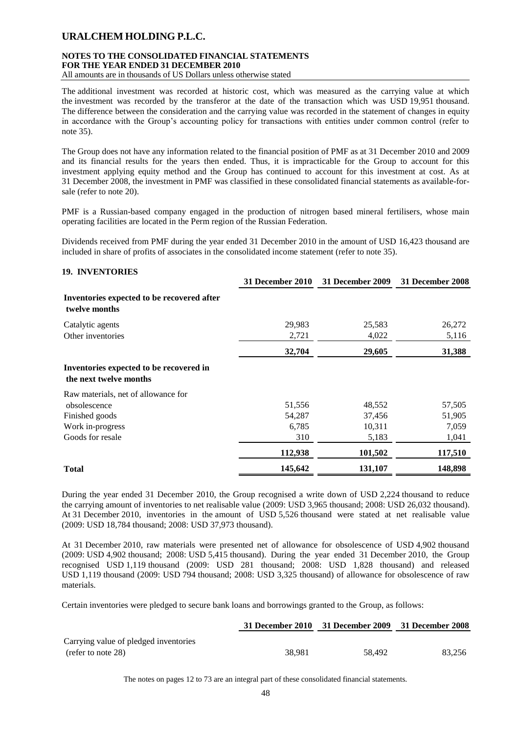# **NOTES TO THE CONSOLIDATED FINANCIAL STATEMENTS FOR THE YEAR ENDED 31 DECEMBER 2010**

All amounts are in thousands of US Dollars unless otherwise stated

The additional investment was recorded at historic cost, which was measured as the carrying value at which the investment was recorded by the transferor at the date of the transaction which was USD 19,951 thousand. The difference between the consideration and the carrying value was recorded in the statement of changes in equity in accordance with the Group's accounting policy for transactions with entities under common control (refer to note 35).

The Group does not have any information related to the financial position of PMF as at 31 December 2010 and 2009 and its financial results for the years then ended. Thus, it is impracticable for the Group to account for this investment applying equity method and the Group has continued to account for this investment at cost. As at 31 December 2008, the investment in PMF was classified in these consolidated financial statements as available-forsale (refer to note 20).

PMF is a Russian-based company engaged in the production of nitrogen based mineral fertilisers, whose main operating facilities are located in the Perm region of the Russian Federation.

Dividends received from PMF during the year ended 31 December 2010 in the amount of USD 16,423 thousand are included in share of profits of associates in the consolidated income statement (refer to note 35).

#### **19. INVENTORIES**

|                                                                   | <b>31 December 2010</b> | 31 December 2009 | 31 December 2008 |
|-------------------------------------------------------------------|-------------------------|------------------|------------------|
| Inventories expected to be recovered after<br>twelve months       |                         |                  |                  |
| Catalytic agents                                                  | 29,983                  | 25,583           | 26,272           |
| Other inventories                                                 | 2,721                   | 4,022            | 5,116            |
|                                                                   | 32,704                  | 29,605           | 31,388           |
| Inventories expected to be recovered in<br>the next twelve months |                         |                  |                  |
| Raw materials, net of allowance for<br>obsolescence               | 51,556                  | 48,552           | 57,505           |
| Finished goods                                                    | 54,287                  | 37,456           | 51,905           |
| Work in-progress                                                  | 6,785                   | 10,311           | 7,059            |
| Goods for resale                                                  | 310                     | 5,183            | 1,041            |
|                                                                   | 112,938                 | 101,502          | 117,510          |
| <b>Total</b>                                                      | 145,642                 | 131,107          | 148,898          |

During the year ended 31 December 2010, the Group recognised a write down of USD 2,224 thousand to reduce the carrying amount of inventories to net realisable value (2009: USD 3,965 thousand; 2008: USD 26,032 thousand). At 31 December 2010, inventories in the amount of USD 5,526 thousand were stated at net realisable value (2009: USD 18,784 thousand; 2008: USD 37,973 thousand).

At 31 December 2010, raw materials were presented net of allowance for obsolescence of USD 4,902 thousand (2009: USD 4,902 thousand; 2008: USD 5,415 thousand). During the year ended 31 December 2010, the Group recognised USD 1,119 thousand (2009: USD 281 thousand; 2008: USD 1,828 thousand) and released USD 1,119 thousand (2009: USD 794 thousand; 2008: USD 3,325 thousand) of allowance for obsolescence of raw materials.

Certain inventories were pledged to secure bank loans and borrowings granted to the Group, as follows:

|                                       |        | 31 December 2010 31 December 2009 31 December 2008 |        |
|---------------------------------------|--------|----------------------------------------------------|--------|
| Carrying value of pledged inventories |        |                                                    |        |
| (refer to note 28)                    | 38.981 | 58.492                                             | 83.256 |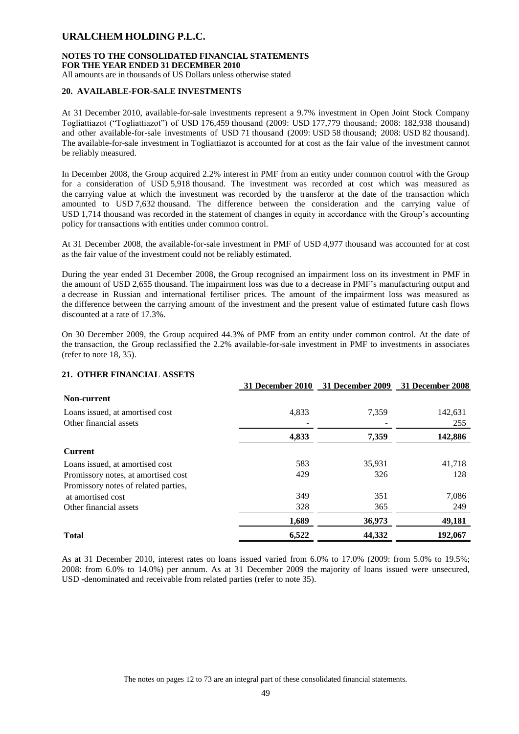#### **NOTES TO THE CONSOLIDATED FINANCIAL STATEMENTS FOR THE YEAR ENDED 31 DECEMBER 2010** All amounts are in thousands of US Dollars unless otherwise stated

### **20. AVAILABLE-FOR-SALE INVESTMENTS**

At 31 December 2010, available-for-sale investments represent a 9.7% investment in Open Joint Stock Company Togliattiazot ("Togliattiazot") of USD 176,459 thousand (2009: USD 177,779 thousand; 2008: 182,938 thousand) and other available-for-sale investments of USD 71 thousand (2009: USD 58 thousand; 2008: USD 82 thousand). The available-for-sale investment in Togliattiazot is accounted for at cost as the fair value of the investment cannot be reliably measured.

In December 2008, the Group acquired 2.2% interest in PMF from an entity under common control with the Group for a consideration of USD 5,918 thousand. The investment was recorded at cost which was measured as the carrying value at which the investment was recorded by the transferor at the date of the transaction which amounted to USD 7,632 thousand. The difference between the consideration and the carrying value of USD 1,714 thousand was recorded in the statement of changes in equity in accordance with the Group's accounting policy for transactions with entities under common control.

At 31 December 2008, the available-for-sale investment in PMF of USD 4,977 thousand was accounted for at cost as the fair value of the investment could not be reliably estimated.

During the year ended 31 December 2008, the Group recognised an impairment loss on its investment in PMF in the amount of USD 2,655 thousand. The impairment loss was due to a decrease in PMF's manufacturing output and a decrease in Russian and international fertiliser prices. The amount of the impairment loss was measured as the difference between the carrying amount of the investment and the present value of estimated future cash flows discounted at a rate of 17.3%.

On 30 December 2009, the Group acquired 44.3% of PMF from an entity under common control. At the date of the transaction, the Group reclassified the 2.2% available-for-sale investment in PMF to investments in associates (refer to note 18, 35).

### **21. OTHER FINANCIAL ASSETS**

|                                      | 31 December 2010 | 31 December 2009 | 31 December 2008 |
|--------------------------------------|------------------|------------------|------------------|
| Non-current                          |                  |                  |                  |
| Loans issued, at amortised cost      | 4,833            | 7,359            | 142,631          |
| Other financial assets               |                  |                  | 255              |
|                                      | 4,833            | 7.359            | 142,886          |
| <b>Current</b>                       |                  |                  |                  |
| Loans issued, at amortised cost      | 583              | 35,931           | 41,718           |
| Promissory notes, at amortised cost  | 429              | 326              | 128              |
| Promissory notes of related parties, |                  |                  |                  |
| at amortised cost                    | 349              | 351              | 7,086            |
| Other financial assets               | 328              | 365              | 249              |
|                                      | 1,689            | 36,973           | 49,181           |
| <b>Total</b>                         | 6,522            | 44,332           | 192,067          |

As at 31 December 2010, interest rates on loans issued varied from 6.0% to 17.0% (2009: from 5.0% to 19.5%; 2008: from 6.0% to 14.0%) per annum. As at 31 December 2009 the majority of loans issued were unsecured, USD -denominated and receivable from related parties (refer to note 35).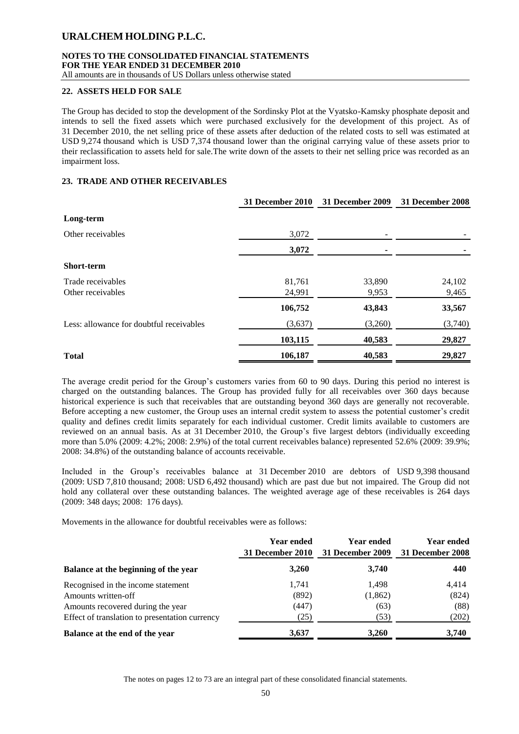#### **NOTES TO THE CONSOLIDATED FINANCIAL STATEMENTS FOR THE YEAR ENDED 31 DECEMBER 2010** All amounts are in thousands of US Dollars unless otherwise stated

### **22. ASSETS HELD FOR SALE**

The Group has decided to stop the development of the Sordinsky Plot at the Vyatsko-Kamsky phosphate deposit and intends to sell the fixed assets which were purchased exclusively for the development of this project. As of 31 December 2010, the net selling price of these assets after deduction of the related costs to sell was estimated at USD 9,274 thousand which is USD 7,374 thousand lower than the original carrying value of these assets prior to their reclassification to assets held for sale.The write down of the assets to their net selling price was recorded as an impairment loss.

### **23. TRADE AND OTHER RECEIVABLES**

|                                          | <b>31 December 2010</b> | 31 December 2009 | 31 December 2008 |
|------------------------------------------|-------------------------|------------------|------------------|
| Long-term                                |                         |                  |                  |
| Other receivables                        | 3,072                   |                  |                  |
|                                          | 3,072                   |                  |                  |
| <b>Short-term</b>                        |                         |                  |                  |
| Trade receivables                        | 81,761                  | 33,890           | 24,102           |
| Other receivables                        | 24,991                  | 9,953            | 9,465            |
|                                          | 106,752                 | 43,843           | 33,567           |
| Less: allowance for doubtful receivables | (3,637)                 | (3,260)          | (3,740)          |
|                                          | 103,115                 | 40,583           | 29,827           |
| <b>Total</b>                             | 106,187                 | 40,583           | 29,827           |

The average credit period for the Group's customers varies from 60 to 90 days. During this period no interest is charged on the outstanding balances. The Group has provided fully for all receivables over 360 days because historical experience is such that receivables that are outstanding beyond 360 days are generally not recoverable. Before accepting a new customer, the Group uses an internal credit system to assess the potential customer's credit quality and defines credit limits separately for each individual customer. Credit limits available to customers are reviewed on an annual basis. As at 31 December 2010, the Group's five largest debtors (individually exceeding more than 5.0% (2009: 4.2%; 2008: 2.9%) of the total current receivables balance) represented 52.6% (2009: 39.9%; 2008: 34.8%) of the outstanding balance of accounts receivable.

Included in the Group's receivables balance at 31 December 2010 are debtors of USD 9,398 thousand (2009: USD 7,810 thousand; 2008: USD 6,492 thousand) which are past due but not impaired. The Group did not hold any collateral over these outstanding balances. The weighted average age of these receivables is 264 days (2009: 348 days; 2008: 176 days).

Movements in the allowance for doubtful receivables were as follows:

|                                                | <b>Year ended</b><br>31 December 2010 | <b>Year ended</b><br>31 December 2009 | Year ended<br>31 December 2008 |
|------------------------------------------------|---------------------------------------|---------------------------------------|--------------------------------|
| Balance at the beginning of the year           | 3,260                                 | 3,740                                 | 440                            |
| Recognised in the income statement             | 1.741                                 | 1.498                                 | 4.414                          |
| Amounts written-off                            | (892)                                 | (1,862)                               | (824)                          |
| Amounts recovered during the year              | (447)                                 | (63)                                  | (88)                           |
| Effect of translation to presentation currency | (25)                                  | (53)                                  | (202)                          |
| Balance at the end of the year                 | 3,637                                 | 3,260                                 | 3,740                          |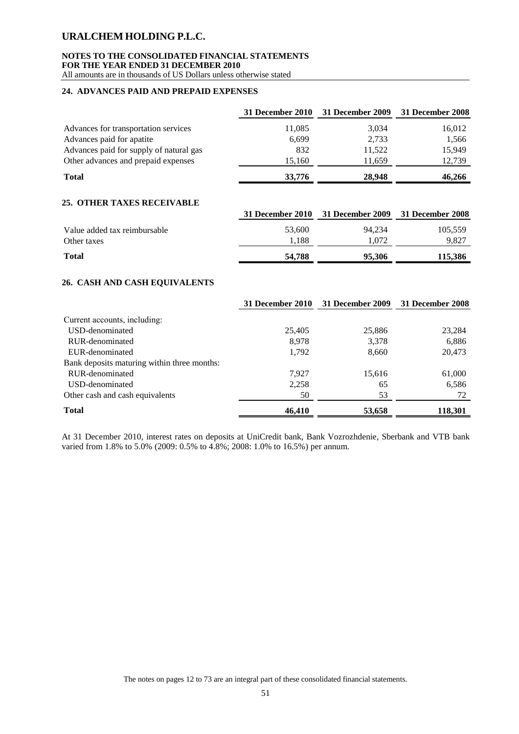# **NOTES TO THE CONSOLIDATED FINANCIAL STATEMENTS FOR THE YEAR ENDED 31 DECEMBER 2010**

All amounts are in thousands of US Dollars unless otherwise stated

### **24. ADVANCES PAID AND PREPAID EXPENSES**

|                                         | 31 December 2010 | 31 December 2009 | 31 December 2008 |
|-----------------------------------------|------------------|------------------|------------------|
| Advances for transportation services    | 11,085           | 3,034            | 16,012           |
| Advances paid for apatite               | 6,699            | 2,733            | 1,566            |
| Advances paid for supply of natural gas | 832              | 11,522           | 15,949           |
| Other advances and prepaid expenses     | 15.160           | 11,659           | 12,739           |
| <b>Total</b>                            | 33,776           | 28,948           | 46,266           |

#### **25. OTHER TAXES RECEIVABLE**

|                              |        | 31 December 2010 31 December 2009 31 December 2008 |         |
|------------------------------|--------|----------------------------------------------------|---------|
| Value added tax reimbursable | 53,600 | 94.234                                             | 105,559 |
| Other taxes                  | 1.188  | 1.072                                              | 9,827   |
| <b>Total</b>                 | 54,788 | 95,306                                             | 115,386 |

### **26. CASH AND CASH EQUIVALENTS**

|                                             | 31 December 2010 | 31 December 2009 | 31 December 2008 |
|---------------------------------------------|------------------|------------------|------------------|
| Current accounts, including:                |                  |                  |                  |
| USD-denominated                             | 25,405           | 25,886           | 23,284           |
| RUR-denominated                             | 8,978            | 3,378            | 6,886            |
| EUR-denominated                             | 1,792            | 8,660            | 20,473           |
| Bank deposits maturing within three months: |                  |                  |                  |
| RUR-denominated                             | 7.927            | 15,616           | 61,000           |
| USD-denominated                             | 2,258            | 65               | 6,586            |
| Other cash and cash equivalents             | 50               | 53               | 72               |
| <b>Total</b>                                | 46,410           | 53,658           | 118,301          |

At 31 December 2010, interest rates on deposits at UniCredit bank, Bank Vozrozhdenie, Sberbank and VTB bank varied from 1.8% to 5.0% (2009: 0.5% to 4.8%; 2008: 1.0% to 16.5%) per annum.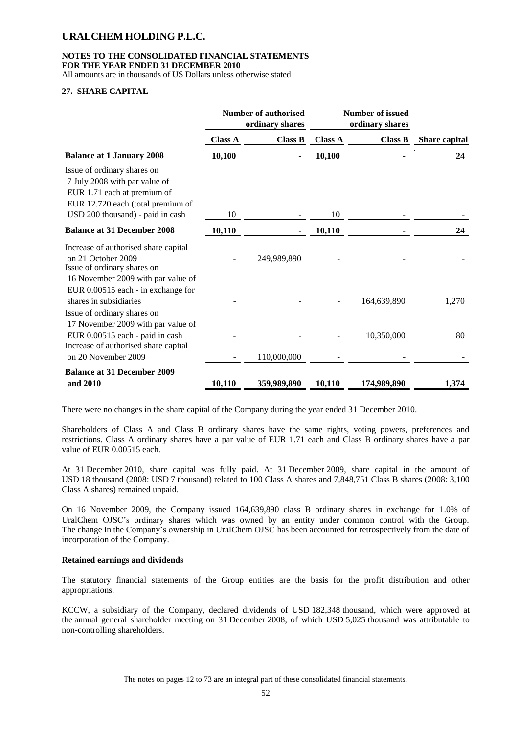# **NOTES TO THE CONSOLIDATED FINANCIAL STATEMENTS FOR THE YEAR ENDED 31 DECEMBER 2010**

All amounts are in thousands of US Dollars unless otherwise stated

### **27. SHARE CAPITAL**

|                                                                                                                                                                     |                | Number of authorised<br>ordinary shares | Number of issued<br>ordinary shares |                |               |  |
|---------------------------------------------------------------------------------------------------------------------------------------------------------------------|----------------|-----------------------------------------|-------------------------------------|----------------|---------------|--|
|                                                                                                                                                                     | <b>Class A</b> | <b>Class B</b>                          | <b>Class A</b>                      | <b>Class B</b> | Share capital |  |
| <b>Balance at 1 January 2008</b>                                                                                                                                    | 10,100         |                                         | 10,100                              |                | 24            |  |
| Issue of ordinary shares on<br>7 July 2008 with par value of<br>EUR 1.71 each at premium of<br>EUR 12.720 each (total premium of                                    |                |                                         |                                     |                |               |  |
| USD 200 thousand) - paid in cash                                                                                                                                    | 10             |                                         | 10                                  |                |               |  |
| <b>Balance at 31 December 2008</b>                                                                                                                                  | 10,110         |                                         | 10,110                              |                | 24            |  |
| Increase of authorised share capital<br>on 21 October 2009<br>Issue of ordinary shares on<br>16 November 2009 with par value of                                     |                | 249,989,890                             |                                     |                |               |  |
| EUR 0.00515 each - in exchange for<br>shares in subsidiaries                                                                                                        |                |                                         |                                     | 164,639,890    | 1,270         |  |
| Issue of ordinary shares on<br>17 November 2009 with par value of<br>EUR 0.00515 each - paid in cash<br>Increase of authorised share capital<br>on 20 November 2009 |                | 110,000,000                             |                                     | 10,350,000     | 80            |  |
| <b>Balance at 31 December 2009</b><br>and 2010                                                                                                                      | 10,110         | 359,989,890                             | 10,110                              | 174,989,890    | 1,374         |  |

There were no changes in the share capital of the Company during the year ended 31 December 2010.

Shareholders of Class A and Class B ordinary shares have the same rights, voting powers, preferences and restrictions. Class A ordinary shares have a par value of EUR 1.71 each and Class B ordinary shares have a par value of EUR 0.00515 each.

At 31 December 2010, share capital was fully paid. At 31 December 2009, share capital in the amount of USD 18 thousand (2008: USD 7 thousand) related to 100 Class A shares and 7,848,751 Class B shares (2008: 3,100 Class A shares) remained unpaid.

On 16 November 2009, the Company issued 164,639,890 class B ordinary shares in exchange for 1.0% of UralChem OJSC's ordinary shares which was owned by an entity under common control with the Group. The change in the Company's ownership in UralChem OJSC has been accounted for retrospectively from the date of incorporation of the Company.

#### **Retained earnings and dividends**

The statutory financial statements of the Group entities are the basis for the profit distribution and other appropriations.

KCCW, a subsidiary of the Company, declared dividends of USD 182,348 thousand, which were approved at the annual general shareholder meeting on 31 December 2008, of which USD 5,025 thousand was attributable to non-controlling shareholders.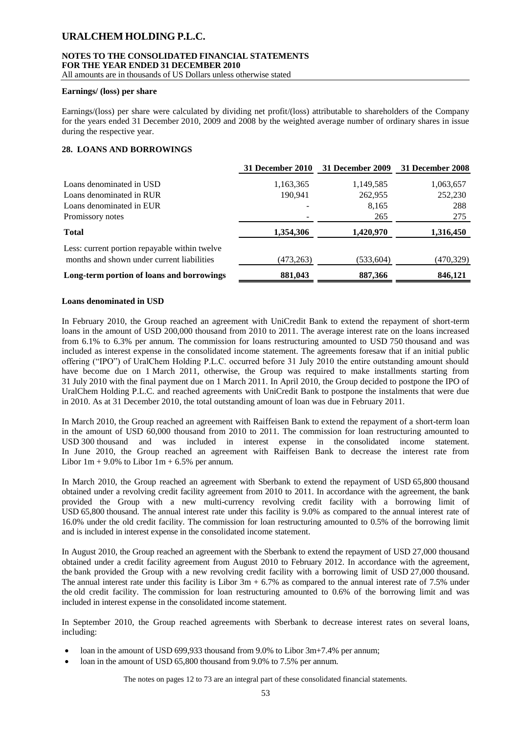# **NOTES TO THE CONSOLIDATED FINANCIAL STATEMENTS FOR THE YEAR ENDED 31 DECEMBER 2010**

All amounts are in thousands of US Dollars unless otherwise stated

### **Earnings/ (loss) per share**

Earnings/(loss) per share were calculated by dividing net profit/(loss) attributable to shareholders of the Company for the years ended 31 December 2010, 2009 and 2008 by the weighted average number of ordinary shares in issue during the respective year.

### **28. LOANS AND BORROWINGS**

|                                                                                             | 31 December 2010 | 31 December 2009 | 31 December 2008 |
|---------------------------------------------------------------------------------------------|------------------|------------------|------------------|
| Loans denominated in USD                                                                    | 1,163,365        | 1,149,585        | 1,063,657        |
| Loans denominated in RUR                                                                    | 190.941          | 262,955          | 252,230          |
| Loans denominated in EUR                                                                    |                  | 8,165            | 288              |
| Promissory notes                                                                            |                  | 265              | 275              |
| <b>Total</b>                                                                                | 1,354,306        | 1,420,970        | 1,316,450        |
| Less: current portion repayable within twelve<br>months and shown under current liabilities | (473,263)        | (533, 604)       | (470,329)        |
| Long-term portion of loans and borrowings                                                   | 881,043          | 887,366          | 846,121          |

### **Loans denominated in USD**

In February 2010, the Group reached an agreement with UniCredit Bank to extend the repayment of short-term loans in the amount of USD 200,000 thousand from 2010 to 2011. The average interest rate on the loans increased from 6.1% to 6.3% per annum. The commission for loans restructuring amounted to USD 750 thousand and was included as interest expense in the consolidated income statement. The agreements foresaw that if an initial public offering ("IPO") of UralChem Holding P.L.C. occurred before 31 July 2010 the entire outstanding amount should have become due on 1 March 2011, otherwise, the Group was required to make installments starting from 31 July 2010 with the final payment due on 1 March 2011. In April 2010, the Group decided to postpone the IPO of UralChem Holding P.L.C. аnd reached agreements with UniCredit Bank to postpone the instalments that were due in 2010. As at 31 December 2010, the total outstanding amount of loan was due in February 2011.

In March 2010, the Group reached an agreement with Raiffeisen Bank to extend the repayment of a short-term loan in the amount of USD 60,000 thousand from 2010 to 2011. The commission for loan restructuring amounted to USD 300 thousand and was included in interest expense in the consolidated income statement. In June 2010, the Group reached an agreement with Raiffeisen Bank to decrease the interest rate from Libor  $1m + 9.0\%$  to Libor  $1m + 6.5\%$  per annum.

In March 2010, the Group reached an agreement with Sberbank to extend the repayment of USD 65,800 thousand obtained under a revolving credit facility agreement from 2010 to 2011. In accordance with the agreement, the bank provided the Group with a new multi-currency revolving credit facility with a borrowing limit of USD 65,800 thousand. The annual interest rate under this facility is 9.0% as compared to the annual interest rate of 16.0% under the old credit facility. The commission for loan restructuring amounted to 0.5% of the borrowing limit and is included in interest expense in the consolidated income statement.

In August 2010, the Group reached an agreement with the Sberbank to extend the repayment of USD 27,000 thousand obtained under a credit facility agreement from August 2010 to February 2012. In accordance with the agreement, the bank provided the Group with a new revolving credit facility with a borrowing limit of USD 27,000 thousand. The annual interest rate under this facility is Libor  $3m + 6.7\%$  as compared to the annual interest rate of 7.5% under the old credit facility. The commission for loan restructuring amounted to 0.6% of the borrowing limit and was included in interest expense in the consolidated income statement.

In September 2010, the Group reached agreements with Sberbank to decrease interest rates on several loans, including:

- loan in the amount of USD 699,933 thousand from 9.0% to Libor 3m+7.4% per annum;
- loan in the amount of USD 65,800 thousand from 9.0% to 7.5% per annum.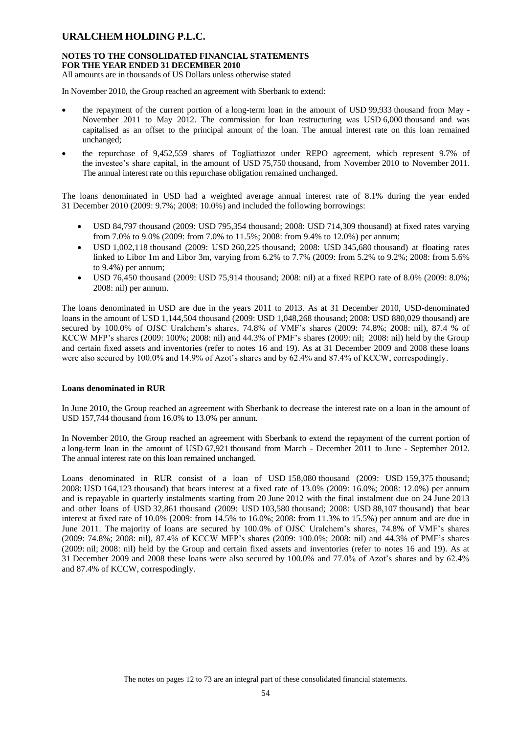#### **NOTES TO THE CONSOLIDATED FINANCIAL STATEMENTS FOR THE YEAR ENDED 31 DECEMBER 2010** All amounts are in thousands of US Dollars unless otherwise stated

In November 2010, the Group reached an agreement with Sberbank to extend:

- the repayment of the current portion of a long-term loan in the amount of USD 99,933 thousand from May November 2011 to May 2012. The commission for loan restructuring was USD 6,000 thousand and was capitalised as an offset to the principal amount of the loan. The annual interest rate on this loan remained unchanged;
- the repurchase of 9,452,559 shares of Togliattiazot under REPO agreement, which represent 9.7% of the investee's share capital, in the amount of USD 75,750 thousand, from November 2010 to November 2011. The annual interest rate on this repurchase obligation remained unchanged.

The loans denominated in USD had a weighted average annual interest rate of 8.1% during the year ended 31 December 2010 (2009: 9.7%; 2008: 10.0%) and included the following borrowings:

- USD 84,797 thousand (2009: USD 795,354 thousand; 2008: USD 714,309 thousand) at fixed rates varying from 7.0% to 9.0% (2009: from 7.0% to 11.5%; 2008: from 9.4% to 12.0%) per annum;
- USD 1,002,118 thousand (2009: USD 260,225 thousand; 2008: USD 345,680 thousand) at floating rates linked to Libor 1m and Libor 3m, varying from 6.2% to 7.7% (2009: from 5.2% to 9.2%; 2008: from 5.6% to 9.4%) per annum;
- USD 76,450 thousand (2009: USD 75,914 thousand; 2008: nil) at a fixed REPO rate of 8.0% (2009: 8.0%; 2008: nil) per annum.

The loans denominated in USD are due in the years 2011 to 2013. As at 31 December 2010, USD-denominated loans in the amount of USD 1,144,504 thousand (2009: USD 1,048,268 thousand; 2008: USD 880,029 thousand) are secured by 100.0% of OJSC Uralchem's shares, 74.8% of VMF's shares (2009: 74.8%; 2008: nil), 87.4 % of KCCW MFP's shares (2009: 100%; 2008: nil) and 44.3% of PMF's shares (2009: nil; 2008: nil) held by the Group and certain fixed assets and inventories (refer to notes 16 and 19). As at 31 December 2009 and 2008 these loans were also secured by 100.0% and 14.9% of Azot's shares and by 62.4% and 87.4% of KCCW, correspodingly.

### **Loans denominated in RUR**

In June 2010, the Group reached an agreement with Sberbank to decrease the interest rate on a loan in the amount of USD 157,744 thousand from 16.0% to 13.0% per annum.

In November 2010, the Group reached an agreement with Sberbank to extend the repayment of the current portion of a long-term loan in the amount of USD 67,921 thousand from March - December 2011 to June - September 2012. The annual interest rate on this loan remained unchanged.

Loans denominated in RUR consist of a loan of USD 158,080 thousand (2009: USD 159,375 thousand; 2008: USD 164,123 thousand) that bears interest at a fixed rate of 13.0% (2009: 16.0%; 2008: 12.0%) per annum and is repayable in quarterly instalments starting from 20 June 2012 with the final instalment due on 24 June 2013 and other loans of USD 32,861 thousand (2009: USD 103,580 thousand; 2008: USD 88,107 thousand) that bear interest at fixed rate of 10.0% (2009: from 14.5% to 16.0%; 2008: from 11.3% to 15.5%) per annum and are due in June 2011. The majority of loans are secured by 100.0% of OJSC Uralchem's shares, 74.8% of VMF's shares (2009: 74.8%; 2008: nil), 87.4% of KCCW MFP's shares (2009: 100.0%; 2008: nil) and 44.3% of PMF's shares (2009: nil; 2008: nil) held by the Group and certain fixed assets and inventories (refer to notes 16 and 19). As at 31 December 2009 and 2008 these loans were also secured by 100.0% and 77.0% of Azot's shares and by 62.4% and 87.4% of KCCW, correspodingly.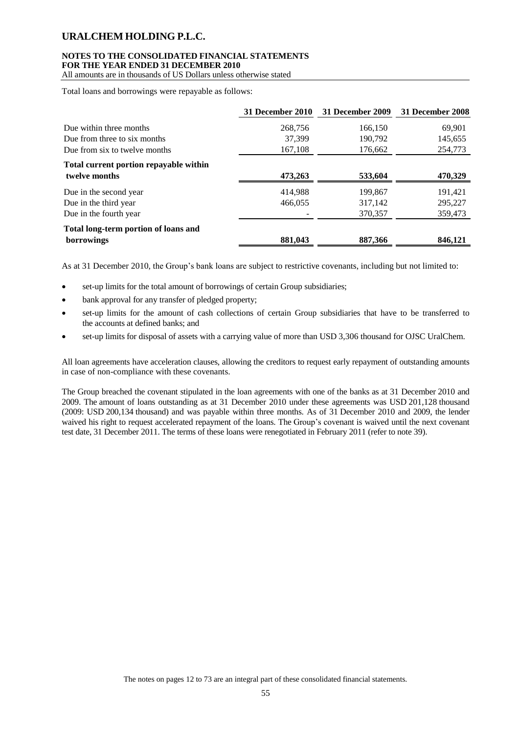#### **NOTES TO THE CONSOLIDATED FINANCIAL STATEMENTS FOR THE YEAR ENDED 31 DECEMBER 2010**

All amounts are in thousands of US Dollars unless otherwise stated

Total loans and borrowings were repayable as follows:

|                                        | 31 December 2010 | 31 December 2009 | 31 December 2008 |
|----------------------------------------|------------------|------------------|------------------|
| Due within three months                | 268,756          | 166,150          | 69,901           |
| Due from three to six months           | 37.399           | 190.792          | 145,655          |
| Due from six to twelve months          | 167,108          | 176,662          | 254,773          |
| Total current portion repayable within |                  |                  |                  |
| twelve months                          | 473,263          | 533,604          | 470,329          |
| Due in the second year                 | 414,988          | 199.867          | 191,421          |
| Due in the third year                  | 466,055          | 317,142          | 295,227          |
| Due in the fourth year                 |                  | 370,357          | 359,473          |
| Total long-term portion of loans and   |                  |                  |                  |
| borrowings                             | 881,043          | 887,366          | 846,121          |

As at 31 December 2010, the Group's bank loans are subject to restrictive covenants, including but not limited to:

- set-up limits for the total amount of borrowings of certain Group subsidiaries;
- bank approval for any transfer of pledged property;
- set-up limits for the amount of cash collections of certain Group subsidiaries that have to be transferred to the accounts at defined banks; and
- set-up limits for disposal of assets with a carrying value of more than USD 3,306 thousand for OJSC UralChem.

All loan agreements have acceleration clauses, allowing the creditors to request early repayment of outstanding amounts in case of non-compliance with these covenants.

The Group breached the covenant stipulated in the loan agreements with one of the banks as at 31 December 2010 and 2009. The amount of loans outstanding as at 31 December 2010 under these agreements was USD 201,128 thousand (2009: USD 200,134 thousand) and was payable within three months. As of 31 December 2010 and 2009, the lender waived his right to request accelerated repayment of the loans. The Group's covenant is waived until the next covenant test date, 31 December 2011. The terms of these loans were renegotiated in February 2011 (refer to note 39).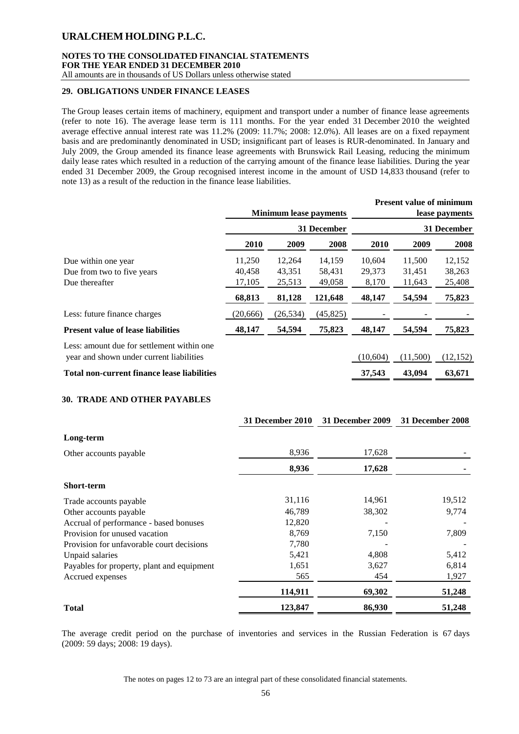# **NOTES TO THE CONSOLIDATED FINANCIAL STATEMENTS FOR THE YEAR ENDED 31 DECEMBER 2010**

All amounts are in thousands of US Dollars unless otherwise stated

### **29. OBLIGATIONS UNDER FINANCE LEASES**

The Group leases certain items of machinery, equipment and transport under a number of finance lease agreements (refer to note 16). The average lease term is 111 months. For the year ended 31 December 2010 the weighted average effective annual interest rate was 11.2% (2009: 11.7%; 2008: 12.0%). All leases are on a fixed repayment basis and are predominantly denominated in USD; insignificant part of leases is RUR-denominated. In January and July 2009, the Group amended its finance lease agreements with Brunswick Rail Leasing, reducing the minimum daily lease rates which resulted in a reduction of the carrying amount of the finance lease liabilities. During the year ended 31 December 2009, the Group recognised interest income in the amount of USD 14,833 thousand (refer to note 13) as a result of the reduction in the finance lease liabilities.

|                                                    |          |                               |             |          | <b>Present value of minimum</b> |                |
|----------------------------------------------------|----------|-------------------------------|-------------|----------|---------------------------------|----------------|
|                                                    |          | <b>Minimum lease payments</b> |             |          |                                 | lease payments |
|                                                    |          |                               | 31 December |          | 31 December                     |                |
|                                                    | 2010     | 2009                          | 2008        | 2010     | 2009                            | 2008           |
| Due within one year                                | 11,250   | 12,264                        | 14,159      | 10.604   | 11,500                          | 12,152         |
| Due from two to five years                         | 40,458   | 43,351                        | 58,431      | 29,373   | 31,451                          | 38,263         |
| Due thereafter                                     | 17,105   | 25,513                        | 49,058      | 8,170    | 11,643                          | 25,408         |
|                                                    | 68,813   | 81,128                        | 121,648     | 48,147   | 54,594                          | 75,823         |
| Less: future finance charges                       | (20,666) | (26, 534)                     | (45, 825)   |          |                                 |                |
| <b>Present value of lease liabilities</b>          | 48,147   | 54,594                        | 75,823      | 48,147   | 54,594                          | 75,823         |
| Less: amount due for settlement within one.        |          |                               |             |          |                                 |                |
| year and shown under current liabilities           |          |                               |             | (10,604) | (11,500)                        | (12, 152)      |
| <b>Total non-current finance lease liabilities</b> |          |                               |             | 37,543   | 43,094                          | 63,671         |

### **30. TRADE AND OTHER PAYABLES**

|                                            | 31 December 2010 | 31 December 2009 | 31 December 2008 |
|--------------------------------------------|------------------|------------------|------------------|
| Long-term                                  |                  |                  |                  |
| Other accounts payable                     | 8,936            | 17,628           |                  |
|                                            | 8,936            | 17,628           |                  |
| <b>Short-term</b>                          |                  |                  |                  |
| Trade accounts payable                     | 31,116           | 14,961           | 19,512           |
| Other accounts payable                     | 46,789           | 38,302           | 9,774            |
| Accrual of performance - based bonuses     | 12,820           |                  |                  |
| Provision for unused vacation              | 8,769            | 7,150            | 7,809            |
| Provision for unfavorable court decisions  | 7,780            |                  |                  |
| Unpaid salaries                            | 5,421            | 4,808            | 5,412            |
| Payables for property, plant and equipment | 1,651            | 3,627            | 6,814            |
| Accrued expenses                           | 565              | 454              | 1,927            |
|                                            | 114,911          | 69,302           | 51,248           |
| <b>Total</b>                               | 123,847          | 86,930           | 51,248           |

The average credit period on the purchase of inventories and services in the Russian Federation is 67 days (2009: 59 days; 2008: 19 days).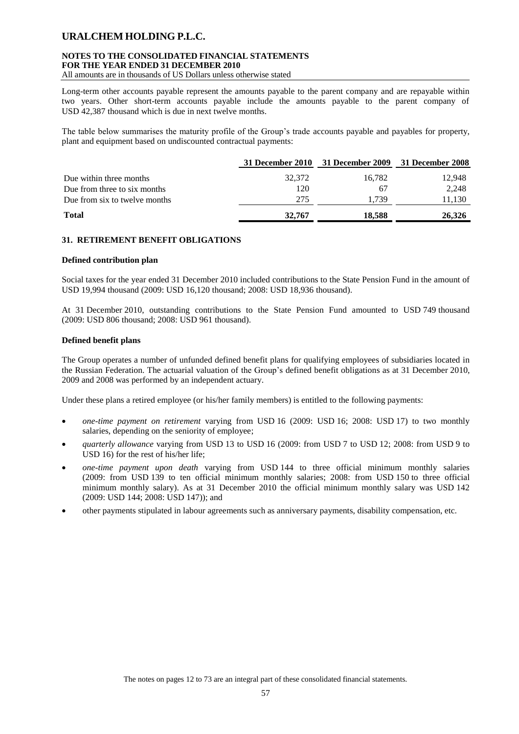### **NOTES TO THE CONSOLIDATED FINANCIAL STATEMENTS FOR THE YEAR ENDED 31 DECEMBER 2010**

All amounts are in thousands of US Dollars unless otherwise stated

Long-term other accounts payable represent the amounts payable to the parent company and are repayable within two years. Other short-term accounts payable include the amounts payable to the parent company of USD 42,387 thousand which is due in next twelve months.

The table below summarises the maturity profile of the Group's trade accounts payable and payables for property, plant and equipment based on undiscounted contractual payments:

|                               | <b>31 December 2010</b> | <b>31 December 2009</b> | <b>31 December 2008</b> |
|-------------------------------|-------------------------|-------------------------|-------------------------|
| Due within three months       | 32,372                  | 16.782                  | 12,948                  |
| Due from three to six months  | 120                     | -67                     | 2.248                   |
| Due from six to twelve months | 275                     | .739                    | 11,130                  |
| <b>Total</b>                  | 32,767                  | 18.588                  | 26,326                  |

### **31. RETIREMENT BENEFIT OBLIGATIONS**

#### **Defined contribution plan**

Social taxes for the year ended 31 December 2010 included contributions to the State Pension Fund in the amount of USD 19,994 thousand (2009: USD 16,120 thousand; 2008: USD 18,936 thousand).

At 31 December 2010, outstanding contributions to the State Pension Fund amounted to USD 749 thousand (2009: USD 806 thousand; 2008: USD 961 thousand).

#### **Defined benefit plans**

The Group operates a number of unfunded defined benefit plans for qualifying employees of subsidiaries located in the Russian Federation. The actuarial valuation of the Group's defined benefit obligations as at 31 December 2010, 2009 and 2008 was performed by an independent actuary.

Under these plans a retired employee (or his/her family members) is entitled to the following payments:

- *one-time payment on retirement* varying from USD 16 (2009: USD 16; 2008: USD 17) to two monthly salaries, depending on the seniority of employee;
- *quarterly allowance* varying from USD 13 to USD 16 (2009: from USD 7 to USD 12; 2008: from USD 9 to USD 16) for the rest of his/her life;
- *one-time payment upon death* varying from USD 144 to three official minimum monthly salaries (2009: from USD 139 to ten official minimum monthly salaries; 2008: from USD 150 to three official minimum monthly salary). As at 31 December 2010 the official minimum monthly salary was USD 142 (2009: USD 144; 2008: USD 147)); and
- other payments stipulated in labour agreements such as anniversary payments, disability compensation, etc.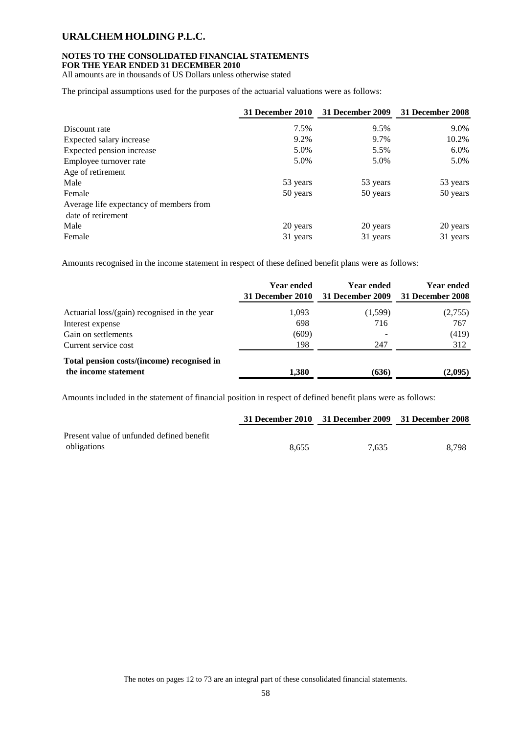# **NOTES TO THE CONSOLIDATED FINANCIAL STATEMENTS**

**FOR THE YEAR ENDED 31 DECEMBER 2010**

All amounts are in thousands of US Dollars unless otherwise stated

The principal assumptions used for the purposes of the actuarial valuations were as follows:

|                                                               | 31 December 2010 | 31 December 2009 | 31 December 2008 |
|---------------------------------------------------------------|------------------|------------------|------------------|
| Discount rate                                                 | 7.5%             | 9.5%             | 9.0%             |
| Expected salary increase                                      | 9.2%             | 9.7%             | 10.2%            |
| Expected pension increase                                     | 5.0%             | 5.5%             | $6.0\%$          |
| Employee turnover rate                                        | 5.0%             | 5.0%             | 5.0%             |
| Age of retirement                                             |                  |                  |                  |
| Male                                                          | 53 years         | 53 years         | 53 years         |
| Female                                                        | 50 years         | 50 years         | 50 years         |
| Average life expectancy of members from<br>date of retirement |                  |                  |                  |
| Male                                                          | 20 years         | 20 years         | 20 years         |
| Female                                                        | 31 years         | 31 years         | 31 years         |

Amounts recognised in the income statement in respect of these defined benefit plans were as follows:

|                                                                    | <b>Year ended</b><br>31 December 2010 | <b>Year ended</b><br>31 December 2009 | <b>Year ended</b><br>31 December 2008 |
|--------------------------------------------------------------------|---------------------------------------|---------------------------------------|---------------------------------------|
| Actuarial loss/(gain) recognised in the year                       | 1,093                                 | (1,599)                               | (2,755)                               |
| Interest expense                                                   | 698                                   | 716                                   | 767                                   |
| Gain on settlements                                                | (609)                                 |                                       | (419)                                 |
| Current service cost                                               | 198                                   | 247                                   | 312                                   |
| Total pension costs/(income) recognised in<br>the income statement | 1.380                                 | (636)                                 | (2,095)                               |
|                                                                    |                                       |                                       |                                       |

Amounts included in the statement of financial position in respect of defined benefit plans were as follows:

|                                           |       | 31 December 2010 31 December 2009 31 December 2008 |       |
|-------------------------------------------|-------|----------------------------------------------------|-------|
| Present value of unfunded defined benefit |       |                                                    |       |
| obligations                               | 8.655 | 7.635                                              | 8.798 |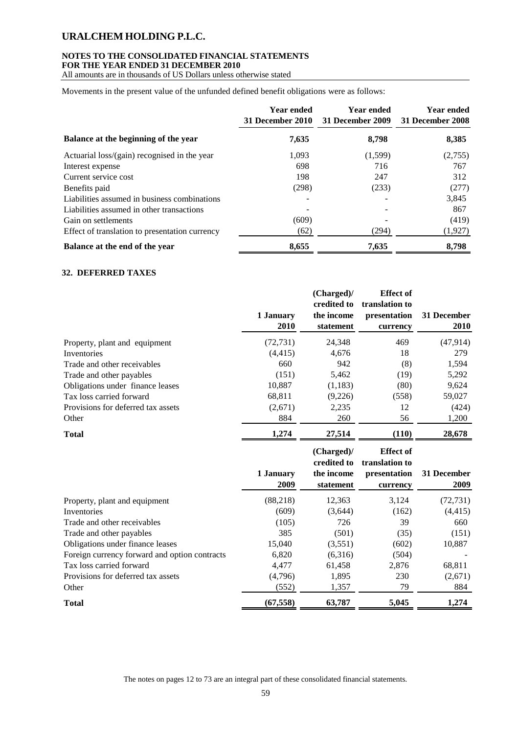#### **NOTES TO THE CONSOLIDATED FINANCIAL STATEMENTS FOR THE YEAR ENDED 31 DECEMBER 2010**

All amounts are in thousands of US Dollars unless otherwise stated

Movements in the present value of the unfunded defined benefit obligations were as follows:

|                                                | <b>Year ended</b><br>31 December 2010 | <b>Year ended</b><br>31 December 2009 | <b>Year ended</b><br>31 December 2008 |
|------------------------------------------------|---------------------------------------|---------------------------------------|---------------------------------------|
| Balance at the beginning of the year           | 7,635                                 | 8,798                                 | 8,385                                 |
| Actuarial loss/(gain) recognised in the year   | 1,093                                 | (1,599)                               | (2,755)                               |
| Interest expense                               | 698                                   | 716                                   | 767                                   |
| Current service cost                           | 198                                   | 247                                   | 312                                   |
| Benefits paid                                  | (298)                                 | (233)                                 | (277)                                 |
| Liabilities assumed in business combinations   |                                       |                                       | 3,845                                 |
| Liabilities assumed in other transactions      |                                       |                                       | 867                                   |
| Gain on settlements                            | (609)                                 |                                       | (419)                                 |
| Effect of translation to presentation currency | (62)                                  | (294)                                 | (1,927)                               |
| Balance at the end of the year                 | 8,655                                 | 7.635                                 | 8.798                                 |

### **32. DEFERRED TAXES**

|                                               | 1 January<br>2010 | (Charged)/<br>credited to<br>the income<br>statement | <b>Effect</b> of<br>translation to<br>presentation<br>currency | 31 December<br>2010 |
|-----------------------------------------------|-------------------|------------------------------------------------------|----------------------------------------------------------------|---------------------|
| Property, plant and equipment                 | (72, 731)         | 24,348                                               | 469                                                            | (47, 914)           |
| <b>Inventories</b>                            | (4, 415)          | 4,676                                                | 18                                                             | 279                 |
| Trade and other receivables                   | 660               | 942                                                  | (8)                                                            | 1,594               |
| Trade and other payables                      | (151)             | 5,462                                                | (19)                                                           | 5,292               |
| Obligations under finance leases              | 10,887            | (1, 183)                                             | (80)                                                           | 9,624               |
| Tax loss carried forward                      | 68,811            | (9,226)                                              | (558)                                                          | 59,027              |
| Provisions for deferred tax assets            | (2,671)           | 2,235                                                | 12                                                             | (424)               |
| Other                                         | 884               | 260                                                  | 56                                                             | 1,200               |
| <b>Total</b>                                  | 1,274             | 27,514                                               | (110)                                                          | 28,678              |
|                                               | 1 January<br>2009 | (Charged)/<br>credited to<br>the income<br>statement | <b>Effect</b> of<br>translation to<br>presentation<br>currency | 31 December<br>2009 |
| Property, plant and equipment                 | (88, 218)         | 12,363                                               | 3,124                                                          | (72, 731)           |
| Inventories                                   | (609)             | (3,644)                                              | (162)                                                          | (4, 415)            |
| Trade and other receivables                   | (105)             | 726                                                  | 39                                                             | 660                 |
| Trade and other payables                      | 385               | (501)                                                | (35)                                                           | (151)               |
| Obligations under finance leases              | 15,040            | (3,551)                                              | (602)                                                          | 10,887              |
| Foreign currency forward and option contracts | 6,820             | (6,316)                                              | (504)                                                          |                     |
| Tax loss carried forward                      | 4,477             | 61,458                                               | 2,876                                                          | 68,811              |
| Provisions for deferred tax assets            | (4,796)           | 1,895                                                | 230                                                            | (2,671)             |
| Other                                         | (552)             | 1,357                                                | 79                                                             | 884                 |
| <b>Total</b>                                  | (67, 558)         | 63,787                                               | 5,045                                                          | 1,274               |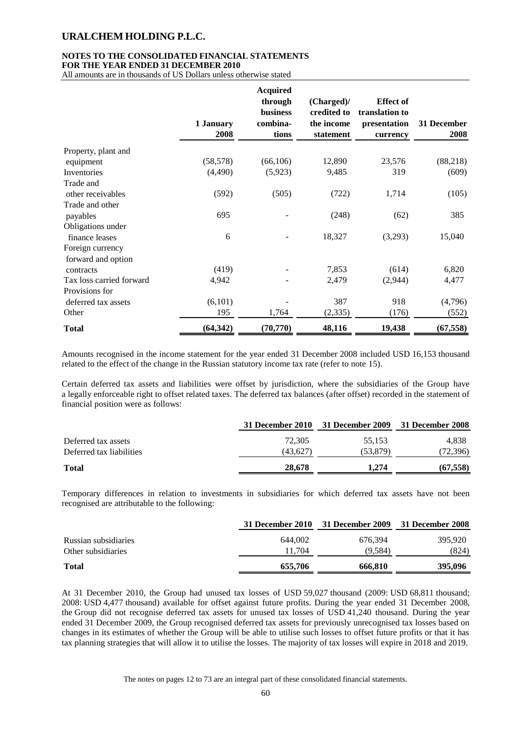#### **NOTES TO THE CONSOLIDATED FINANCIAL STATEMENTS FOR THE YEAR ENDED 31 DECEMBER 2010**

All amounts are in thousands of US Dollars unless otherwise stated

|                          | 1 January<br>2008 | <b>Acquired</b><br>through<br><b>business</b><br>combina-<br>tions | (Charged)/<br>credited to<br>the income<br>statement | <b>Effect</b> of<br>translation to<br>presentation<br>currency | 31 December<br>2008 |
|--------------------------|-------------------|--------------------------------------------------------------------|------------------------------------------------------|----------------------------------------------------------------|---------------------|
| Property, plant and      |                   |                                                                    |                                                      |                                                                |                     |
| equipment                | (58, 578)         | (66, 106)                                                          | 12,890                                               | 23,576                                                         | (88, 218)           |
| Inventories              | (4,490)           | (5,923)                                                            | 9,485                                                | 319                                                            | (609)               |
| Trade and                |                   |                                                                    |                                                      |                                                                |                     |
| other receivables        | (592)             | (505)                                                              | (722)                                                | 1,714                                                          | (105)               |
| Trade and other          |                   |                                                                    |                                                      |                                                                |                     |
| payables                 | 695               |                                                                    | (248)                                                | (62)                                                           | 385                 |
| Obligations under        |                   |                                                                    |                                                      |                                                                |                     |
| finance leases           | 6                 |                                                                    | 18,327                                               | (3,293)                                                        | 15,040              |
| Foreign currency         |                   |                                                                    |                                                      |                                                                |                     |
| forward and option       |                   |                                                                    |                                                      |                                                                |                     |
| contracts                | (419)             |                                                                    | 7,853                                                | (614)                                                          | 6,820               |
| Tax loss carried forward | 4,942             |                                                                    | 2,479                                                | (2,944)                                                        | 4,477               |
| Provisions for           |                   |                                                                    |                                                      |                                                                |                     |
| deferred tax assets      | (6,101)           |                                                                    | 387                                                  | 918                                                            | (4,796)             |
| Other                    | 195               | 1,764                                                              | (2, 335)                                             | (176)                                                          | (552)               |
| <b>Total</b>             | (64, 342)         | (70, 770)                                                          | 48,116                                               | 19,438                                                         | (67, 558)           |

Amounts recognised in the income statement for the year ended 31 December 2008 included USD 16,153 thousand related to the effect of the change in the Russian statutory income tax rate (refer to note 15).

Certain deferred tax assets and liabilities were offset by jurisdiction, where the subsidiaries of the Group have a legally enforceable right to offset related taxes. The deferred tax balances (after offset) recorded in the statement of financial position were as follows:

|                          |          | 31 December 2010 31 December 2009 31 December 2008 |           |
|--------------------------|----------|----------------------------------------------------|-----------|
| Deferred tax assets      | 72,305   | 55.153                                             | 4.838     |
| Deferred tax liabilities | (43.627) | (53, 879)                                          | (72,396)  |
| <b>Total</b>             | 28,678   | 1,274                                              | (67, 558) |

Temporary differences in relation to investments in subsidiaries for which deferred tax assets have not been recognised are attributable to the following:

|                      | <b>31 December 2010</b> | 31 December 2009 31 December 2008 |         |
|----------------------|-------------------------|-----------------------------------|---------|
| Russian subsidiaries | 644.002                 | 676.394                           | 395,920 |
| Other subsidiaries   | 11.704                  | (9.584)                           | (824)   |
| <b>Total</b>         | 655,706                 | 666.810                           | 395,096 |

At 31 December 2010, the Group had unused tax losses of USD 59,027 thousand (2009: USD 68,811 thousand; 2008: USD 4,477 thousand) available for offset against future profits. During the year ended 31 December 2008, the Group did not recognise deferred tax assets for unused tax losses of USD 41,240 thousand. During the year ended 31 December 2009, the Group recognised deferred tax assets for previously unrecognised tax losses based on changes in its estimates of whether the Group will be able to utilise such losses to offset future profits or that it has tax planning strategies that will allow it to utilise the losses. The majority of tax losses will expire in 2018 and 2019.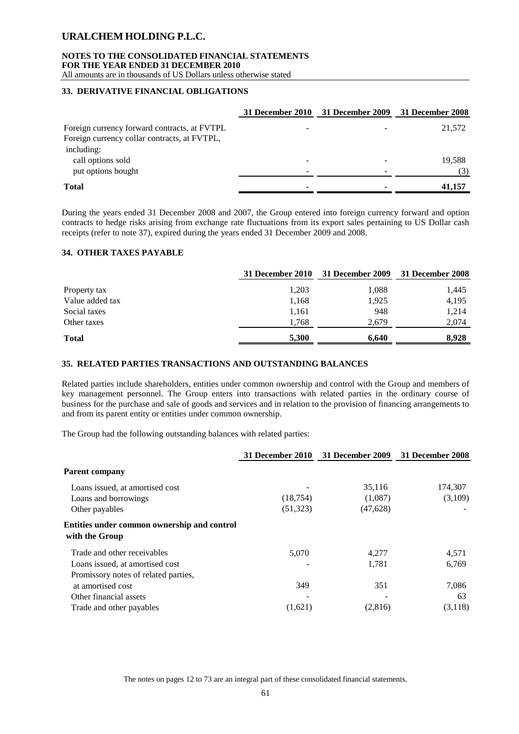### **NOTES TO THE CONSOLIDATED FINANCIAL STATEMENTS FOR THE YEAR ENDED 31 DECEMBER 2010** All amounts are in thousands of US Dollars unless otherwise stated

### **33. DERIVATIVE FINANCIAL OBLIGATIONS**

|                                              | <b>31 December 2010</b> | 31 December 2009 | 31 December 2008 |
|----------------------------------------------|-------------------------|------------------|------------------|
| Foreign currency forward contracts, at FVTPL |                         |                  | 21,572           |
| Foreign currency collar contracts, at FVTPL, |                         |                  |                  |
| including:                                   |                         |                  |                  |
| call options sold                            |                         |                  | 19,588           |
| put options bought                           |                         |                  |                  |
| <b>Total</b>                                 |                         |                  | 41,157           |

During the years ended 31 December 2008 and 2007, the Group entered into foreign currency forward and option contracts to hedge risks arising from exchange rate fluctuations from its export sales pertaining to US Dollar cash receipts (refer to note 37), expired during the years ended 31 December 2009 and 2008.

### **34. OTHER TAXES PAYABLE**

|                 | <b>31 December 2010</b> | 31 December 2009 | 31 December 2008 |
|-----------------|-------------------------|------------------|------------------|
| Property tax    | 1,203                   | 1,088            | 1,445            |
| Value added tax | 1,168                   | 1,925            | 4,195            |
| Social taxes    | 1,161                   | 948              | 1,214            |
| Other taxes     | 1,768                   | 2,679            | 2,074            |
| <b>Total</b>    | 5,300                   | 6.640            | 8.928            |

### **35. RELATED PARTIES TRANSACTIONS AND OUTSTANDING BALANCES**

Related parties include shareholders, entities under common ownership and control with the Group and members of key management personnel. The Group enters into transactions with related parties in the ordinary course of business for the purchase and sale of goods and services and in relation to the provision of financing arrangements to and from its parent entity or entities under common ownership.

The Group had the following outstanding balances with related parties:

|                                                               | 31 December 2010 | 31 December 2009 | 31 December 2008 |
|---------------------------------------------------------------|------------------|------------------|------------------|
| <b>Parent company</b>                                         |                  |                  |                  |
| Loans issued, at amortised cost                               |                  | 35,116           | 174,307          |
| Loans and borrowings                                          | (18, 754)        | (1,087)          | (3,109)          |
| Other payables                                                | (51, 323)        | (47, 628)        |                  |
| Entities under common ownership and control<br>with the Group |                  |                  |                  |
| Trade and other receivables                                   | 5.070            | 4,277            | 4,571            |
| Loans issued, at amortised cost                               |                  | 1,781            | 6,769            |
| Promissory notes of related parties,                          |                  |                  |                  |
| at amortised cost                                             | 349              | 351              | 7,086            |
| Other financial assets                                        |                  |                  | 63               |
| Trade and other payables                                      | (1,621)          | (2,816)          | (3,118)          |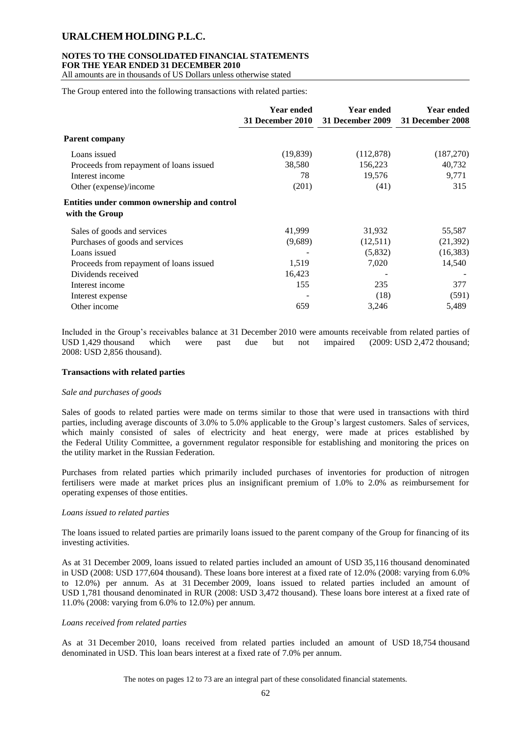### **NOTES TO THE CONSOLIDATED FINANCIAL STATEMENTS FOR THE YEAR ENDED 31 DECEMBER 2010**

All amounts are in thousands of US Dollars unless otherwise stated

The Group entered into the following transactions with related parties:

|                                                               | <b>Year ended</b><br><b>31 December 2010</b> | Year ended<br>31 December 2009 | <b>Year ended</b><br>31 December 2008 |
|---------------------------------------------------------------|----------------------------------------------|--------------------------------|---------------------------------------|
| <b>Parent company</b>                                         |                                              |                                |                                       |
| Loans issued                                                  | (19, 839)                                    | (112, 878)                     | (187,270)                             |
| Proceeds from repayment of loans issued                       | 38,580                                       | 156,223                        | 40,732                                |
| Interest income                                               | 78                                           | 19,576                         | 9,771                                 |
| Other (expense)/income                                        | (201)                                        | (41)                           | 315                                   |
| Entities under common ownership and control<br>with the Group |                                              |                                |                                       |
| Sales of goods and services                                   | 41,999                                       | 31,932                         | 55,587                                |
| Purchases of goods and services                               | (9,689)                                      | (12,511)                       | (21, 392)                             |
| Loans issued                                                  |                                              | (5,832)                        | (16, 383)                             |
| Proceeds from repayment of loans issued                       | 1,519                                        | 7,020                          | 14,540                                |
| Dividends received                                            | 16,423                                       |                                |                                       |
| Interest income                                               | 155                                          | 235                            | 377                                   |
| Interest expense                                              |                                              | (18)                           | (591)                                 |
| Other income                                                  | 659                                          | 3,246                          | 5,489                                 |

Included in the Group's receivables balance at 31 December 2010 were amounts receivable from related parties of USD 1,429 thousand which were past due but not impaired (2009: USD 2,472 thousand; 2008: USD 2,856 thousand).

#### **Transactions with related parties**

#### *Sale and purchases of goods*

Sales of goods to related parties were made on terms similar to those that were used in transactions with third parties, including average discounts of 3.0% to 5.0% applicable to the Group's largest customers. Sales of services, which mainly consisted of sales of electricity and heat energy, were made at prices established by the Federal Utility Committee, a government regulator responsible for establishing and monitoring the prices on the utility market in the Russian Federation.

Purchases from related parties which primarily included purchases of inventories for production of nitrogen fertilisers were made at market prices plus an insignificant premium of 1.0% to 2.0% as reimbursement for operating expenses of those entities.

#### *Loans issued to related parties*

The loans issued to related parties are primarily loans issued to the parent company of the Group for financing of its investing activities.

As at 31 December 2009, loans issued to related parties included an amount of USD 35,116 thousand denominated in USD (2008: USD 177,604 thousand). These loans bore interest at a fixed rate of 12.0% (2008: varying from 6.0% to 12.0%) per annum. As at 31 December 2009, loans issued to related parties included an amount of USD 1,781 thousand denominated in RUR (2008: USD 3,472 thousand). These loans bore interest at a fixed rate of 11.0% (2008: varying from 6.0% to 12.0%) per annum.

#### *Loans received from related parties*

As at 31 December 2010, loans received from related parties included an amount of USD 18,754 thousand denominated in USD. This loan bears interest at a fixed rate of 7.0% per annum.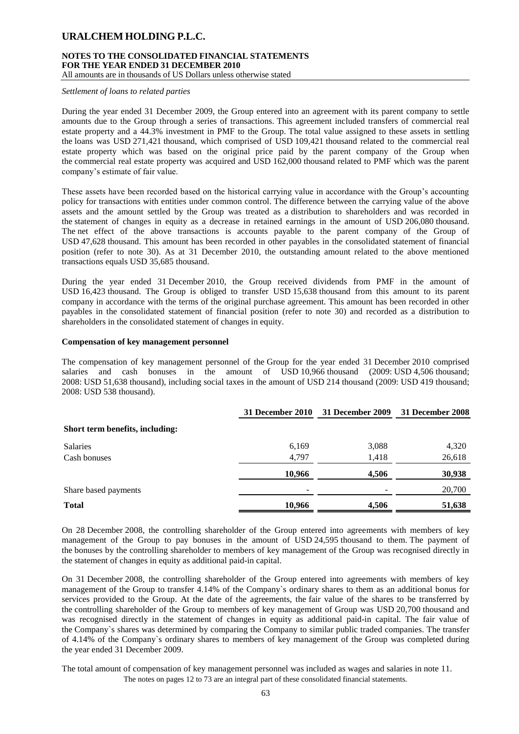# **NOTES TO THE CONSOLIDATED FINANCIAL STATEMENTS FOR THE YEAR ENDED 31 DECEMBER 2010**

All amounts are in thousands of US Dollars unless otherwise stated

### *Settlement of loans to related parties*

During the year ended 31 December 2009, the Group entered into an agreement with its parent company to settle amounts due to the Group through a series of transactions. This agreement included transfers of commercial real estate property and a 44.3% investment in PMF to the Group. The total value assigned to these assets in settling the loans was USD 271,421 thousand, which comprised of USD 109,421 thousand related to the commercial real estate property which was based on the original price paid by the parent company of the Group when the commercial real estate property was acquired and USD 162,000 thousand related to PMF which was the parent company's estimate of fair value.

These assets have been recorded based on the historical carrying value in accordance with the Group's accounting policy for transactions with entities under common control. The difference between the carrying value of the above assets and the amount settled by the Group was treated as a distribution to shareholders and was recorded in the statement of changes in equity as a decrease in retained earnings in the amount of USD 206,080 thousand. The net effect of the above transactions is accounts payable to the parent company of the Group of USD 47,628 thousand. This amount has been recorded in other payables in the consolidated statement of financial position (refer to note 30). As at 31 December 2010, the outstanding amount related to the above mentioned transactions equals USD 35,685 thousand.

During the year ended 31 December 2010, the Group received dividends from PMF in the amount of USD 16,423 thousand. The Group is obliged to transfer USD 15,638 thousand from this amount to its parent company in accordance with the terms of the original purchase agreement. This amount has been recorded in other payables in the consolidated statement of financial position (refer to note 30) and recorded as a distribution to shareholders in the consolidated statement of changes in equity.

#### **Compensation of key management personnel**

The compensation of key management personnel of the Group for the year ended 31 December 2010 comprised salaries and cash bonuses in the amount of USD 10,966 thousand (2009: USD 4,506 thousand; 2008: USD 51,638 thousand), including social taxes in the amount of USD 214 thousand (2009: USD 419 thousand; 2008: USD 538 thousand).

|                                 | 31 December 2010 | 31 December 2009 | 31 December 2008 |
|---------------------------------|------------------|------------------|------------------|
| Short term benefits, including: |                  |                  |                  |
| Salaries                        | 6,169            | 3,088            | 4,320            |
| Cash bonuses                    | 4,797            | 1,418            | 26,618           |
|                                 | 10,966           | 4,506            | 30,938           |
| Share based payments            |                  |                  | 20,700           |
| <b>Total</b>                    | 10,966           | 4,506            | 51,638           |

On 28 December 2008, the controlling shareholder of the Group entered into agreements with members of key management of the Group to pay bonuses in the amount of USD 24,595 thousand to them. The payment of the bonuses by the controlling shareholder to members of key management of the Group was recognised directly in the statement of changes in equity as additional paid-in capital.

On 31 December 2008, the controlling shareholder of the Group entered into agreements with members of key management of the Group to transfer 4.14% of the Company`s ordinary shares to them as an additional bonus for services provided to the Group. At the date of the agreements, the fair value of the shares to be transferred by the controlling shareholder of the Group to members of key management of Group was USD 20,700 thousand and was recognised directly in the statement of changes in equity as additional paid-in capital. The fair value of the Company`s shares was determined by comparing the Company to similar public traded companies. The transfer of 4.14% of the Company`s ordinary shares to members of key management of the Group was completed during the year ended 31 December 2009.

The notes on pages 12 to 73 are an integral part of these consolidated financial statements. The total amount of compensation of key management personnel was included as wages and salaries in note 11.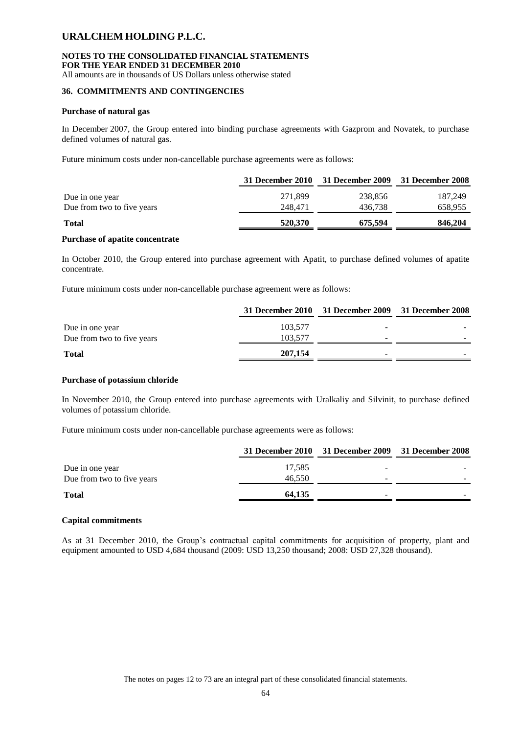#### **NOTES TO THE CONSOLIDATED FINANCIAL STATEMENTS FOR THE YEAR ENDED 31 DECEMBER 2010** All amounts are in thousands of US Dollars unless otherwise stated

### **36. COMMITMENTS AND CONTINGENCIES**

#### **Purchase of natural gas**

In December 2007, the Group entered into binding purchase agreements with Gazprom and Novatek, to purchase defined volumes of natural gas.

Future minimum costs under non-cancellable purchase agreements were as follows:

|                            | 31 December 2010 | 31 December 2009 31 December 2008 |         |
|----------------------------|------------------|-----------------------------------|---------|
| Due in one year            | 271.899          | 238,856                           | 187,249 |
| Due from two to five years | 248.471          | 436.738                           | 658,955 |
| <b>Total</b>               | 520,370          | 675.594                           | 846,204 |

#### **Purchase of apatite concentrate**

In October 2010, the Group entered into purchase agreement with Apatit, to purchase defined volumes of apatite concentrate.

Future minimum costs under non-cancellable purchase agreement were as follows:

|                            |         | 31 December 2010 31 December 2009 31 December 2008 |  |
|----------------------------|---------|----------------------------------------------------|--|
| Due in one year            | 103,577 |                                                    |  |
| Due from two to five years | 103,577 | -                                                  |  |
| <b>Total</b>               | 207,154 |                                                    |  |

#### **Purchase of potassium chloride**

In November 2010, the Group entered into purchase agreements with Uralkaliy and Silvinit, to purchase defined volumes of potassium chloride.

Future minimum costs under non-cancellable purchase agreements were as follows:

|                            |        | 31 December 2010 31 December 2009 31 December 2008 |  |
|----------------------------|--------|----------------------------------------------------|--|
| Due in one year            | 17.585 |                                                    |  |
| Due from two to five years | 46.550 | -                                                  |  |
| <b>Total</b>               | 64.135 |                                                    |  |

#### **Capital commitments**

As at 31 December 2010, the Group's contractual capital commitments for acquisition of property, plant and equipment amounted to USD 4,684 thousand (2009: USD 13,250 thousand; 2008: USD 27,328 thousand).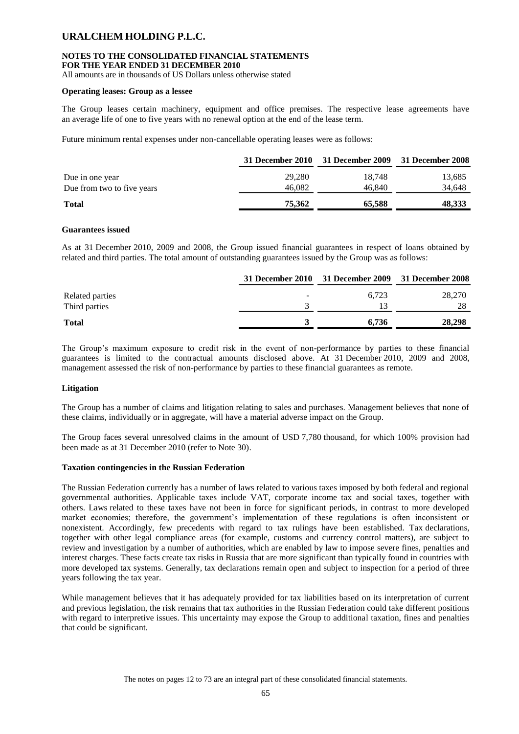### **NOTES TO THE CONSOLIDATED FINANCIAL STATEMENTS FOR THE YEAR ENDED 31 DECEMBER 2010**

All amounts are in thousands of US Dollars unless otherwise stated

### **Operating leases: Group as a lessee**

The Group leases certain machinery, equipment and office premises. The respective lease agreements have an average life of one to five years with no renewal option at the end of the lease term.

Future minimum rental expenses under non-cancellable operating leases were as follows:

|                            |        | 31 December 2010 31 December 2009 31 December 2008 |        |
|----------------------------|--------|----------------------------------------------------|--------|
| Due in one year            | 29.280 | 18.748                                             | 13,685 |
| Due from two to five years | 46,082 | 46,840                                             | 34,648 |
| <b>Total</b>               | 75,362 | 65,588                                             | 48,333 |

#### **Guarantees issued**

As at 31 December 2010, 2009 and 2008, the Group issued financial guarantees in respect of loans obtained by related and third parties. The total amount of outstanding guarantees issued by the Group was as follows:

| $\overline{\phantom{0}}$ | 6.723 | 28,270                                             |
|--------------------------|-------|----------------------------------------------------|
|                          |       | 28                                                 |
|                          | 6.736 | 28,298                                             |
|                          |       | 31 December 2010 31 December 2009 31 December 2008 |

The Group's maximum exposure to credit risk in the event of non-performance by parties to these financial guarantees is limited to the contractual amounts disclosed above. At 31 December 2010, 2009 and 2008, management assessed the risk of non-performance by parties to these financial guarantees as remote.

#### **Litigation**

The Group has a number of claims and litigation relating to sales and purchases. Management believes that none of these claims, individually or in aggregate, will have a material adverse impact on the Group.

The Group faces several unresolved claims in the amount of USD 7,780 thousand, for which 100% provision had been made as at 31 December 2010 (refer to Note 30).

#### **Taxation contingencies in the Russian Federation**

The Russian Federation currently has a number of laws related to various taxes imposed by both federal and regional governmental authorities. Applicable taxes include VAT, corporate income tax and social taxes, together with others. Laws related to these taxes have not been in force for significant periods, in contrast to more developed market economies; therefore, the government's implementation of these regulations is often inconsistent or nonexistent. Accordingly, few precedents with regard to tax rulings have been established. Tax declarations, together with other legal compliance areas (for example, customs and currency control matters), are subject to review and investigation by a number of authorities, which are enabled by law to impose severe fines, penalties and interest charges. These facts create tax risks in Russia that are more significant than typically found in countries with more developed tax systems. Generally, tax declarations remain open and subject to inspection for a period of three years following the tax year.

While management believes that it has adequately provided for tax liabilities based on its interpretation of current and previous legislation, the risk remains that tax authorities in the Russian Federation could take different positions with regard to interpretive issues. This uncertainty may expose the Group to additional taxation, fines and penalties that could be significant.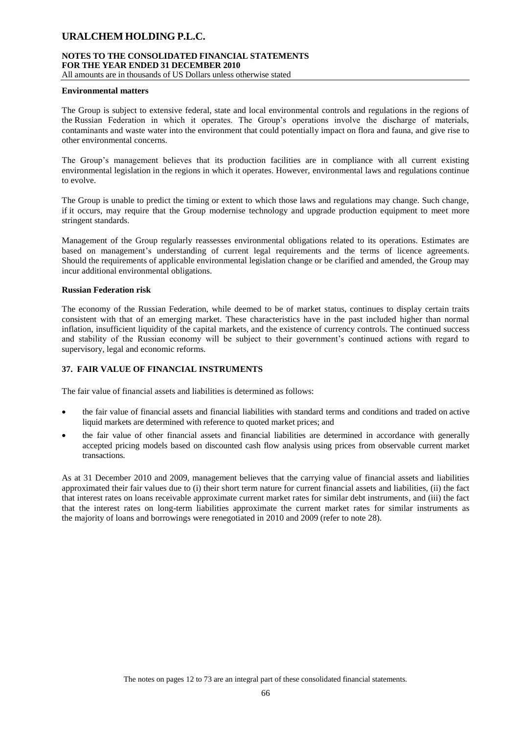# **NOTES TO THE CONSOLIDATED FINANCIAL STATEMENTS FOR THE YEAR ENDED 31 DECEMBER 2010**

All amounts are in thousands of US Dollars unless otherwise stated

### **Environmental matters**

The Group is subject to extensive federal, state and local environmental controls and regulations in the regions of the Russian Federation in which it operates. The Group's operations involve the discharge of materials, contaminants and waste water into the environment that could potentially impact on flora and fauna, and give rise to other environmental concerns.

The Group's management believes that its production facilities are in compliance with all current existing environmental legislation in the regions in which it operates. However, environmental laws and regulations continue to evolve.

The Group is unable to predict the timing or extent to which those laws and regulations may change. Such change, if it occurs, may require that the Group modernise technology and upgrade production equipment to meet more stringent standards.

Management of the Group regularly reassesses environmental obligations related to its operations. Estimates are based on management's understanding of current legal requirements and the terms of licence agreements. Should the requirements of applicable environmental legislation change or be clarified and amended, the Group may incur additional environmental obligations.

### **Russian Federation risk**

The economy of the Russian Federation, while deemed to be of market status, continues to display certain traits consistent with that of an emerging market. These characteristics have in the past included higher than normal inflation, insufficient liquidity of the capital markets, and the existence of currency controls. The continued success and stability of the Russian economy will be subject to their government's continued actions with regard to supervisory, legal and economic reforms.

### **37. FAIR VALUE OF FINANCIAL INSTRUMENTS**

The fair value of financial assets and liabilities is determined as follows:

- the fair value of financial assets and financial liabilities with standard terms and conditions and traded on active liquid markets are determined with reference to quoted market prices; and
- the fair value of other financial assets and financial liabilities are determined in accordance with generally accepted pricing models based on discounted cash flow analysis using prices from observable current market transactions.

As at 31 December 2010 and 2009, management believes that the carrying value of financial assets and liabilities approximated their fair values due to (i) their short term nature for current financial assets and liabilities, (ii) the fact that interest rates on loans receivable approximate current market rates for similar debt instruments, and (iii) the fact that the interest rates on long-term liabilities approximate the current market rates for similar instruments as the majority of loans and borrowings were renegotiated in 2010 and 2009 (refer to note 28).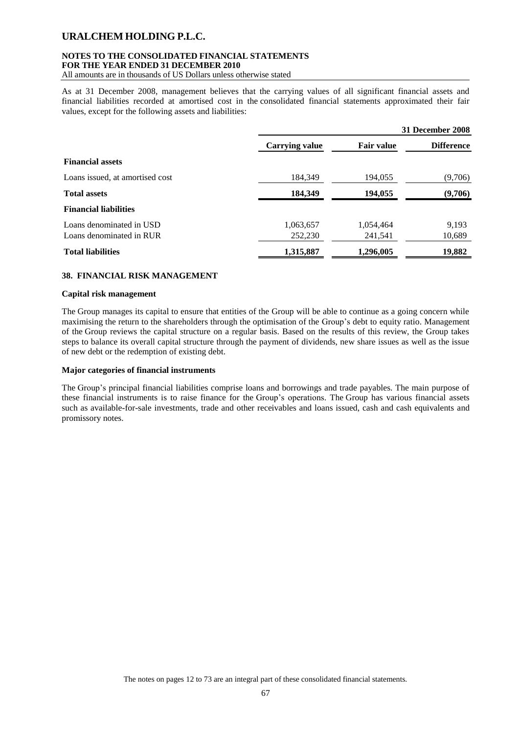#### **NOTES TO THE CONSOLIDATED FINANCIAL STATEMENTS FOR THE YEAR ENDED 31 DECEMBER 2010**

All amounts are in thousands of US Dollars unless otherwise stated

As at 31 December 2008, management believes that the carrying values of all significant financial assets and financial liabilities recorded at amortised cost in the consolidated financial statements approximated their fair values, except for the following assets and liabilities:

|                                                      |                       | 31 December 2008     |                   |  |
|------------------------------------------------------|-----------------------|----------------------|-------------------|--|
|                                                      | <b>Carrying value</b> | <b>Fair value</b>    | <b>Difference</b> |  |
| <b>Financial assets</b>                              |                       |                      |                   |  |
| Loans issued, at amortised cost                      | 184,349               | 194,055              | (9,706)           |  |
| <b>Total assets</b>                                  | 184,349               | 194,055              | (9,706)           |  |
| <b>Financial liabilities</b>                         |                       |                      |                   |  |
| Loans denominated in USD<br>Loans denominated in RUR | 1,063,657<br>252,230  | 1,054,464<br>241,541 | 9,193<br>10,689   |  |
| <b>Total liabilities</b>                             | 1,315,887             | 1,296,005            | 19,882            |  |

### **38. FINANCIAL RISK MANAGEMENT**

#### **Capital risk management**

The Group manages its capital to ensure that entities of the Group will be able to continue as a going concern while maximising the return to the shareholders through the optimisation of the Group's debt to equity ratio. Management of the Group reviews the capital structure on a regular basis. Based on the results of this review, the Group takes steps to balance its overall capital structure through the payment of dividends, new share issues as well as the issue of new debt or the redemption of existing debt.

#### **Major categories of financial instruments**

The Group's principal financial liabilities comprise loans and borrowings and trade payables. The main purpose of these financial instruments is to raise finance for the Group's operations. The Group has various financial assets such as available-for-sale investments, trade and other receivables and loans issued, cash and cash equivalents and promissory notes.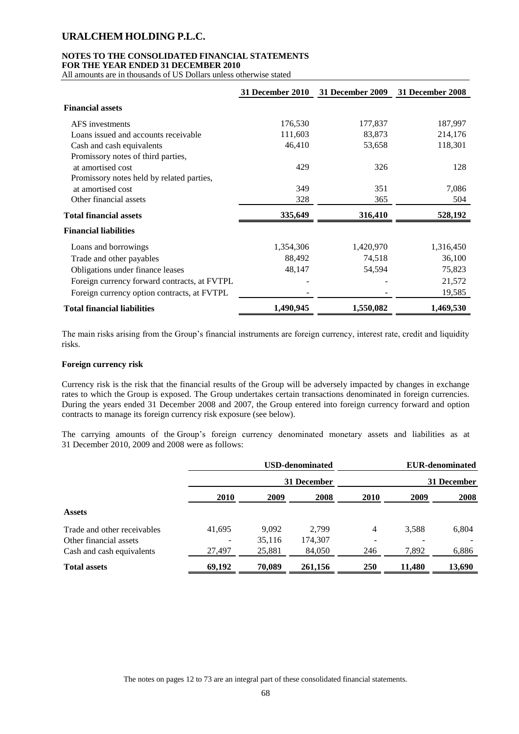#### **NOTES TO THE CONSOLIDATED FINANCIAL STATEMENTS FOR THE YEAR ENDED 31 DECEMBER 2010**

All amounts are in thousands of US Dollars unless otherwise stated

|                                              |           | 31 December 2010 31 December 2009 | 31 December 2008 |
|----------------------------------------------|-----------|-----------------------------------|------------------|
| <b>Financial assets</b>                      |           |                                   |                  |
| AFS investments                              | 176,530   | 177,837                           | 187,997          |
| Loans issued and accounts receivable         | 111,603   | 83,873                            | 214,176          |
| Cash and cash equivalents                    | 46,410    | 53,658                            | 118,301          |
| Promissory notes of third parties,           |           |                                   |                  |
| at amortised cost                            | 429       | 326                               | 128              |
| Promissory notes held by related parties,    |           |                                   |                  |
| at amortised cost                            | 349       | 351                               | 7,086            |
| Other financial assets                       | 328       | 365                               | 504              |
| <b>Total financial assets</b>                | 335,649   | 316,410                           | 528,192          |
| <b>Financial liabilities</b>                 |           |                                   |                  |
| Loans and borrowings                         | 1,354,306 | 1,420,970                         | 1,316,450        |
| Trade and other payables                     | 88,492    | 74,518                            | 36,100           |
| Obligations under finance leases             | 48,147    | 54,594                            | 75,823           |
| Foreign currency forward contracts, at FVTPL |           |                                   | 21,572           |
| Foreign currency option contracts, at FVTPL  |           |                                   | 19,585           |
| <b>Total financial liabilities</b>           | 1,490,945 | 1,550,082                         | 1,469,530        |

The main risks arising from the Group's financial instruments are foreign currency, interest rate, credit and liquidity risks.

### **Foreign currency risk**

Currency risk is the risk that the financial results of the Group will be adversely impacted by changes in exchange rates to which the Group is exposed. The Group undertakes certain transactions denominated in foreign currencies. During the years ended 31 December 2008 and 2007, the Group entered into foreign currency forward and option contracts to manage its foreign currency risk exposure (see below).

The carrying amounts of the Group's foreign currency denominated monetary assets and liabilities as at 31 December 2010, 2009 and 2008 were as follows:

|                             |             |             | <b>USD-denominated</b> |             |             | <b>EUR-denominated</b> |
|-----------------------------|-------------|-------------|------------------------|-------------|-------------|------------------------|
|                             |             | 31 December |                        |             | 31 December |                        |
|                             | <b>2010</b> | 2009        | 2008                   | <b>2010</b> | 2009        | 2008                   |
| <b>Assets</b>               |             |             |                        |             |             |                        |
| Trade and other receivables | 41,695      | 9,092       | 2.799                  | 4           | 3,588       | 6,804                  |
| Other financial assets      |             | 35,116      | 174.307                |             |             |                        |
| Cash and cash equivalents   | 27,497      | 25,881      | 84,050                 | 246         | 7,892       | 6,886                  |
| <b>Total assets</b>         | 69,192      | 70,089      | 261,156                | <b>250</b>  | 11,480      | 13,690                 |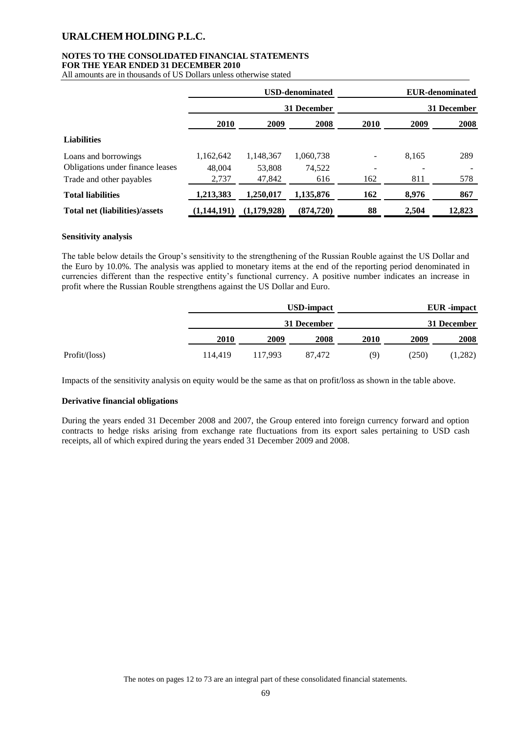### **NOTES TO THE CONSOLIDATED FINANCIAL STATEMENTS**

**FOR THE YEAR ENDED 31 DECEMBER 2010**

All amounts are in thousands of US Dollars unless otherwise stated

|                                  | <b>USD-denominated</b> |             | <b>EUR-denominated</b> |      |       |             |
|----------------------------------|------------------------|-------------|------------------------|------|-------|-------------|
|                                  |                        | 31 December |                        |      |       | 31 December |
|                                  | <b>2010</b>            | 2009        | 2008                   | 2010 | 2009  | 2008        |
| <b>Liabilities</b>               |                        |             |                        |      |       |             |
| Loans and borrowings             | 1,162,642              | 1,148,367   | 1,060,738              |      | 8,165 | 289         |
| Obligations under finance leases | 48,004                 | 53,808      | 74,522                 |      |       |             |
| Trade and other payables         | 2,737                  | 47,842      | 616                    | 162  | 811   | 578         |
| <b>Total liabilities</b>         | 1,213,383              | 1,250,017   | 1,135,876              | 162  | 8,976 | 867         |
| Total net (liabilities)/assets   | (1,144,191)            | (1,179,928) | (874, 720)             | 88   | 2,504 | 12,823      |

#### **Sensitivity analysis**

The table below details the Group's sensitivity to the strengthening of the Russian Rouble against the US Dollar and the Euro by 10.0%. The analysis was applied to monetary items at the end of the reporting period denominated in currencies different than the respective entity's functional currency. A positive number indicates an increase in profit where the Russian Rouble strengthens against the US Dollar and Euro.

|               |         | <b>USD-impact</b><br>31 December |        |      | <b>EUR</b> -impact |         |
|---------------|---------|----------------------------------|--------|------|--------------------|---------|
|               |         |                                  |        |      | 31 December        |         |
|               | 2010    | 2009                             | 2008   | 2010 | 2009               | 2008    |
| Profit/(loss) | 114.419 | 117.993                          | 87.472 | (9)  | (250)              | (1,282) |

Impacts of the sensitivity analysis on equity would be the same as that on profit/loss as shown in the table above.

#### **Derivative financial obligations**

During the years ended 31 December 2008 and 2007, the Group entered into foreign currency forward and option contracts to hedge risks arising from exchange rate fluctuations from its export sales pertaining to USD cash receipts, all of which expired during the years ended 31 December 2009 and 2008.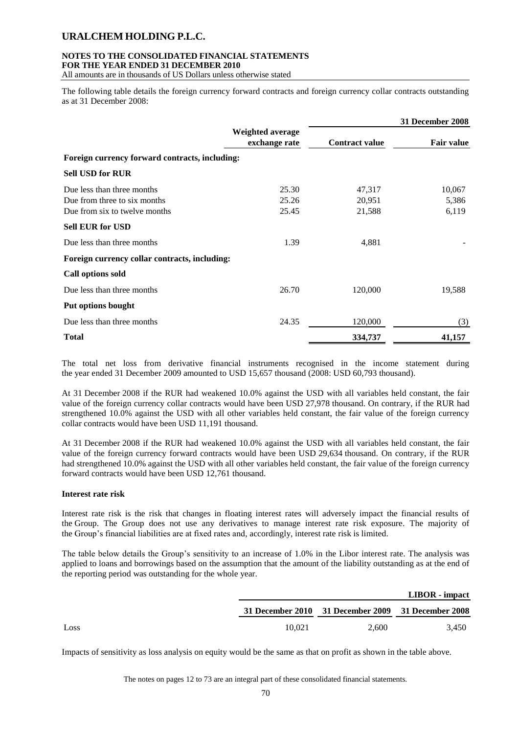### **NOTES TO THE CONSOLIDATED FINANCIAL STATEMENTS FOR THE YEAR ENDED 31 DECEMBER 2010**

All amounts are in thousands of US Dollars unless otherwise stated

The following table details the foreign currency forward contracts and foreign currency collar contracts outstanding as at 31 December 2008:

|                                                |                                   | 31 December 2008      |                   |  |
|------------------------------------------------|-----------------------------------|-----------------------|-------------------|--|
|                                                | Weighted average<br>exchange rate | <b>Contract value</b> | <b>Fair value</b> |  |
| Foreign currency forward contracts, including: |                                   |                       |                   |  |
| <b>Sell USD for RUR</b>                        |                                   |                       |                   |  |
| Due less than three months                     | 25.30                             | 47,317                | 10,067            |  |
| Due from three to six months                   | 25.26                             | 20,951                | 5,386             |  |
| Due from six to twelve months                  | 25.45                             | 21,588                | 6,119             |  |
| <b>Sell EUR for USD</b>                        |                                   |                       |                   |  |
| Due less than three months                     | 1.39                              | 4,881                 |                   |  |
| Foreign currency collar contracts, including:  |                                   |                       |                   |  |
| <b>Call options sold</b>                       |                                   |                       |                   |  |
| Due less than three months                     | 26.70                             | 120,000               | 19,588            |  |
| Put options bought                             |                                   |                       |                   |  |
| Due less than three months                     | 24.35                             | 120,000               | (3)               |  |
| <b>Total</b>                                   |                                   | 334,737               | 41,157            |  |

The total net loss from derivative financial instruments recognised in the income statement during the year ended 31 December 2009 amounted to USD 15,657 thousand (2008: USD 60,793 thousand).

At 31 December 2008 if the RUR had weakened 10.0% against the USD with all variables held constant, the fair value of the foreign currency collar contracts would have been USD 27,978 thousand. On contrary, if the RUR had strengthened 10.0% against the USD with all other variables held constant, the fair value of the foreign currency collar contracts would have been USD 11,191 thousand.

At 31 December 2008 if the RUR had weakened 10.0% against the USD with all variables held constant, the fair value of the foreign currency forward contracts would have been USD 29,634 thousand. On contrary, if the RUR had strengthened 10.0% against the USD with all other variables held constant, the fair value of the foreign currency forward contracts would have been USD 12,761 thousand.

### **Interest rate risk**

Interest rate risk is the risk that changes in floating interest rates will adversely impact the financial results of the Group. The Group does not use any derivatives to manage interest rate risk exposure. The majority of the Group's financial liabilities are at fixed rates and, accordingly, interest rate risk is limited.

The table below details the Group's sensitivity to an increase of 1.0% in the Libor interest rate. The analysis was applied to loans and borrowings based on the assumption that the amount of the liability outstanding as at the end of the reporting period was outstanding for the whole year.

|      |        |                                                    | LIBOR - impact |
|------|--------|----------------------------------------------------|----------------|
|      |        | 31 December 2010 31 December 2009 31 December 2008 |                |
| Loss | 10.021 | 2.600                                              | 3.450          |

Impacts of sensitivity as loss analysis on equity would be the same as that on profit as shown in the table above.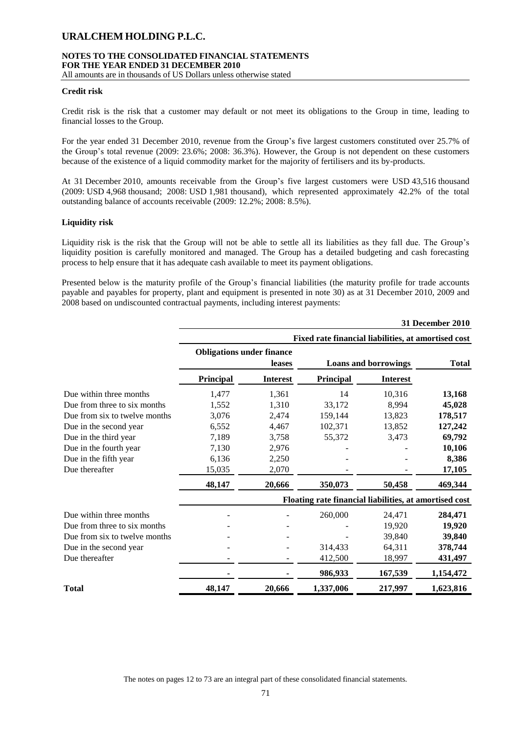### **URALCHEM HOLDING P.L.C.**

# **NOTES TO THE CONSOLIDATED FINANCIAL STATEMENTS FOR THE YEAR ENDED 31 DECEMBER 2010**

All amounts are in thousands of US Dollars unless otherwise stated

#### **Credit risk**

Credit risk is the risk that a customer may default or not meet its obligations to the Group in time, leading to financial losses to the Group.

For the year ended 31 December 2010, revenue from the Group's five largest customers constituted over 25.7% of the Group's total revenue (2009: 23.6%; 2008: 36.3%). However, the Group is not dependent on these customers because of the existence of a liquid commodity market for the majority of fertilisers and its by-products.

At 31 December 2010, amounts receivable from the Group's five largest customers were USD 43,516 thousand (2009: USD 4,968 thousand; 2008: USD 1,981 thousand), which represented approximately 42.2% of the total outstanding balance of accounts receivable (2009: 12.2%; 2008: 8.5%).

#### **Liquidity risk**

Liquidity risk is the risk that the Group will not be able to settle all its liabilities as they fall due. The Group's liquidity position is carefully monitored and managed. The Group has a detailed budgeting and cash forecasting process to help ensure that it has adequate cash available to meet its payment obligations.

Presented below is the maturity profile of the Group's financial liabilities (the maturity profile for trade accounts payable and payables for property, plant and equipment is presented in note 30) as at 31 December 2010, 2009 and 2008 based on undiscounted contractual payments, including interest payments:

|                               |                                                        |                 |                             |                 | 31 December 2010 |  |  |  |
|-------------------------------|--------------------------------------------------------|-----------------|-----------------------------|-----------------|------------------|--|--|--|
|                               | Fixed rate financial liabilities, at amortised cost    |                 |                             |                 |                  |  |  |  |
|                               | <b>Obligations under finance</b><br>leases             |                 | <b>Loans and borrowings</b> |                 | <b>Total</b>     |  |  |  |
|                               | Principal                                              | <b>Interest</b> | Principal                   | <b>Interest</b> |                  |  |  |  |
| Due within three months       | 1,477                                                  | 1,361           | 14                          | 10,316          | 13,168           |  |  |  |
| Due from three to six months  | 1,552                                                  | 1,310           | 33,172                      | 8,994           | 45,028           |  |  |  |
| Due from six to twelve months | 3,076                                                  | 2,474           | 159,144                     | 13,823          | 178,517          |  |  |  |
| Due in the second year        | 6,552                                                  | 4,467           | 102,371                     | 13,852          | 127,242          |  |  |  |
| Due in the third year         | 7,189                                                  | 3,758           | 55,372                      | 3,473           | 69,792           |  |  |  |
| Due in the fourth year        | 7,130                                                  | 2,976           |                             |                 | 10,106           |  |  |  |
| Due in the fifth year         | 6,136                                                  | 2,250           |                             |                 | 8,386            |  |  |  |
| Due thereafter                | 15,035                                                 | 2,070           |                             |                 | 17,105           |  |  |  |
|                               | 48,147                                                 | 20,666          | 350,073                     | 50,458          | 469,344          |  |  |  |
|                               | Floating rate financial liabilities, at amortised cost |                 |                             |                 |                  |  |  |  |
| Due within three months       |                                                        |                 | 260,000                     | 24,471          | 284,471          |  |  |  |
| Due from three to six months  |                                                        |                 |                             | 19,920          | 19,920           |  |  |  |
| Due from six to twelve months |                                                        |                 |                             | 39,840          | 39,840           |  |  |  |
| Due in the second year        |                                                        |                 | 314,433                     | 64,311          | 378,744          |  |  |  |
| Due thereafter                |                                                        |                 | 412,500                     | 18,997          | 431,497          |  |  |  |
|                               |                                                        |                 | 986,933                     | 167,539         | 1,154,472        |  |  |  |
| <b>Total</b>                  | 48,147                                                 | 20,666          | 1,337,006                   | 217,997         | 1,623,816        |  |  |  |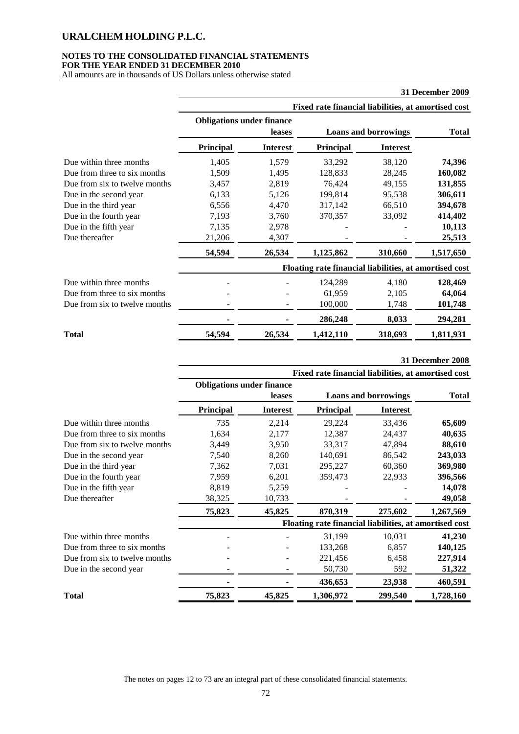## **URALCHEM HOLDING P.L.C.**

### **NOTES TO THE CONSOLIDATED FINANCIAL STATEMENTS**

**FOR THE YEAR ENDED 31 DECEMBER 2010**

All amounts are in thousands of US Dollars unless otherwise stated

|                               |                                                        |                 |                                                     |                 | <b>31 December 2009</b> |
|-------------------------------|--------------------------------------------------------|-----------------|-----------------------------------------------------|-----------------|-------------------------|
|                               |                                                        |                 | Fixed rate financial liabilities, at amortised cost |                 |                         |
|                               | <b>Obligations under finance</b><br>leases             |                 | <b>Loans and borrowings</b>                         |                 | <b>Total</b>            |
|                               | <b>Principal</b>                                       | <b>Interest</b> | Principal                                           | <b>Interest</b> |                         |
| Due within three months       | 1,405                                                  | 1,579           | 33,292                                              | 38,120          | 74,396                  |
| Due from three to six months  | 1,509                                                  | 1,495           | 128,833                                             | 28,245          | 160,082                 |
| Due from six to twelve months | 3,457                                                  | 2,819           | 76,424                                              | 49,155          | 131,855                 |
| Due in the second year        | 6,133                                                  | 5,126           | 199,814                                             | 95,538          | 306,611                 |
| Due in the third year         | 6,556                                                  | 4,470           | 317,142                                             | 66,510          | 394,678                 |
| Due in the fourth year        | 7,193                                                  | 3,760           | 370,357                                             | 33,092          | 414,402                 |
| Due in the fifth year         | 7,135                                                  | 2,978           |                                                     |                 | 10,113                  |
| Due thereafter                | 21,206                                                 | 4,307           |                                                     |                 | 25,513                  |
|                               | 54,594                                                 | 26,534          | 1,125,862                                           | 310,660         | 1,517,650               |
|                               | Floating rate financial liabilities, at amortised cost |                 |                                                     |                 |                         |
| Due within three months       |                                                        |                 | 124,289                                             | 4,180           | 128,469                 |
| Due from three to six months  |                                                        |                 | 61,959                                              | 2,105           | 64,064                  |
| Due from six to twelve months |                                                        |                 | 100,000                                             | 1,748           | 101,748                 |
|                               |                                                        |                 | 286,248                                             | 8,033           | 294,281                 |
| <b>Total</b>                  | 54,594                                                 | 26,534          | 1,412,110                                           | 318,693         | 1,811,931               |

|                               | 31 December 2008                                       |                 |                             |                 |              |  |  |
|-------------------------------|--------------------------------------------------------|-----------------|-----------------------------|-----------------|--------------|--|--|
|                               | Fixed rate financial liabilities, at amortised cost    |                 |                             |                 |              |  |  |
|                               | <b>Obligations under finance</b>                       | leases          | <b>Loans and borrowings</b> |                 | <b>Total</b> |  |  |
|                               | Principal                                              | <b>Interest</b> | Principal                   | <b>Interest</b> |              |  |  |
| Due within three months       | 735                                                    | 2,214           | 29,224                      | 33,436          | 65,609       |  |  |
| Due from three to six months  | 1,634                                                  | 2,177           | 12,387                      | 24,437          | 40,635       |  |  |
| Due from six to twelve months | 3,449                                                  | 3,950           | 33,317                      | 47,894          | 88,610       |  |  |
| Due in the second year        | 7,540                                                  | 8,260           | 140,691                     | 86,542          | 243,033      |  |  |
| Due in the third year         | 7,362                                                  | 7,031           | 295,227                     | 60,360          | 369,980      |  |  |
| Due in the fourth year        | 7,959                                                  | 6,201           | 359,473                     | 22,933          | 396,566      |  |  |
| Due in the fifth year         | 8,819                                                  | 5,259           |                             |                 | 14,078       |  |  |
| Due thereafter                | 38,325                                                 | 10,733          |                             |                 | 49,058       |  |  |
|                               | 75,823                                                 | 45,825          | 870,319                     | 275,602         | 1,267,569    |  |  |
|                               | Floating rate financial liabilities, at amortised cost |                 |                             |                 |              |  |  |
| Due within three months       |                                                        |                 | 31,199                      | 10,031          | 41,230       |  |  |
| Due from three to six months  |                                                        |                 | 133,268                     | 6,857           | 140,125      |  |  |
| Due from six to twelve months |                                                        |                 | 221,456                     | 6,458           | 227,914      |  |  |
| Due in the second year        |                                                        |                 | 50,730                      | 592             | 51,322       |  |  |
|                               |                                                        |                 | 436,653                     | 23,938          | 460,591      |  |  |
| <b>Total</b>                  | 75,823                                                 | 45,825          | 1,306,972                   | 299,540         | 1,728,160    |  |  |

The notes on pages 12 to 73 are an integral part of these consolidated financial statements.